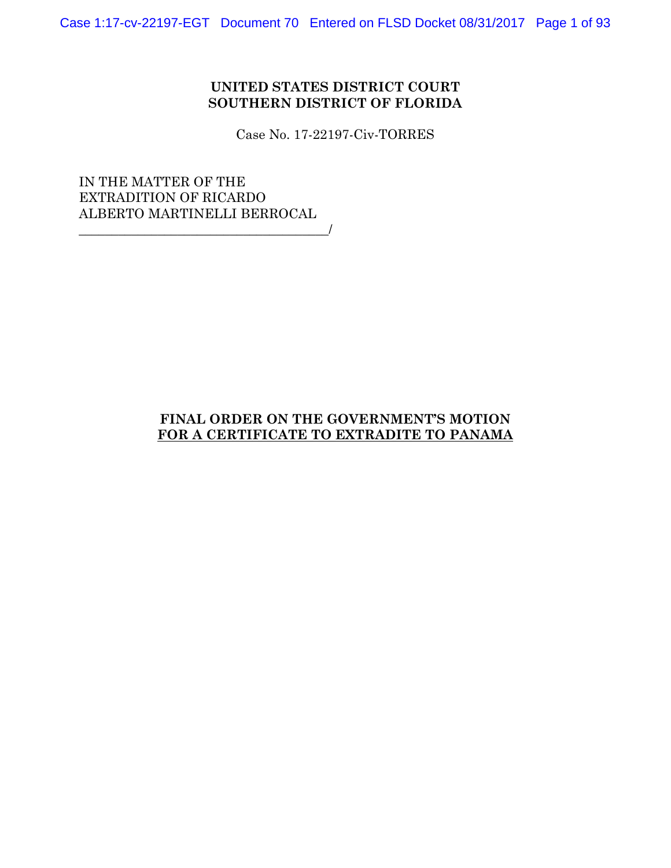## **UNITED STATES DISTRICT COURT SOUTHERN DISTRICT OF FLORIDA**

Case No. 17-22197-Civ-TORRES

IN THE MATTER OF THE EXTRADITION OF RICARDO ALBERTO MARTINELLI BERROCAL  $\overline{a}$ 

# **FINAL ORDER ON THE GOVERNMENT'S MOTION FOR A CERTIFICATE TO EXTRADITE TO PANAMA**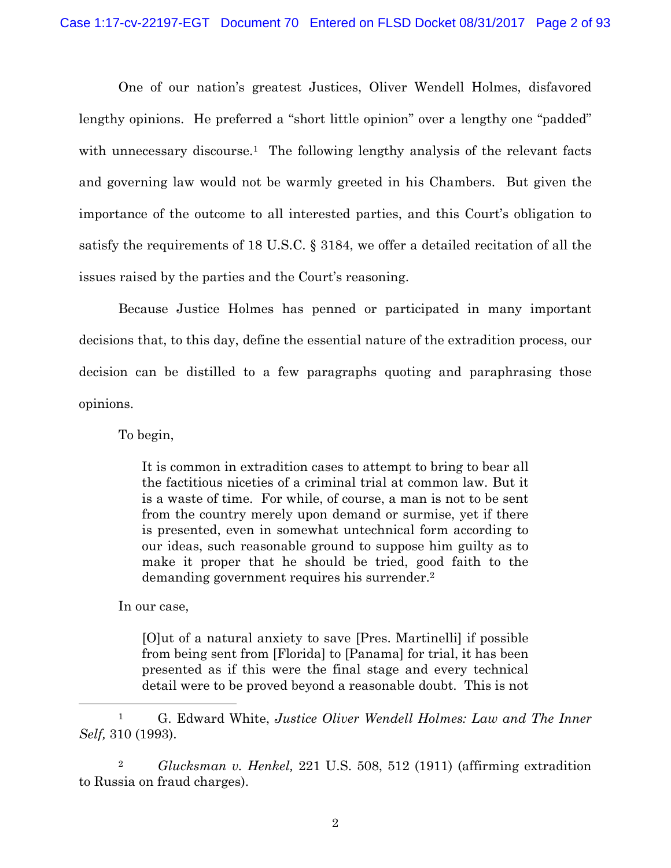One of our nation's greatest Justices, Oliver Wendell Holmes, disfavored lengthy opinions. He preferred a "short little opinion" over a lengthy one "padded" with unnecessary discourse.<sup>1</sup> The following lengthy analysis of the relevant facts and governing law would not be warmly greeted in his Chambers. But given the importance of the outcome to all interested parties, and this Court's obligation to satisfy the requirements of 18 U.S.C. § 3184, we offer a detailed recitation of all the issues raised by the parties and the Court's reasoning.

 Because Justice Holmes has penned or participated in many important decisions that, to this day, define the essential nature of the extradition process, our decision can be distilled to a few paragraphs quoting and paraphrasing those opinions.

To begin,

It is common in extradition cases to attempt to bring to bear all the factitious niceties of a criminal trial at common law. But it is a waste of time. For while, of course, a man is not to be sent from the country merely upon demand or surmise, yet if there is presented, even in somewhat untechnical form according to our ideas, such reasonable ground to suppose him guilty as to make it proper that he should be tried, good faith to the demanding government requires his surrender.2

In our case,

[O]ut of a natural anxiety to save [Pres. Martinelli] if possible from being sent from [Florida] to [Panama] for trial, it has been presented as if this were the final stage and every technical detail were to be proved beyond a reasonable doubt. This is not

 1 G. Edward White, *Justice Oliver Wendell Holmes: Law and The Inner Self,* 310 (1993).

2 *Glucksman v. Henkel,* 221 U.S. 508, 512 (1911) (affirming extradition to Russia on fraud charges).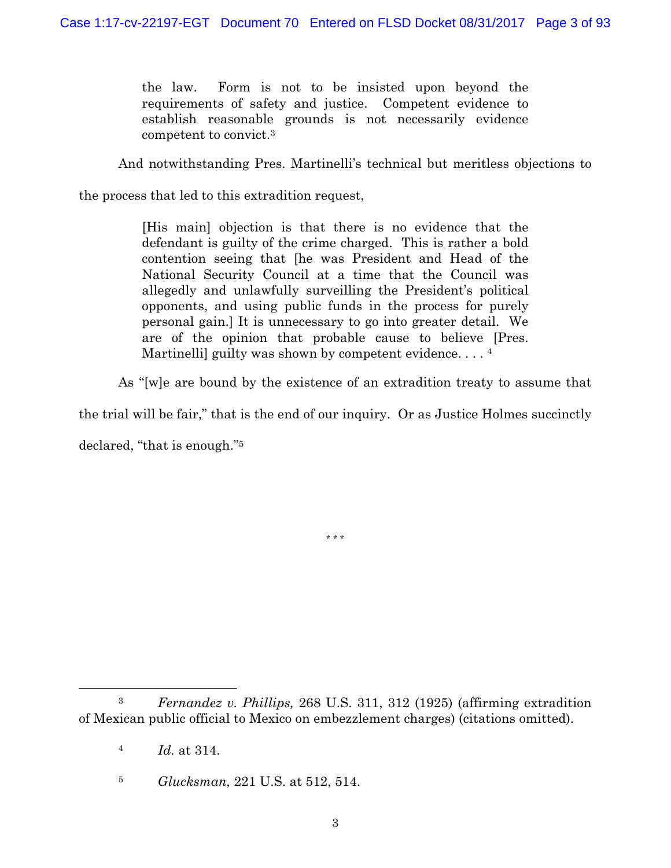the law. Form is not to be insisted upon beyond the requirements of safety and justice. Competent evidence to establish reasonable grounds is not necessarily evidence competent to convict.3

And notwithstanding Pres. Martinelli's technical but meritless objections to

the process that led to this extradition request,

[His main] objection is that there is no evidence that the defendant is guilty of the crime charged. This is rather a bold contention seeing that [he was President and Head of the National Security Council at a time that the Council was allegedly and unlawfully surveilling the President's political opponents, and using public funds in the process for purely personal gain.] It is unnecessary to go into greater detail. We are of the opinion that probable cause to believe [Pres. Martinelli) guilty was shown by competent evidence....  $^4$ 

As "[w]e are bound by the existence of an extradition treaty to assume that

the trial will be fair," that is the end of our inquiry. Or as Justice Holmes succinctly

\* \* \*

declared, "that is enough."5

 <sup>3</sup> *Fernandez v. Phillips,* 268 U.S. 311, 312 (1925) (affirming extradition of Mexican public official to Mexico on embezzlement charges) (citations omitted).

<sup>4</sup> *Id.* at 314.

<sup>5</sup> *Glucksman,* 221 U.S. at 512, 514.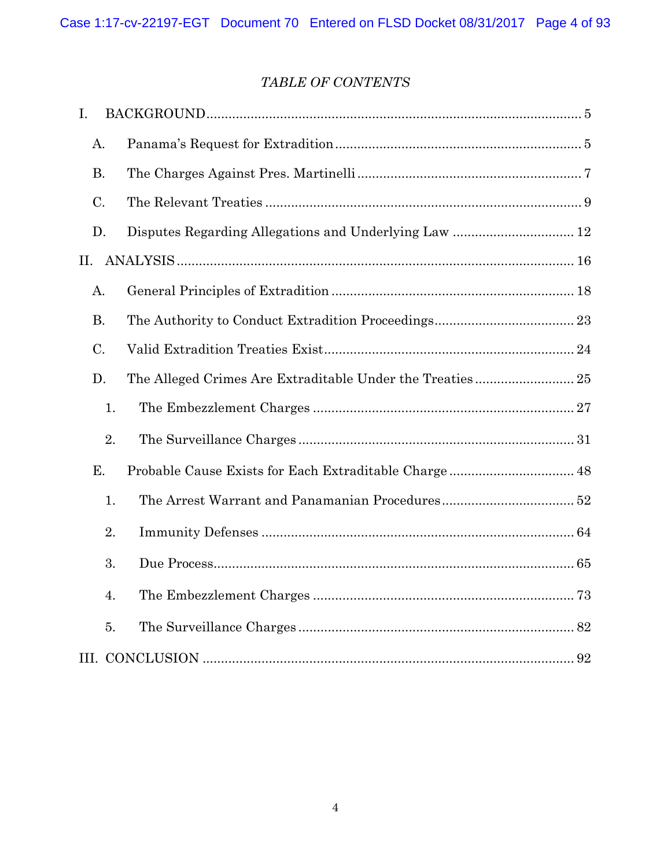# *TABLE OF CONTENTS*

| I.        |    |  |  |
|-----------|----|--|--|
| A.        |    |  |  |
| <b>B.</b> |    |  |  |
| C.        |    |  |  |
| D.        |    |  |  |
| Π.        |    |  |  |
| A.        |    |  |  |
| <b>B.</b> |    |  |  |
| C.        |    |  |  |
| D.        |    |  |  |
|           | 1. |  |  |
|           | 2. |  |  |
| E.        |    |  |  |
|           | 1. |  |  |
|           | 2. |  |  |
|           | 3. |  |  |
|           | 4. |  |  |
|           | 5. |  |  |
|           |    |  |  |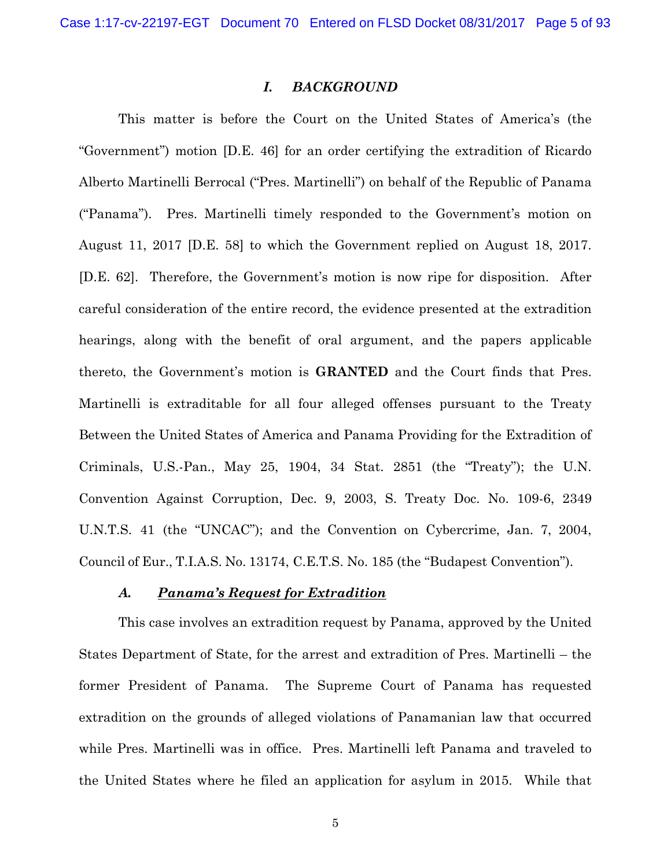### *I. BACKGROUND*

 This matter is before the Court on the United States of America's (the "Government") motion [D.E. 46] for an order certifying the extradition of Ricardo Alberto Martinelli Berrocal ("Pres. Martinelli") on behalf of the Republic of Panama ("Panama"). Pres. Martinelli timely responded to the Government's motion on August 11, 2017 [D.E. 58] to which the Government replied on August 18, 2017. [D.E. 62]. Therefore, the Government's motion is now ripe for disposition. After careful consideration of the entire record, the evidence presented at the extradition hearings, along with the benefit of oral argument, and the papers applicable thereto, the Government's motion is **GRANTED** and the Court finds that Pres. Martinelli is extraditable for all four alleged offenses pursuant to the Treaty Between the United States of America and Panama Providing for the Extradition of Criminals, U.S.-Pan., May 25, 1904, 34 Stat. 2851 (the "Treaty"); the U.N. Convention Against Corruption, Dec. 9, 2003, S. Treaty Doc. No. 109-6, 2349 U.N.T.S. 41 (the "UNCAC"); and the Convention on Cybercrime, Jan. 7, 2004, Council of Eur., T.I.A.S. No. 13174, C.E.T.S. No. 185 (the "Budapest Convention").

#### *A. Panama's Request for Extradition*

 This case involves an extradition request by Panama, approved by the United States Department of State, for the arrest and extradition of Pres. Martinelli – the former President of Panama. The Supreme Court of Panama has requested extradition on the grounds of alleged violations of Panamanian law that occurred while Pres. Martinelli was in office. Pres. Martinelli left Panama and traveled to the United States where he filed an application for asylum in 2015. While that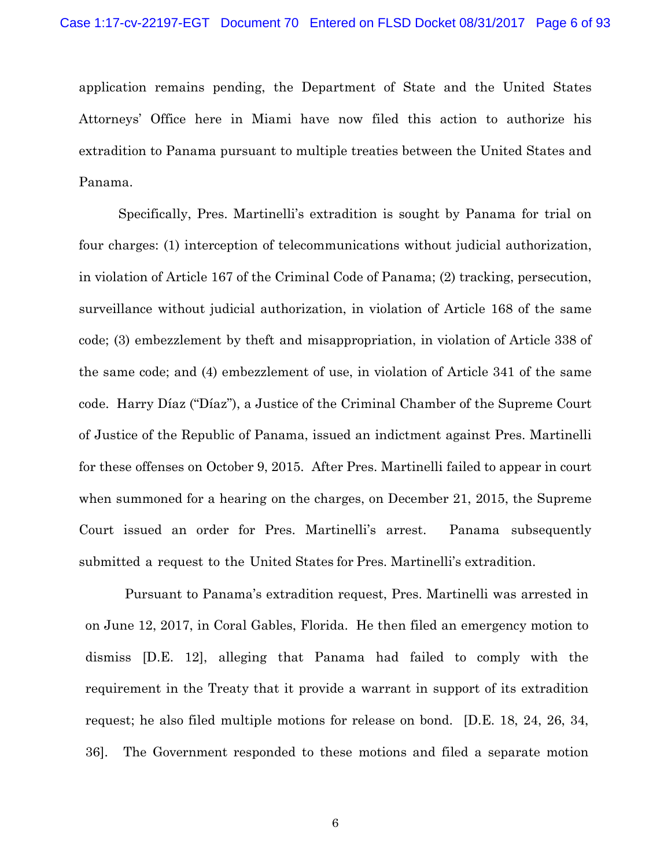application remains pending, the Department of State and the United States Attorneys' Office here in Miami have now filed this action to authorize his extradition to Panama pursuant to multiple treaties between the United States and Panama.

Specifically, Pres. Martinelli's extradition is sought by Panama for trial on four charges: (1) interception of telecommunications without judicial authorization, in violation of Article 167 of the Criminal Code of Panama; (2) tracking, persecution, surveillance without judicial authorization, in violation of Article 168 of the same code; (3) embezzlement by theft and misappropriation, in violation of Article 338 of the same code; and (4) embezzlement of use, in violation of Article 341 of the same code. Harry Díaz ("Díaz"), a Justice of the Criminal Chamber of the Supreme Court of Justice of the Republic of Panama, issued an indictment against Pres. Martinelli for these offenses on October 9, 2015. After Pres. Martinelli failed to appear in court when summoned for a hearing on the charges, on December 21, 2015, the Supreme Court issued an order for Pres. Martinelli's arrest. Panama subsequently submitted a request to the United States for Pres. Martinelli's extradition.

Pursuant to Panama's extradition request, Pres. Martinelli was arrested in on June 12, 2017, in Coral Gables, Florida. He then filed an emergency motion to dismiss [D.E. 12], alleging that Panama had failed to comply with the requirement in the Treaty that it provide a warrant in support of its extradition request; he also filed multiple motions for release on bond. [D.E. 18, 24, 26, 34, 36]. The Government responded to these motions and filed a separate motion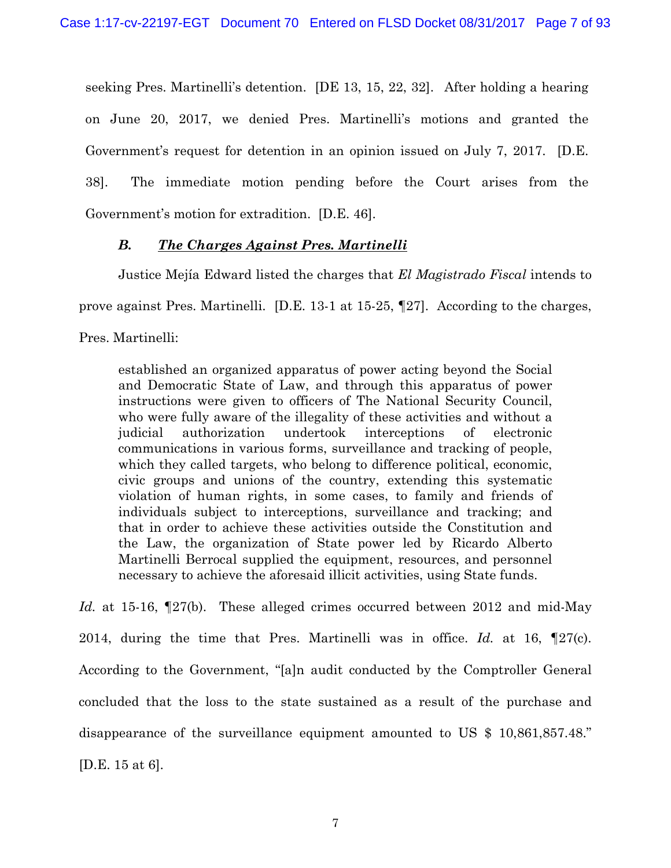seeking Pres. Martinelli's detention. [DE 13, 15, 22, 32]. After holding a hearing on June 20, 2017, we denied Pres. Martinelli's motions and granted the Government's request for detention in an opinion issued on July 7, 2017. [D.E. 38]. The immediate motion pending before the Court arises from the Government's motion for extradition. [D.E. 46].

## *B. The Charges Against Pres. Martinelli*

Justice Mejía Edward listed the charges that *El Magistrado Fiscal* intends to prove against Pres. Martinelli. [D.E. 13-1 at 15-25, ¶27]. According to the charges,

Pres. Martinelli:

established an organized apparatus of power acting beyond the Social and Democratic State of Law, and through this apparatus of power instructions were given to officers of The National Security Council, who were fully aware of the illegality of these activities and without a judicial authorization undertook interceptions of electronic communications in various forms, surveillance and tracking of people, which they called targets, who belong to difference political, economic, civic groups and unions of the country, extending this systematic violation of human rights, in some cases, to family and friends of individuals subject to interceptions, surveillance and tracking; and that in order to achieve these activities outside the Constitution and the Law, the organization of State power led by Ricardo Alberto Martinelli Berrocal supplied the equipment, resources, and personnel necessary to achieve the aforesaid illicit activities, using State funds.

*Id.* at 15-16, ¶27(b). These alleged crimes occurred between 2012 and mid-May 2014, during the time that Pres. Martinelli was in office. *Id.* at 16, ¶27(c). According to the Government, "[a]n audit conducted by the Comptroller General concluded that the loss to the state sustained as a result of the purchase and disappearance of the surveillance equipment amounted to US \$ 10,861,857.48." [D.E. 15 at 6].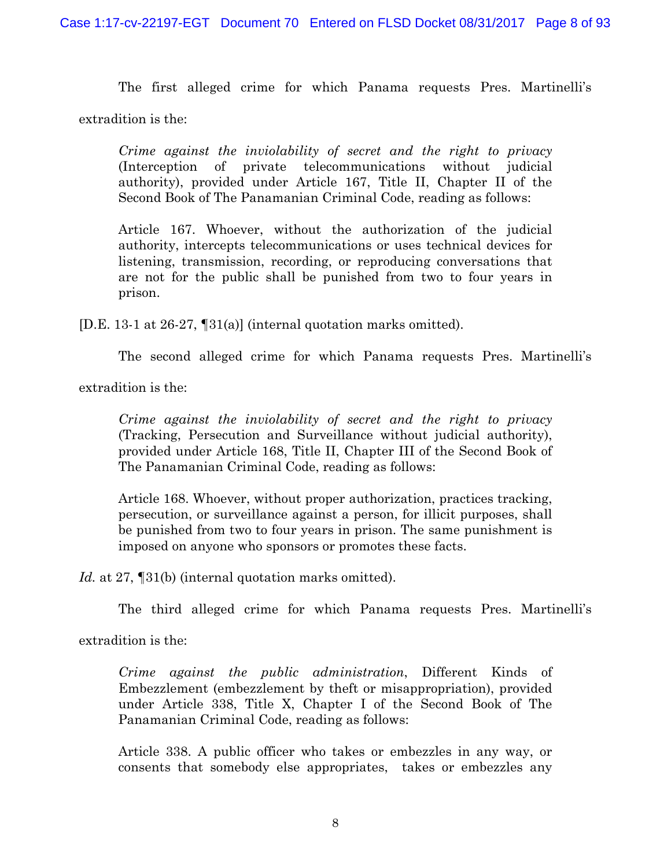The first alleged crime for which Panama requests Pres. Martinelli's

extradition is the:

*Crime against the inviolability of secret and the right to privacy* (Interception of private telecommunications without judicial authority), provided under Article 167, Title II, Chapter II of the Second Book of The Panamanian Criminal Code, reading as follows:

Article 167. Whoever, without the authorization of the judicial authority, intercepts telecommunications or uses technical devices for listening, transmission, recording, or reproducing conversations that are not for the public shall be punished from two to four years in prison.

[D.E. 13-1 at 26-27, ¶31(a)] (internal quotation marks omitted).

The second alleged crime for which Panama requests Pres. Martinelli's

extradition is the:

*Crime against the inviolability of secret and the right to privacy* (Tracking, Persecution and Surveillance without judicial authority), provided under Article 168, Title II, Chapter III of the Second Book of The Panamanian Criminal Code, reading as follows:

Article 168. Whoever, without proper authorization, practices tracking, persecution, or surveillance against a person, for illicit purposes, shall be punished from two to four years in prison. The same punishment is imposed on anyone who sponsors or promotes these facts.

*Id.* at 27, ¶31(b) (internal quotation marks omitted).

The third alleged crime for which Panama requests Pres. Martinelli's

extradition is the:

*Crime against the public administration*, Different Kinds of Embezzlement (embezzlement by theft or misappropriation), provided under Article 338, Title X, Chapter I of the Second Book of The Panamanian Criminal Code, reading as follows:

Article 338. A public officer who takes or embezzles in any way, or consents that somebody else appropriates, takes or embezzles any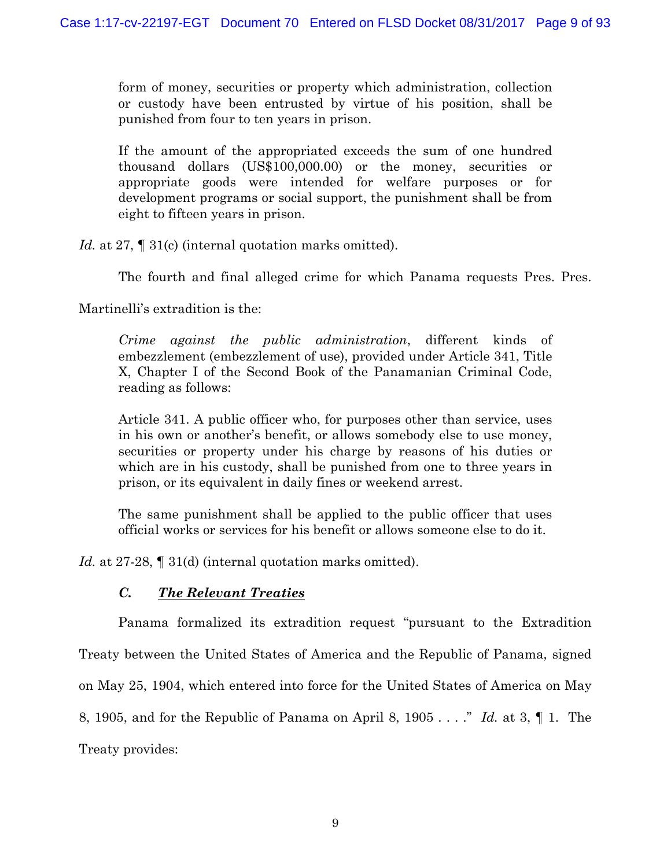form of money, securities or property which administration, collection or custody have been entrusted by virtue of his position, shall be punished from four to ten years in prison.

If the amount of the appropriated exceeds the sum of one hundred thousand dollars (US\$100,000.00) or the money, securities or appropriate goods were intended for welfare purposes or for development programs or social support, the punishment shall be from eight to fifteen years in prison.

*Id.* at 27,  $\llbracket 31(c)$  (internal quotation marks omitted).

The fourth and final alleged crime for which Panama requests Pres. Pres.

Martinelli's extradition is the:

*Crime against the public administration*, different kinds of embezzlement (embezzlement of use), provided under Article 341, Title X, Chapter I of the Second Book of the Panamanian Criminal Code, reading as follows:

Article 341. A public officer who, for purposes other than service, uses in his own or another's benefit, or allows somebody else to use money, securities or property under his charge by reasons of his duties or which are in his custody, shall be punished from one to three years in prison, or its equivalent in daily fines or weekend arrest.

The same punishment shall be applied to the public officer that uses official works or services for his benefit or allows someone else to do it.

*Id.* at 27-28, I 31(d) (internal quotation marks omitted).

# *C. The Relevant Treaties*

Panama formalized its extradition request "pursuant to the Extradition Treaty between the United States of America and the Republic of Panama, signed on May 25, 1904, which entered into force for the United States of America on May 8, 1905, and for the Republic of Panama on April 8, 1905 . . . ." *Id.* at 3, ¶ 1. The Treaty provides: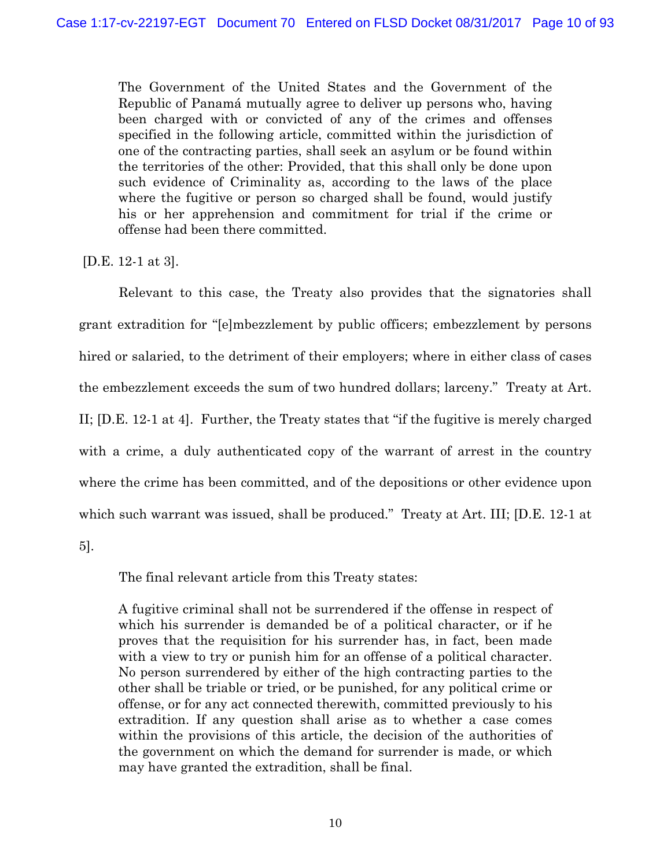The Government of the United States and the Government of the Republic of Panamá mutually agree to deliver up persons who, having been charged with or convicted of any of the crimes and offenses specified in the following article, committed within the jurisdiction of one of the contracting parties, shall seek an asylum or be found within the territories of the other: Provided, that this shall only be done upon such evidence of Criminality as, according to the laws of the place where the fugitive or person so charged shall be found, would justify his or her apprehension and commitment for trial if the crime or offense had been there committed.

[D.E. 12-1 at 3].

 Relevant to this case, the Treaty also provides that the signatories shall grant extradition for "[e]mbezzlement by public officers; embezzlement by persons hired or salaried, to the detriment of their employers; where in either class of cases the embezzlement exceeds the sum of two hundred dollars; larceny." Treaty at Art. II; [D.E. 12-1 at 4]. Further, the Treaty states that "if the fugitive is merely charged with a crime, a duly authenticated copy of the warrant of arrest in the country where the crime has been committed, and of the depositions or other evidence upon which such warrant was issued, shall be produced." Treaty at Art. III; [D.E. 12-1 at

5].

The final relevant article from this Treaty states:

A fugitive criminal shall not be surrendered if the offense in respect of which his surrender is demanded be of a political character, or if he proves that the requisition for his surrender has, in fact, been made with a view to try or punish him for an offense of a political character. No person surrendered by either of the high contracting parties to the other shall be triable or tried, or be punished, for any political crime or offense, or for any act connected therewith, committed previously to his extradition. If any question shall arise as to whether a case comes within the provisions of this article, the decision of the authorities of the government on which the demand for surrender is made, or which may have granted the extradition, shall be final.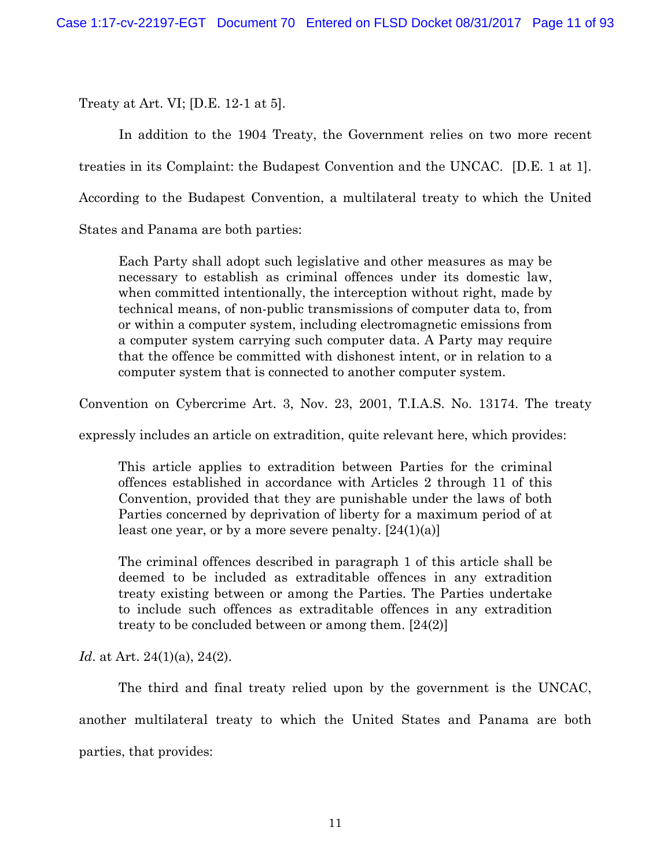Treaty at Art. VI; [D.E. 12-1 at 5].

 In addition to the 1904 Treaty, the Government relies on two more recent treaties in its Complaint: the Budapest Convention and the UNCAC. [D.E. 1 at 1]. According to the Budapest Convention, a multilateral treaty to which the United States and Panama are both parties:

Each Party shall adopt such legislative and other measures as may be necessary to establish as criminal offences under its domestic law, when committed intentionally, the interception without right, made by technical means, of non-public transmissions of computer data to, from or within a computer system, including electromagnetic emissions from a computer system carrying such computer data. A Party may require that the offence be committed with dishonest intent, or in relation to a computer system that is connected to another computer system.

Convention on Cybercrime Art. 3, Nov. 23, 2001, T.I.A.S. No. 13174. The treaty

expressly includes an article on extradition, quite relevant here, which provides:

This article applies to extradition between Parties for the criminal offences established in accordance with Articles 2 through 11 of this Convention, provided that they are punishable under the laws of both Parties concerned by deprivation of liberty for a maximum period of at least one year, or by a more severe penalty.  $[24(1)(a)]$ 

The criminal offences described in paragraph 1 of this article shall be deemed to be included as extraditable offences in any extradition treaty existing between or among the Parties. The Parties undertake to include such offences as extraditable offences in any extradition treaty to be concluded between or among them. [24(2)]

*Id.* at Art. 24(1)(a), 24(2).

 The third and final treaty relied upon by the government is the UNCAC, another multilateral treaty to which the United States and Panama are both parties, that provides: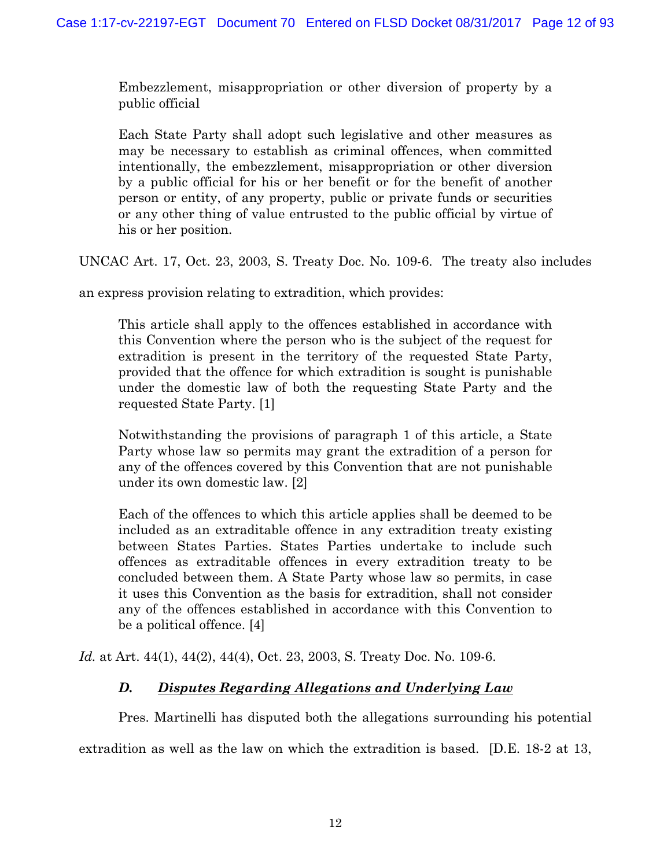Embezzlement, misappropriation or other diversion of property by a public official

Each State Party shall adopt such legislative and other measures as may be necessary to establish as criminal offences, when committed intentionally, the embezzlement, misappropriation or other diversion by a public official for his or her benefit or for the benefit of another person or entity, of any property, public or private funds or securities or any other thing of value entrusted to the public official by virtue of his or her position.

UNCAC Art. 17, Oct. 23, 2003, S. Treaty Doc. No. 109-6. The treaty also includes

an express provision relating to extradition, which provides:

This article shall apply to the offences established in accordance with this Convention where the person who is the subject of the request for extradition is present in the territory of the requested State Party, provided that the offence for which extradition is sought is punishable under the domestic law of both the requesting State Party and the requested State Party. [1]

Notwithstanding the provisions of paragraph 1 of this article, a State Party whose law so permits may grant the extradition of a person for any of the offences covered by this Convention that are not punishable under its own domestic law. [2]

Each of the offences to which this article applies shall be deemed to be included as an extraditable offence in any extradition treaty existing between States Parties. States Parties undertake to include such offences as extraditable offences in every extradition treaty to be concluded between them. A State Party whose law so permits, in case it uses this Convention as the basis for extradition, shall not consider any of the offences established in accordance with this Convention to be a political offence. [4]

*Id.* at Art. 44(1), 44(2), 44(4), Oct. 23, 2003, S. Treaty Doc. No. 109-6.

# *D. Disputes Regarding Allegations and Underlying Law*

Pres. Martinelli has disputed both the allegations surrounding his potential

extradition as well as the law on which the extradition is based. [D.E. 18-2 at 13,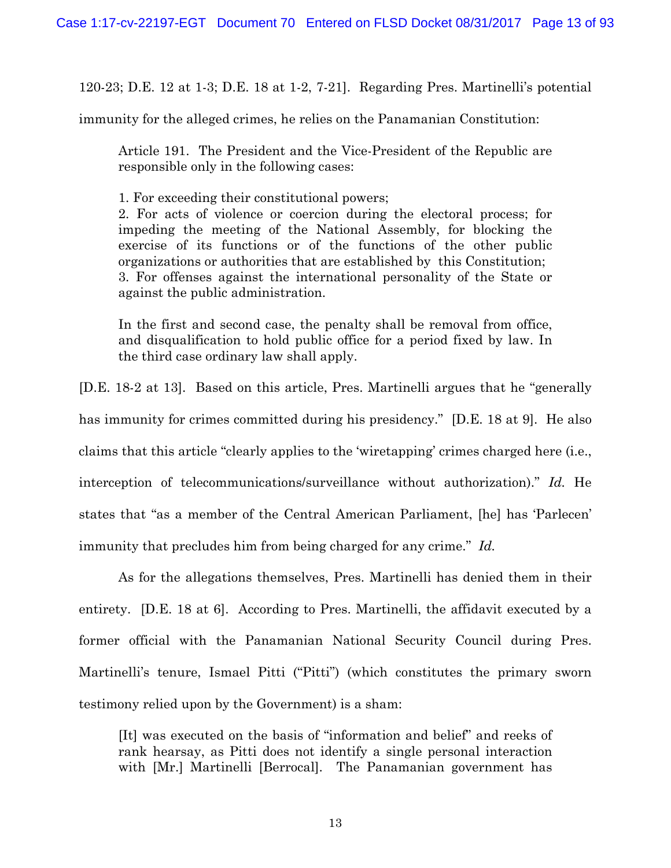120-23; D.E. 12 at 1-3; D.E. 18 at 1-2, 7-21]. Regarding Pres. Martinelli's potential

immunity for the alleged crimes, he relies on the Panamanian Constitution:

Article 191. The President and the Vice-President of the Republic are responsible only in the following cases:

1. For exceeding their constitutional powers;

2. For acts of violence or coercion during the electoral process; for impeding the meeting of the National Assembly, for blocking the exercise of its functions or of the functions of the other public organizations or authorities that are established by this Constitution; 3. For offenses against the international personality of the State or against the public administration.

In the first and second case, the penalty shall be removal from office, and disqualification to hold public office for a period fixed by law. In the third case ordinary law shall apply.

[D.E. 18-2 at 13]. Based on this article, Pres. Martinelli argues that he "generally has immunity for crimes committed during his presidency." [D.E. 18 at 9]. He also claims that this article "clearly applies to the 'wiretapping' crimes charged here (i.e., interception of telecommunications/surveillance without authorization)." *Id.* He states that "as a member of the Central American Parliament, [he] has 'Parlecen' immunity that precludes him from being charged for any crime." *Id.*

As for the allegations themselves, Pres. Martinelli has denied them in their entirety. [D.E. 18 at 6]. According to Pres. Martinelli, the affidavit executed by a former official with the Panamanian National Security Council during Pres. Martinelli's tenure, Ismael Pitti ("Pitti") (which constitutes the primary sworn testimony relied upon by the Government) is a sham:

[It] was executed on the basis of "information and belief" and reeks of rank hearsay, as Pitti does not identify a single personal interaction with [Mr.] Martinelli [Berrocal]. The Panamanian government has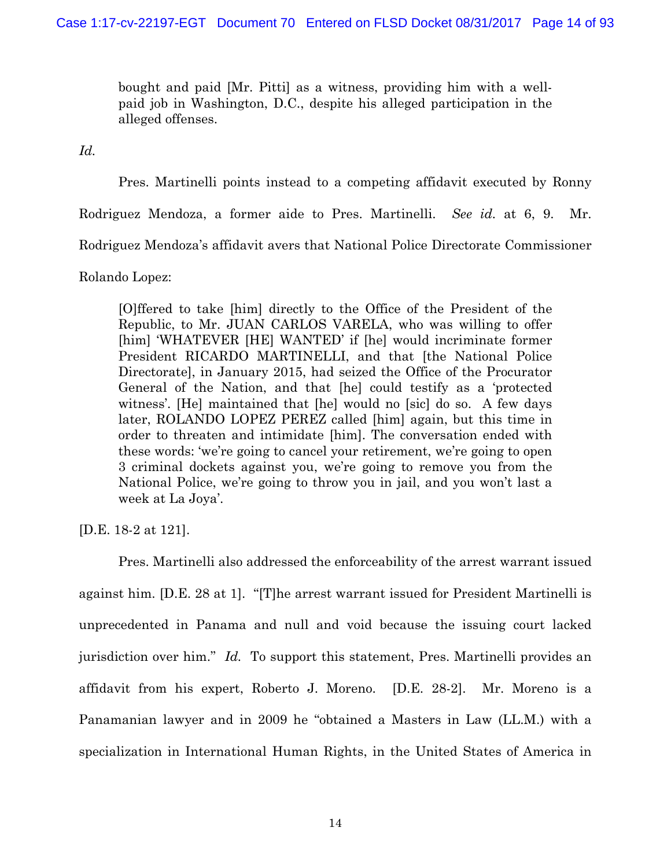bought and paid [Mr. Pitti] as a witness, providing him with a wellpaid job in Washington, D.C., despite his alleged participation in the alleged offenses.

*Id.*

Pres. Martinelli points instead to a competing affidavit executed by Ronny

Rodriguez Mendoza, a former aide to Pres. Martinelli. *See id.* at 6, 9. Mr.

Rodriguez Mendoza's affidavit avers that National Police Directorate Commissioner

Rolando Lopez:

[O]ffered to take [him] directly to the Office of the President of the Republic, to Mr. JUAN CARLOS VARELA, who was willing to offer [him] 'WHATEVER [HE] WANTED' if [he] would incriminate former President RICARDO MARTINELLI, and that [the National Police Directorate], in January 2015, had seized the Office of the Procurator General of the Nation, and that [he] could testify as a 'protected witness'. [He] maintained that [he] would no [sic] do so. A few days later, ROLANDO LOPEZ PEREZ called [him] again, but this time in order to threaten and intimidate [him]. The conversation ended with these words: 'we're going to cancel your retirement, we're going to open 3 criminal dockets against you, we're going to remove you from the National Police, we're going to throw you in jail, and you won't last a week at La Joya'.

[D.E. 18-2 at 121].

Pres. Martinelli also addressed the enforceability of the arrest warrant issued against him. [D.E. 28 at 1]. "[T]he arrest warrant issued for President Martinelli is unprecedented in Panama and null and void because the issuing court lacked jurisdiction over him." *Id.* To support this statement, Pres. Martinelli provides an affidavit from his expert, Roberto J. Moreno. [D.E. 28-2]. Mr. Moreno is a Panamanian lawyer and in 2009 he "obtained a Masters in Law (LL.M.) with a specialization in International Human Rights, in the United States of America in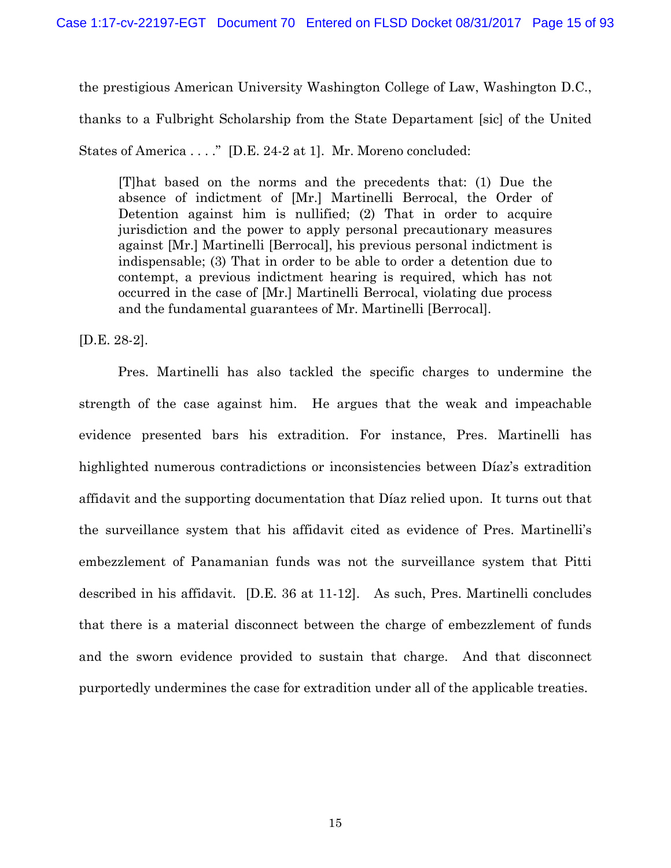the prestigious American University Washington College of Law, Washington D.C.,

thanks to a Fulbright Scholarship from the State Departament [sic] of the United

States of America . . . ." [D.E. 24-2 at 1]. Mr. Moreno concluded:

[T]hat based on the norms and the precedents that: (1) Due the absence of indictment of [Mr.] Martinelli Berrocal, the Order of Detention against him is nullified; (2) That in order to acquire jurisdiction and the power to apply personal precautionary measures against [Mr.] Martinelli [Berrocal], his previous personal indictment is indispensable; (3) That in order to be able to order a detention due to contempt, a previous indictment hearing is required, which has not occurred in the case of [Mr.] Martinelli Berrocal, violating due process and the fundamental guarantees of Mr. Martinelli [Berrocal].

[D.E. 28-2].

 Pres. Martinelli has also tackled the specific charges to undermine the strength of the case against him. He argues that the weak and impeachable evidence presented bars his extradition. For instance, Pres. Martinelli has highlighted numerous contradictions or inconsistencies between Díaz's extradition affidavit and the supporting documentation that Díaz relied upon. It turns out that the surveillance system that his affidavit cited as evidence of Pres. Martinelli's embezzlement of Panamanian funds was not the surveillance system that Pitti described in his affidavit. [D.E. 36 at 11-12]. As such, Pres. Martinelli concludes that there is a material disconnect between the charge of embezzlement of funds and the sworn evidence provided to sustain that charge. And that disconnect purportedly undermines the case for extradition under all of the applicable treaties.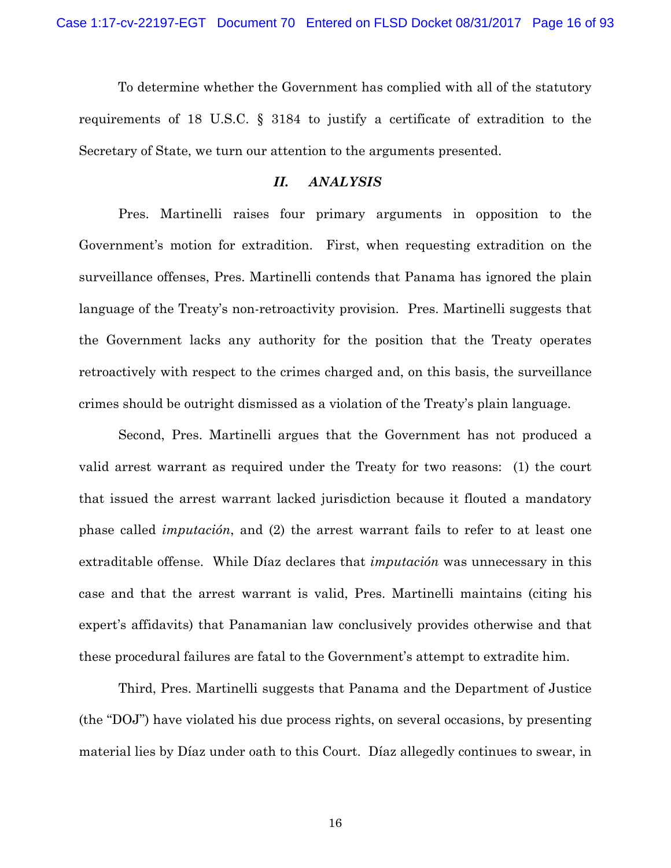To determine whether the Government has complied with all of the statutory requirements of 18 U.S.C. § 3184 to justify a certificate of extradition to the Secretary of State, we turn our attention to the arguments presented.

### *II. ANALYSIS*

Pres. Martinelli raises four primary arguments in opposition to the Government's motion for extradition. First, when requesting extradition on the surveillance offenses, Pres. Martinelli contends that Panama has ignored the plain language of the Treaty's non-retroactivity provision. Pres. Martinelli suggests that the Government lacks any authority for the position that the Treaty operates retroactively with respect to the crimes charged and, on this basis, the surveillance crimes should be outright dismissed as a violation of the Treaty's plain language.

Second, Pres. Martinelli argues that the Government has not produced a valid arrest warrant as required under the Treaty for two reasons: (1) the court that issued the arrest warrant lacked jurisdiction because it flouted a mandatory phase called *imputación*, and (2) the arrest warrant fails to refer to at least one extraditable offense. While Díaz declares that *imputación* was unnecessary in this case and that the arrest warrant is valid, Pres. Martinelli maintains (citing his expert's affidavits) that Panamanian law conclusively provides otherwise and that these procedural failures are fatal to the Government's attempt to extradite him.

Third, Pres. Martinelli suggests that Panama and the Department of Justice (the "DOJ") have violated his due process rights, on several occasions, by presenting material lies by Díaz under oath to this Court. Díaz allegedly continues to swear, in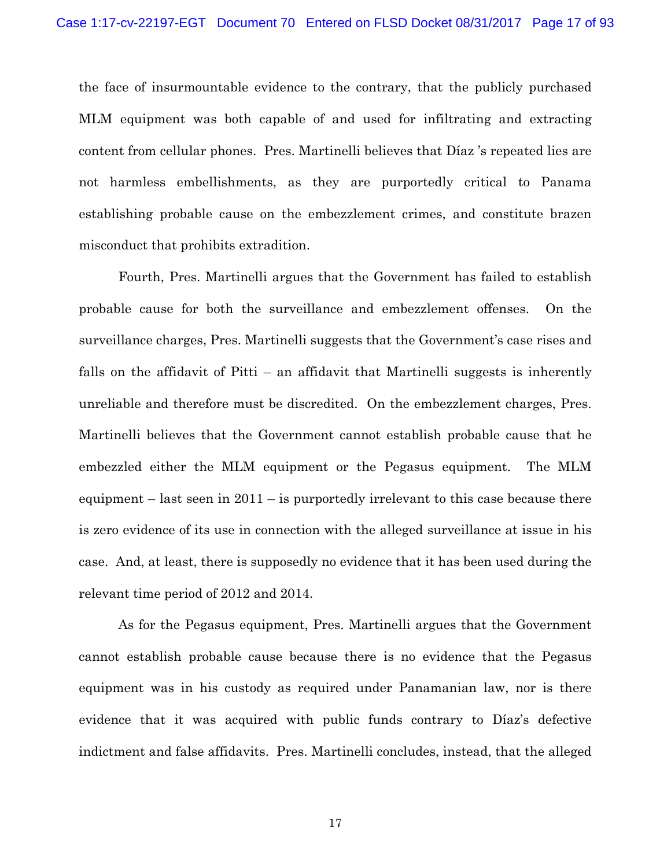the face of insurmountable evidence to the contrary, that the publicly purchased MLM equipment was both capable of and used for infiltrating and extracting content from cellular phones. Pres. Martinelli believes that Díaz 's repeated lies are not harmless embellishments, as they are purportedly critical to Panama establishing probable cause on the embezzlement crimes, and constitute brazen misconduct that prohibits extradition.

Fourth, Pres. Martinelli argues that the Government has failed to establish probable cause for both the surveillance and embezzlement offenses. On the surveillance charges, Pres. Martinelli suggests that the Government's case rises and falls on the affidavit of Pitti – an affidavit that Martinelli suggests is inherently unreliable and therefore must be discredited. On the embezzlement charges, Pres. Martinelli believes that the Government cannot establish probable cause that he embezzled either the MLM equipment or the Pegasus equipment. The MLM equipment  $-$  last seen in 2011  $-$  is purportedly irrelevant to this case because there is zero evidence of its use in connection with the alleged surveillance at issue in his case. And, at least, there is supposedly no evidence that it has been used during the relevant time period of 2012 and 2014.

As for the Pegasus equipment, Pres. Martinelli argues that the Government cannot establish probable cause because there is no evidence that the Pegasus equipment was in his custody as required under Panamanian law, nor is there evidence that it was acquired with public funds contrary to Díaz's defective indictment and false affidavits. Pres. Martinelli concludes, instead, that the alleged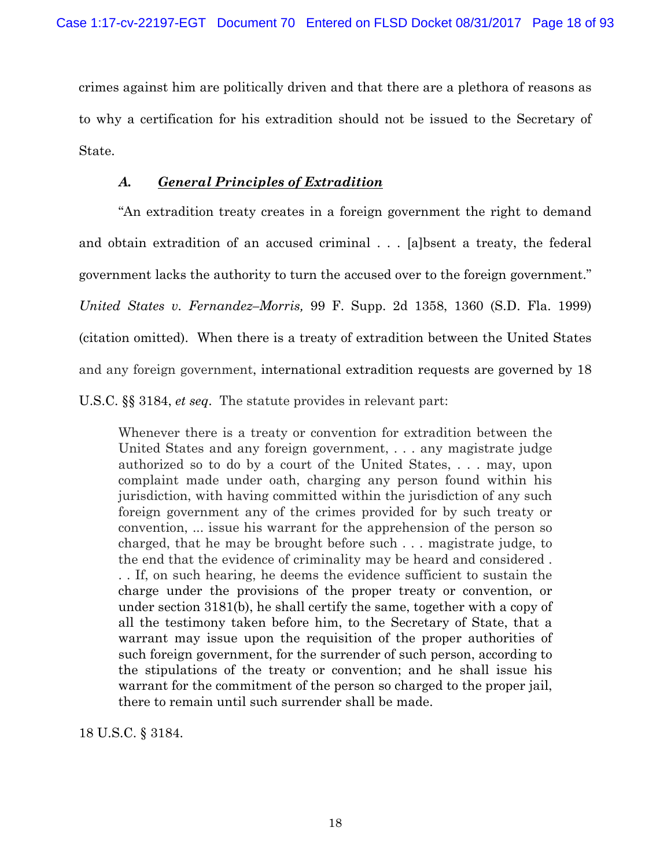crimes against him are politically driven and that there are a plethora of reasons as to why a certification for his extradition should not be issued to the Secretary of State.

## *A. General Principles of Extradition*

"An extradition treaty creates in a foreign government the right to demand and obtain extradition of an accused criminal . . . [a]bsent a treaty, the federal government lacks the authority to turn the accused over to the foreign government." *United States v. Fernandez–Morris,* 99 F. Supp. 2d 1358, 1360 (S.D. Fla. 1999) (citation omitted). When there is a treaty of extradition between the United States and any foreign government, international extradition requests are governed by 18 U.S.C. §§ 3184, *et seq*. The statute provides in relevant part:

Whenever there is a treaty or convention for extradition between the United States and any foreign government, . . . any magistrate judge authorized so to do by a court of the United States, . . . may, upon complaint made under oath, charging any person found within his jurisdiction, with having committed within the jurisdiction of any such foreign government any of the crimes provided for by such treaty or convention, ... issue his warrant for the apprehension of the person so charged, that he may be brought before such . . . magistrate judge, to the end that the evidence of criminality may be heard and considered . . . If, on such hearing, he deems the evidence sufficient to sustain the charge under the provisions of the proper treaty or convention, or under section 3181(b), he shall certify the same, together with a copy of all the testimony taken before him, to the Secretary of State, that a warrant may issue upon the requisition of the proper authorities of such foreign government, for the surrender of such person, according to the stipulations of the treaty or convention; and he shall issue his warrant for the commitment of the person so charged to the proper jail, there to remain until such surrender shall be made.

18 U.S.C. § 3184.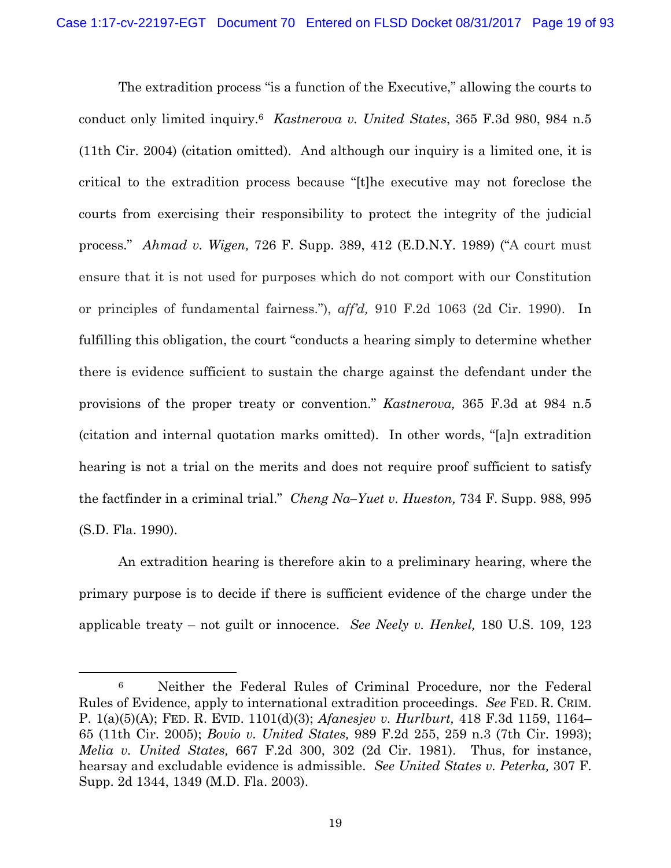The extradition process "is a function of the Executive," allowing the courts to conduct only limited inquiry.6 *Kastnerova v. United States*, 365 F.3d 980, 984 n.5 (11th Cir. 2004) (citation omitted). And although our inquiry is a limited one, it is critical to the extradition process because "[t]he executive may not foreclose the courts from exercising their responsibility to protect the integrity of the judicial process." *Ahmad v. Wigen,* 726 F. Supp. 389, 412 (E.D.N.Y. 1989) ("A court must ensure that it is not used for purposes which do not comport with our Constitution or principles of fundamental fairness."), *aff'd,* 910 F.2d 1063 (2d Cir. 1990). In fulfilling this obligation, the court "conducts a hearing simply to determine whether there is evidence sufficient to sustain the charge against the defendant under the provisions of the proper treaty or convention." *Kastnerova,* 365 F.3d at 984 n.5 (citation and internal quotation marks omitted). In other words, "[a]n extradition hearing is not a trial on the merits and does not require proof sufficient to satisfy the factfinder in a criminal trial." *Cheng Na–Yuet v. Hueston,* 734 F. Supp. 988, 995 (S.D. Fla. 1990).

An extradition hearing is therefore akin to a preliminary hearing, where the primary purpose is to decide if there is sufficient evidence of the charge under the applicable treaty – not guilt or innocence. *See Neely v. Henkel,* 180 U.S. 109, 123

 <sup>6</sup> Neither the Federal Rules of Criminal Procedure, nor the Federal Rules of Evidence, apply to international extradition proceedings. *See* FED. R. CRIM. P. 1(a)(5)(A); FED. R. EVID. 1101(d)(3); *Afanesjev v. Hurlburt,* 418 F.3d 1159, 1164– 65 (11th Cir. 2005); *Bovio v. United States,* 989 F.2d 255, 259 n.3 (7th Cir. 1993); *Melia v. United States,* 667 F.2d 300, 302 (2d Cir. 1981). Thus, for instance, hearsay and excludable evidence is admissible. *See United States v. Peterka,* 307 F. Supp. 2d 1344, 1349 (M.D. Fla. 2003).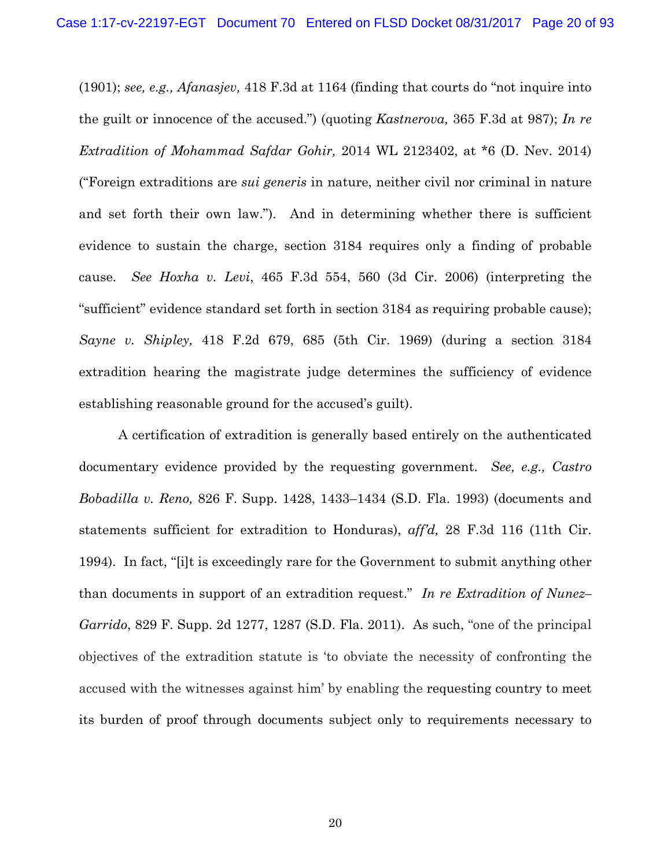(1901); *see, e.g., Afanasjev,* 418 F.3d at 1164 (finding that courts do "not inquire into the guilt or innocence of the accused.") (quoting *Kastnerova,* 365 F.3d at 987); *In re Extradition of Mohammad Safdar Gohir,* 2014 WL 2123402, at \*6 (D. Nev. 2014) ("Foreign extraditions are *sui generis* in nature, neither civil nor criminal in nature and set forth their own law."). And in determining whether there is sufficient evidence to sustain the charge, section 3184 requires only a finding of probable cause. *See Hoxha v. Levi*, 465 F.3d 554, 560 (3d Cir. 2006) (interpreting the "sufficient" evidence standard set forth in section 3184 as requiring probable cause); *Sayne v. Shipley,* 418 F.2d 679, 685 (5th Cir. 1969) (during a section 3184 extradition hearing the magistrate judge determines the sufficiency of evidence establishing reasonable ground for the accused's guilt).

 A certification of extradition is generally based entirely on the authenticated documentary evidence provided by the requesting government. *See, e.g., Castro Bobadilla v. Reno,* 826 F. Supp. 1428, 1433–1434 (S.D. Fla. 1993) (documents and statements sufficient for extradition to Honduras), *aff'd,* 28 F.3d 116 (11th Cir. 1994). In fact, "[i]t is exceedingly rare for the Government to submit anything other than documents in support of an extradition request." *In re Extradition of Nunez– Garrido*, 829 F. Supp. 2d 1277, 1287 (S.D. Fla. 2011). As such, "one of the principal objectives of the extradition statute is 'to obviate the necessity of confronting the accused with the witnesses against him' by enabling the requesting country to meet its burden of proof through documents subject only to requirements necessary to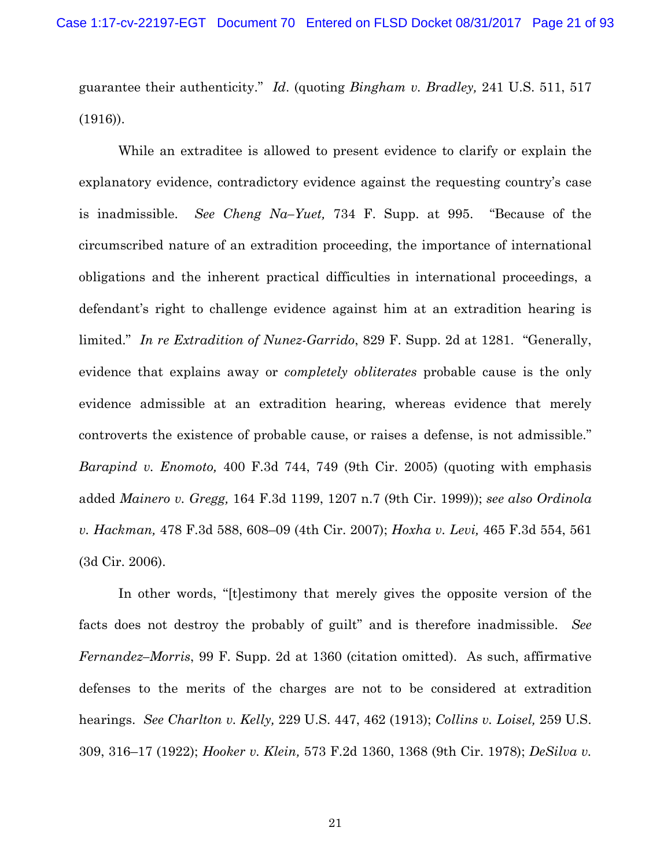guarantee their authenticity." *Id*. (quoting *Bingham v. Bradley,* 241 U.S. 511, 517 (1916)).

While an extraditee is allowed to present evidence to clarify or explain the explanatory evidence, contradictory evidence against the requesting country's case is inadmissible. *See Cheng Na–Yuet,* 734 F. Supp. at 995. "Because of the circumscribed nature of an extradition proceeding, the importance of international obligations and the inherent practical difficulties in international proceedings, a defendant's right to challenge evidence against him at an extradition hearing is limited." *In re Extradition of Nunez-Garrido*, 829 F. Supp. 2d at 1281. "Generally, evidence that explains away or *completely obliterates* probable cause is the only evidence admissible at an extradition hearing, whereas evidence that merely controverts the existence of probable cause, or raises a defense, is not admissible." *Barapind v. Enomoto,* 400 F.3d 744, 749 (9th Cir. 2005) (quoting with emphasis added *Mainero v. Gregg,* 164 F.3d 1199, 1207 n.7 (9th Cir. 1999)); *see also Ordinola v. Hackman,* 478 F.3d 588, 608–09 (4th Cir. 2007); *Hoxha v. Levi,* 465 F.3d 554, 561 (3d Cir. 2006).

In other words, "[t]estimony that merely gives the opposite version of the facts does not destroy the probably of guilt" and is therefore inadmissible. *See Fernandez–Morris*, 99 F. Supp. 2d at 1360 (citation omitted). As such, affirmative defenses to the merits of the charges are not to be considered at extradition hearings. *See Charlton v. Kelly,* 229 U.S. 447, 462 (1913); *Collins v. Loisel,* 259 U.S. 309, 316–17 (1922); *Hooker v. Klein,* 573 F.2d 1360, 1368 (9th Cir. 1978); *DeSilva v.*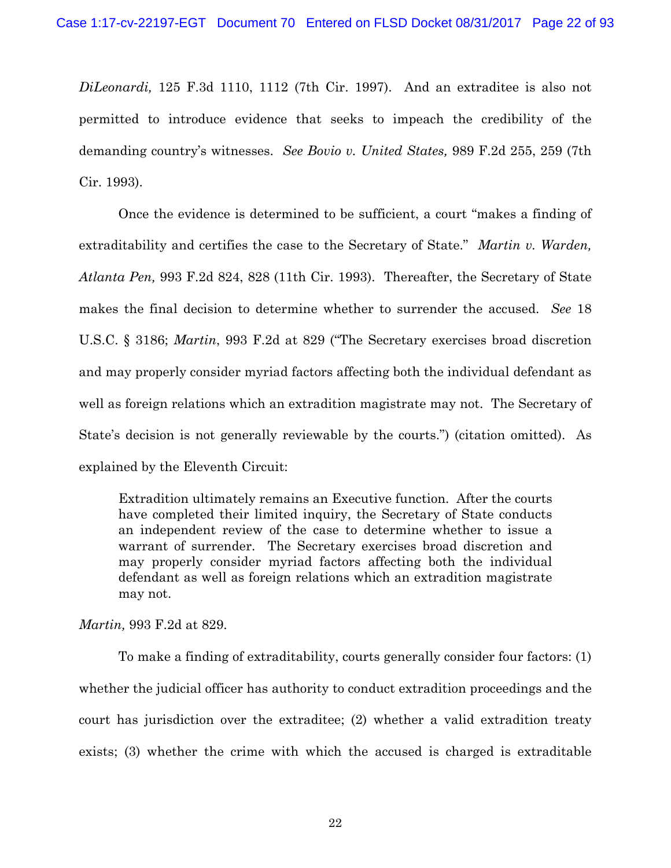*DiLeonardi,* 125 F.3d 1110, 1112 (7th Cir. 1997). And an extraditee is also not permitted to introduce evidence that seeks to impeach the credibility of the demanding country's witnesses. *See Bovio v. United States,* 989 F.2d 255, 259 (7th Cir. 1993).

Once the evidence is determined to be sufficient, a court "makes a finding of extraditability and certifies the case to the Secretary of State." *Martin v. Warden, Atlanta Pen,* 993 F.2d 824, 828 (11th Cir. 1993). Thereafter, the Secretary of State makes the final decision to determine whether to surrender the accused. *See* 18 U.S.C. § 3186; *Martin*, 993 F.2d at 829 ("The Secretary exercises broad discretion and may properly consider myriad factors affecting both the individual defendant as well as foreign relations which an extradition magistrate may not. The Secretary of State's decision is not generally reviewable by the courts.") (citation omitted). As explained by the Eleventh Circuit:

Extradition ultimately remains an Executive function. After the courts have completed their limited inquiry, the Secretary of State conducts an independent review of the case to determine whether to issue a warrant of surrender. The Secretary exercises broad discretion and may properly consider myriad factors affecting both the individual defendant as well as foreign relations which an extradition magistrate may not.

*Martin,* 993 F.2d at 829.

To make a finding of extraditability, courts generally consider four factors: (1) whether the judicial officer has authority to conduct extradition proceedings and the court has jurisdiction over the extraditee; (2) whether a valid extradition treaty exists; (3) whether the crime with which the accused is charged is extraditable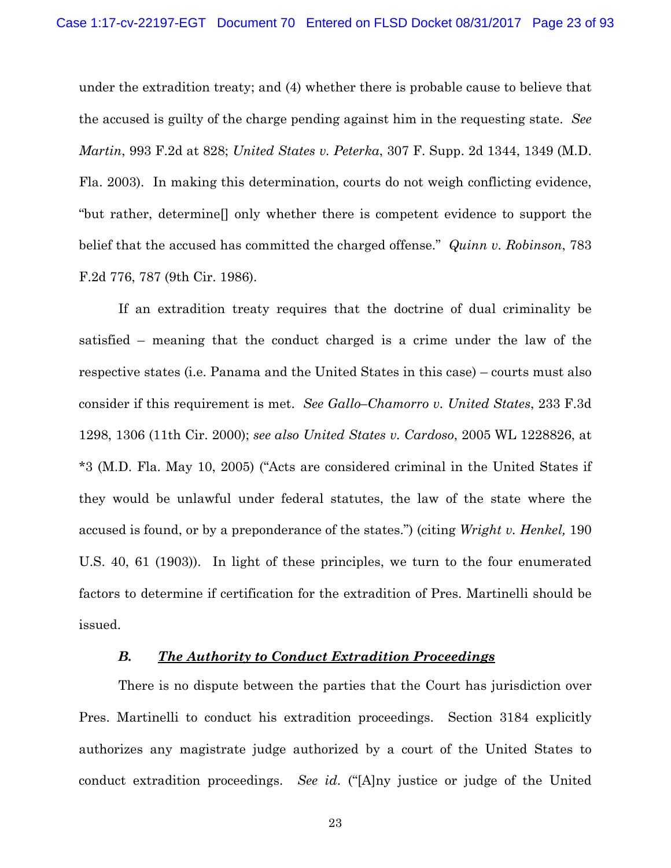under the extradition treaty; and (4) whether there is probable cause to believe that the accused is guilty of the charge pending against him in the requesting state. *See Martin*, 993 F.2d at 828; *United States v. Peterka*, 307 F. Supp. 2d 1344, 1349 (M.D. Fla. 2003). In making this determination, courts do not weigh conflicting evidence, "but rather, determine[] only whether there is competent evidence to support the belief that the accused has committed the charged offense." *Quinn v. Robinson*, 783 F.2d 776, 787 (9th Cir. 1986).

If an extradition treaty requires that the doctrine of dual criminality be satisfied – meaning that the conduct charged is a crime under the law of the respective states (i.e. Panama and the United States in this case) – courts must also consider if this requirement is met. *See Gallo–Chamorro v. United States*, 233 F.3d 1298, 1306 (11th Cir. 2000); *see also United States v. Cardoso*, 2005 WL 1228826, at \*3 (M.D. Fla. May 10, 2005) ("Acts are considered criminal in the United States if they would be unlawful under federal statutes, the law of the state where the accused is found, or by a preponderance of the states.") (citing *Wright v. Henkel,* 190 U.S. 40, 61 (1903)). In light of these principles, we turn to the four enumerated factors to determine if certification for the extradition of Pres. Martinelli should be issued.

### *B. The Authority to Conduct Extradition Proceedings*

There is no dispute between the parties that the Court has jurisdiction over Pres. Martinelli to conduct his extradition proceedings. Section 3184 explicitly authorizes any magistrate judge authorized by a court of the United States to conduct extradition proceedings. *See id*. ("[A]ny justice or judge of the United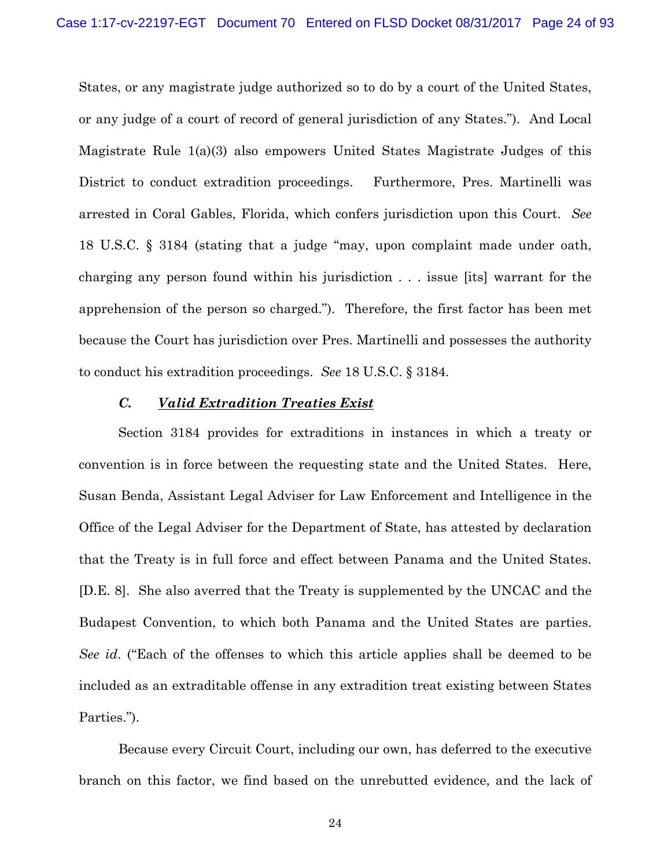States, or any magistrate judge authorized so to do by a court of the United States, or any judge of a court of record of general jurisdiction of any States."). And Local Magistrate Rule 1(a)(3) also empowers United States Magistrate Judges of this District to conduct extradition proceedings. Furthermore, Pres. Martinelli was arrested in Coral Gables, Florida, which confers jurisdiction upon this Court. *See* 18 U.S.C. § 3184 (stating that a judge "may, upon complaint made under oath, charging any person found within his jurisdiction . . . issue [its] warrant for the apprehension of the person so charged."). Therefore, the first factor has been met because the Court has jurisdiction over Pres. Martinelli and possesses the authority to conduct his extradition proceedings. *See* 18 U.S.C. § 3184.

#### *C. Valid Extradition Treaties Exist*

Section 3184 provides for extraditions in instances in which a treaty or convention is in force between the requesting state and the United States. Here, Susan Benda, Assistant Legal Adviser for Law Enforcement and Intelligence in the Office of the Legal Adviser for the Department of State, has attested by declaration that the Treaty is in full force and effect between Panama and the United States. [D.E. 8]. She also averred that the Treaty is supplemented by the UNCAC and the Budapest Convention, to which both Panama and the United States are parties. *See id*. ("Each of the offenses to which this article applies shall be deemed to be included as an extraditable offense in any extradition treat existing between States Parties.").

Because every Circuit Court, including our own, has deferred to the executive branch on this factor, we find based on the unrebutted evidence, and the lack of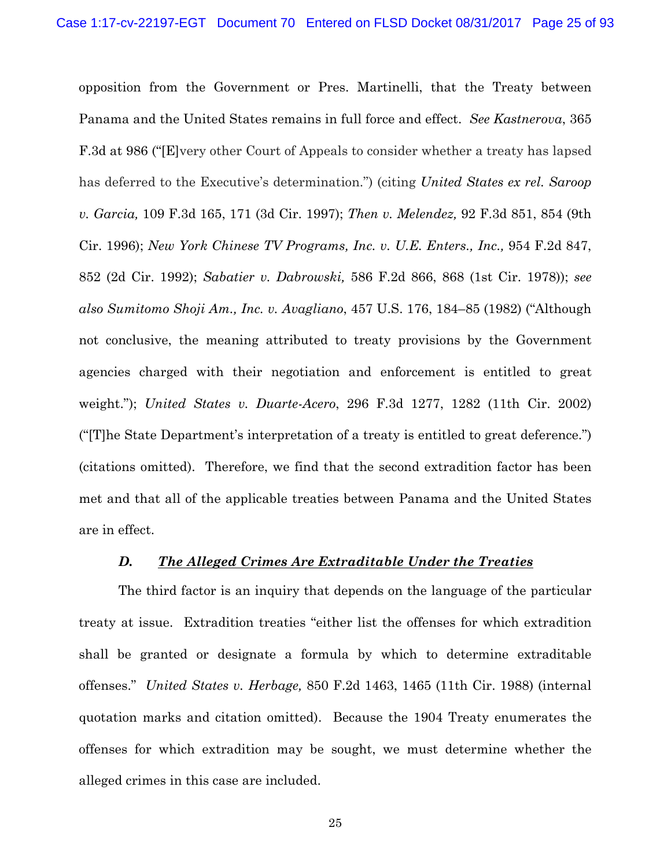opposition from the Government or Pres. Martinelli, that the Treaty between Panama and the United States remains in full force and effect. *See Kastnerova*, 365 F.3d at 986 ("[E]very other Court of Appeals to consider whether a treaty has lapsed has deferred to the Executive's determination.") (citing *United States ex rel. Saroop v. Garcia,* 109 F.3d 165, 171 (3d Cir. 1997); *Then v. Melendez,* 92 F.3d 851, 854 (9th Cir. 1996); *New York Chinese TV Programs, Inc. v. U.E. Enters., Inc.,* 954 F.2d 847, 852 (2d Cir. 1992); *Sabatier v. Dabrowski,* 586 F.2d 866, 868 (1st Cir. 1978)); *see also Sumitomo Shoji Am., Inc. v. Avagliano*, 457 U.S. 176, 184–85 (1982) ("Although not conclusive, the meaning attributed to treaty provisions by the Government agencies charged with their negotiation and enforcement is entitled to great weight."); *United States v. Duarte-Acero*, 296 F.3d 1277, 1282 (11th Cir. 2002) ("[T]he State Department's interpretation of a treaty is entitled to great deference.") (citations omitted). Therefore, we find that the second extradition factor has been met and that all of the applicable treaties between Panama and the United States are in effect.

## *D. The Alleged Crimes Are Extraditable Under the Treaties*

The third factor is an inquiry that depends on the language of the particular treaty at issue. Extradition treaties "either list the offenses for which extradition shall be granted or designate a formula by which to determine extraditable offenses." *United States v. Herbage,* 850 F.2d 1463, 1465 (11th Cir. 1988) (internal quotation marks and citation omitted). Because the 1904 Treaty enumerates the offenses for which extradition may be sought, we must determine whether the alleged crimes in this case are included.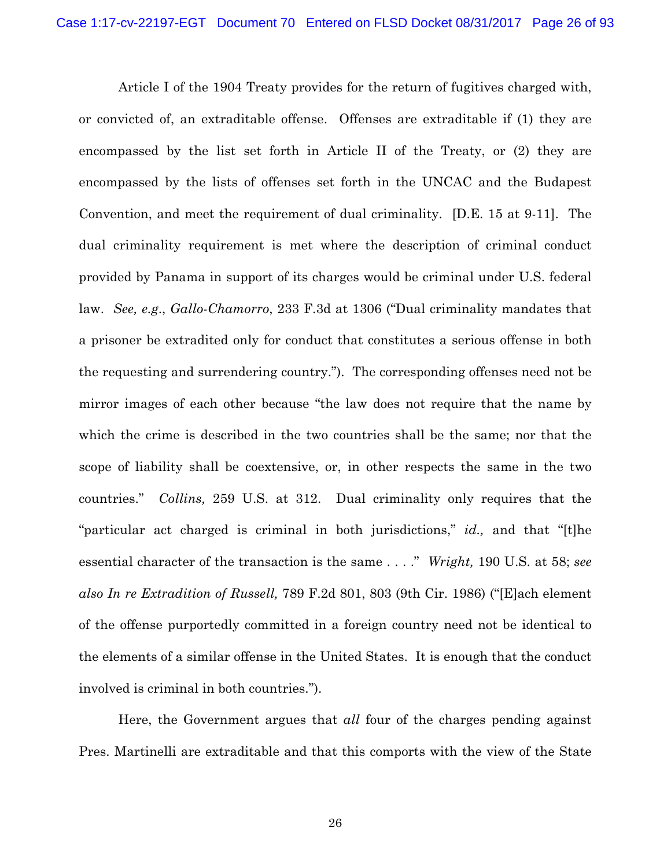Article I of the 1904 Treaty provides for the return of fugitives charged with, or convicted of, an extraditable offense. Offenses are extraditable if (1) they are encompassed by the list set forth in Article II of the Treaty, or (2) they are encompassed by the lists of offenses set forth in the UNCAC and the Budapest Convention, and meet the requirement of dual criminality. [D.E. 15 at 9-11]. The dual criminality requirement is met where the description of criminal conduct provided by Panama in support of its charges would be criminal under U.S. federal law. *See, e.g*., *Gallo-Chamorro*, 233 F.3d at 1306 ("Dual criminality mandates that a prisoner be extradited only for conduct that constitutes a serious offense in both the requesting and surrendering country."). The corresponding offenses need not be mirror images of each other because "the law does not require that the name by which the crime is described in the two countries shall be the same; nor that the scope of liability shall be coextensive, or, in other respects the same in the two countries." *Collins,* 259 U.S. at 312. Dual criminality only requires that the "particular act charged is criminal in both jurisdictions," *id.,* and that "[t]he essential character of the transaction is the same . . . ." *Wright,* 190 U.S. at 58; *see also In re Extradition of Russell,* 789 F.2d 801, 803 (9th Cir. 1986) ("[E]ach element of the offense purportedly committed in a foreign country need not be identical to the elements of a similar offense in the United States. It is enough that the conduct involved is criminal in both countries.").

Here, the Government argues that *all* four of the charges pending against Pres. Martinelli are extraditable and that this comports with the view of the State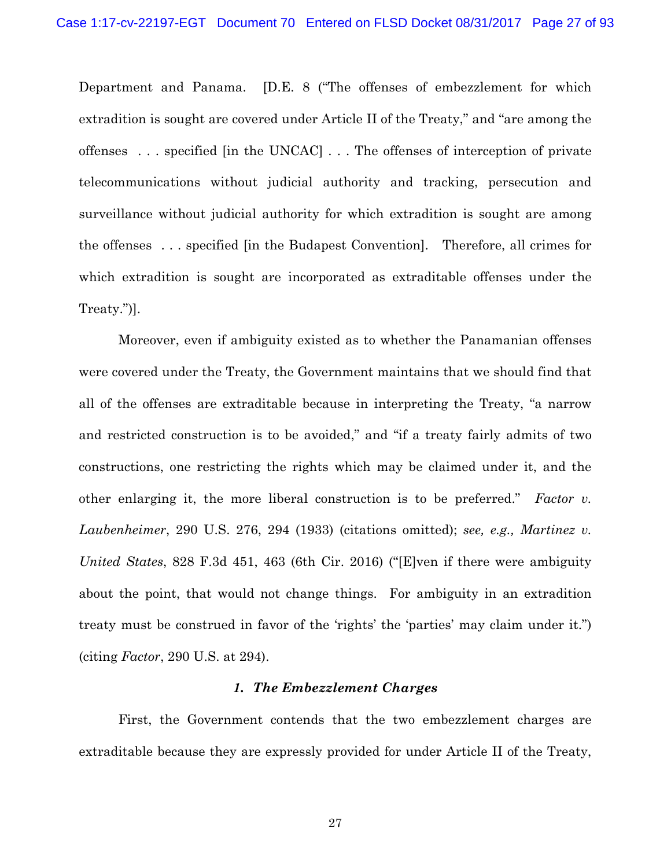Department and Panama. [D.E. 8 ("The offenses of embezzlement for which extradition is sought are covered under Article II of the Treaty," and "are among the offenses . . . specified [in the UNCAC] . . . The offenses of interception of private telecommunications without judicial authority and tracking, persecution and surveillance without judicial authority for which extradition is sought are among the offenses . . . specified [in the Budapest Convention]. Therefore, all crimes for which extradition is sought are incorporated as extraditable offenses under the Treaty.")].

Moreover, even if ambiguity existed as to whether the Panamanian offenses were covered under the Treaty, the Government maintains that we should find that all of the offenses are extraditable because in interpreting the Treaty, "a narrow and restricted construction is to be avoided," and "if a treaty fairly admits of two constructions, one restricting the rights which may be claimed under it, and the other enlarging it, the more liberal construction is to be preferred." *Factor v. Laubenheimer*, 290 U.S. 276, 294 (1933) (citations omitted); *see, e.g., Martinez v. United States*, 828 F.3d 451, 463 (6th Cir. 2016) ("[E]ven if there were ambiguity about the point, that would not change things. For ambiguity in an extradition treaty must be construed in favor of the 'rights' the 'parties' may claim under it.") (citing *Factor*, 290 U.S. at 294).

#### *1. The Embezzlement Charges*

First, the Government contends that the two embezzlement charges are extraditable because they are expressly provided for under Article II of the Treaty,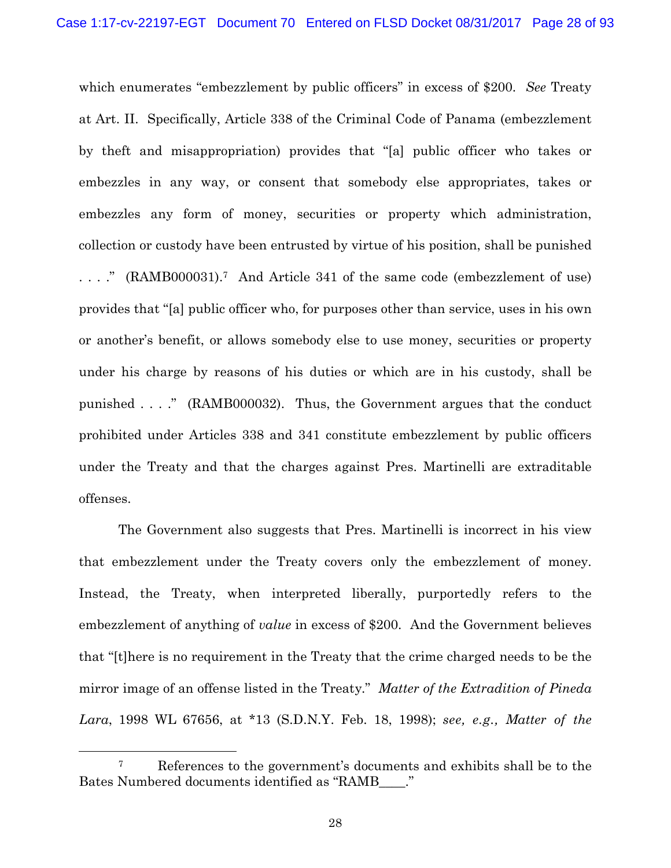which enumerates "embezzlement by public officers" in excess of \$200. *See* Treaty at Art. II. Specifically, Article 338 of the Criminal Code of Panama (embezzlement by theft and misappropriation) provides that "[a] public officer who takes or embezzles in any way, or consent that somebody else appropriates, takes or embezzles any form of money, securities or property which administration, collection or custody have been entrusted by virtue of his position, shall be punished . . . ." (RAMB000031).7 And Article 341 of the same code (embezzlement of use) provides that "[a] public officer who, for purposes other than service, uses in his own or another's benefit, or allows somebody else to use money, securities or property under his charge by reasons of his duties or which are in his custody, shall be punished . . . ." (RAMB000032). Thus, the Government argues that the conduct prohibited under Articles 338 and 341 constitute embezzlement by public officers under the Treaty and that the charges against Pres. Martinelli are extraditable offenses.

The Government also suggests that Pres. Martinelli is incorrect in his view that embezzlement under the Treaty covers only the embezzlement of money. Instead, the Treaty, when interpreted liberally, purportedly refers to the embezzlement of anything of *value* in excess of \$200. And the Government believes that "[t]here is no requirement in the Treaty that the crime charged needs to be the mirror image of an offense listed in the Treaty." *Matter of the Extradition of Pineda Lara*, 1998 WL 67656, at \*13 (S.D.N.Y. Feb. 18, 1998); *see, e.g., Matter of the* 

 <sup>7</sup> References to the government's documents and exhibits shall be to the Bates Numbered documents identified as "RAMB\_\_\_\_."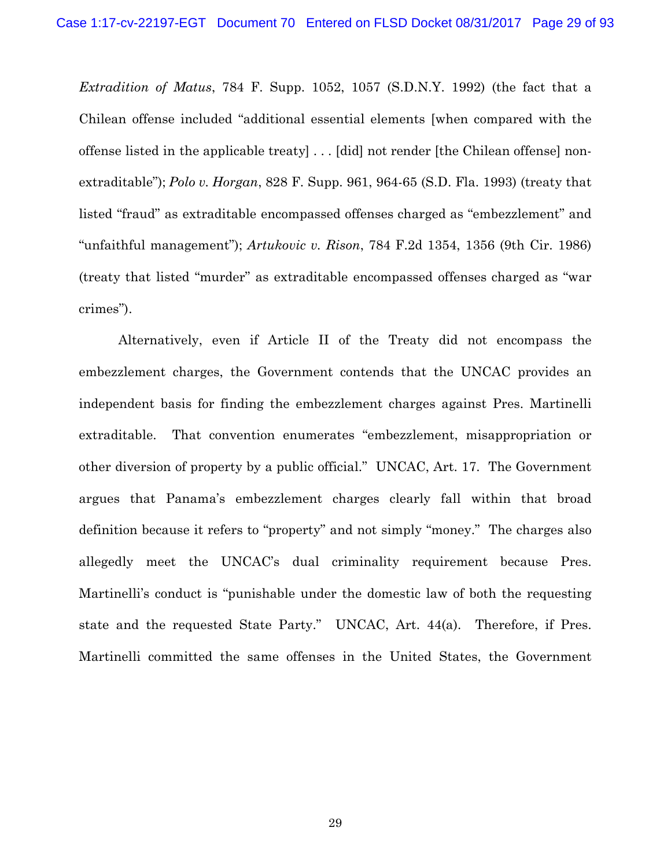*Extradition of Matus*, 784 F. Supp. 1052, 1057 (S.D.N.Y. 1992) (the fact that a Chilean offense included "additional essential elements [when compared with the offense listed in the applicable treaty] . . . [did] not render [the Chilean offense] nonextraditable"); *Polo v. Horgan*, 828 F. Supp. 961, 964-65 (S.D. Fla. 1993) (treaty that listed "fraud" as extraditable encompassed offenses charged as "embezzlement" and "unfaithful management"); *Artukovic v. Rison*, 784 F.2d 1354, 1356 (9th Cir. 1986) (treaty that listed "murder" as extraditable encompassed offenses charged as "war crimes").

Alternatively, even if Article II of the Treaty did not encompass the embezzlement charges, the Government contends that the UNCAC provides an independent basis for finding the embezzlement charges against Pres. Martinelli extraditable. That convention enumerates "embezzlement, misappropriation or other diversion of property by a public official." UNCAC, Art. 17. The Government argues that Panama's embezzlement charges clearly fall within that broad definition because it refers to "property" and not simply "money." The charges also allegedly meet the UNCAC's dual criminality requirement because Pres. Martinelli's conduct is "punishable under the domestic law of both the requesting state and the requested State Party." UNCAC, Art. 44(a). Therefore, if Pres. Martinelli committed the same offenses in the United States, the Government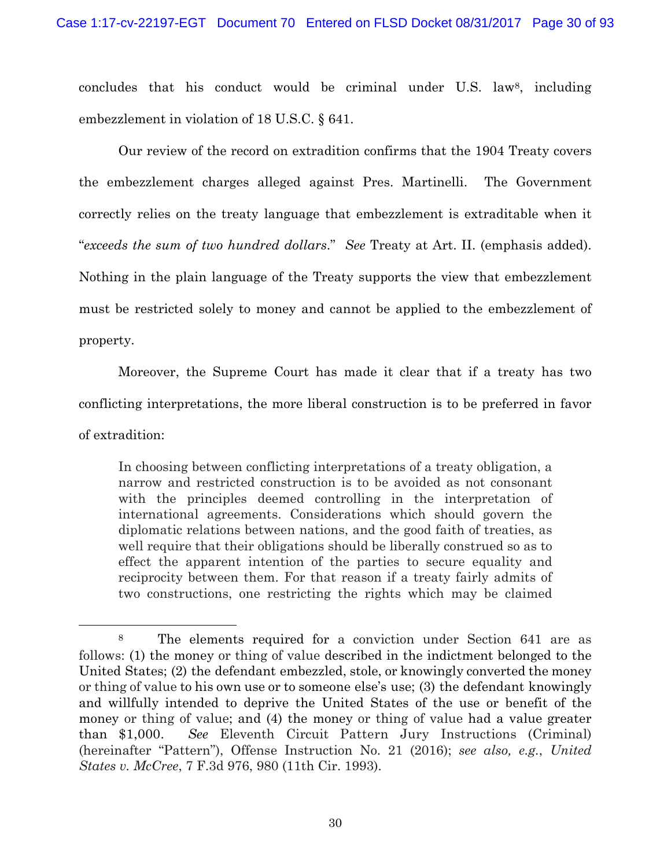concludes that his conduct would be criminal under U.S. law8, including embezzlement in violation of 18 U.S.C. § 641.

Our review of the record on extradition confirms that the 1904 Treaty covers the embezzlement charges alleged against Pres. Martinelli. The Government correctly relies on the treaty language that embezzlement is extraditable when it "*exceeds the sum of two hundred dollars*." *See* Treaty at Art. II. (emphasis added). Nothing in the plain language of the Treaty supports the view that embezzlement must be restricted solely to money and cannot be applied to the embezzlement of property.

Moreover, the Supreme Court has made it clear that if a treaty has two conflicting interpretations, the more liberal construction is to be preferred in favor of extradition:

In choosing between conflicting interpretations of a treaty obligation, a narrow and restricted construction is to be avoided as not consonant with the principles deemed controlling in the interpretation of international agreements. Considerations which should govern the diplomatic relations between nations, and the good faith of treaties, as well require that their obligations should be liberally construed so as to effect the apparent intention of the parties to secure equality and reciprocity between them. For that reason if a treaty fairly admits of two constructions, one restricting the rights which may be claimed

 <sup>8</sup> The elements required for a conviction under Section 641 are as follows: (1) the money or thing of value described in the indictment belonged to the United States; (2) the defendant embezzled, stole, or knowingly converted the money or thing of value to his own use or to someone else's use; (3) the defendant knowingly and willfully intended to deprive the United States of the use or benefit of the money or thing of value; and (4) the money or thing of value had a value greater than \$1,000. *See* Eleventh Circuit Pattern Jury Instructions (Criminal) (hereinafter "Pattern"), Offense Instruction No. 21 (2016); *see also, e.g.*, *United States v. McCree*, 7 F.3d 976, 980 (11th Cir. 1993).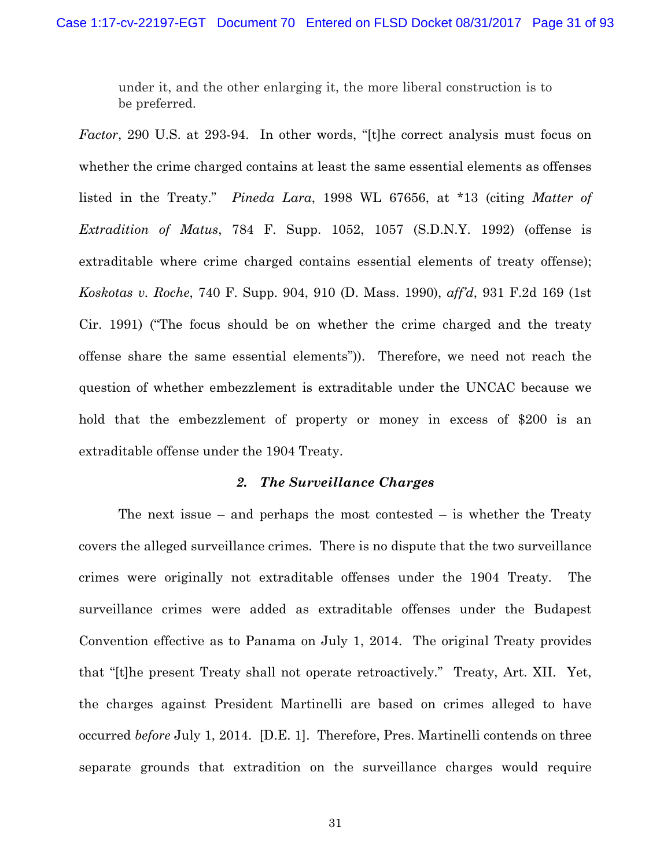under it, and the other enlarging it, the more liberal construction is to be preferred.

*Factor*, 290 U.S. at 293-94. In other words, "[t]he correct analysis must focus on whether the crime charged contains at least the same essential elements as offenses listed in the Treaty." *Pineda Lara*, 1998 WL 67656, at \*13 (citing *Matter of Extradition of Matus*, 784 F. Supp. 1052, 1057 (S.D.N.Y. 1992) (offense is extraditable where crime charged contains essential elements of treaty offense); *Koskotas v. Roche*, 740 F. Supp. 904, 910 (D. Mass. 1990), *aff'd*, 931 F.2d 169 (1st Cir. 1991) ("The focus should be on whether the crime charged and the treaty offense share the same essential elements")). Therefore, we need not reach the question of whether embezzlement is extraditable under the UNCAC because we hold that the embezzlement of property or money in excess of \$200 is an extraditable offense under the 1904 Treaty.

#### *2. The Surveillance Charges*

The next issue – and perhaps the most contested – is whether the Treaty covers the alleged surveillance crimes. There is no dispute that the two surveillance crimes were originally not extraditable offenses under the 1904 Treaty. The surveillance crimes were added as extraditable offenses under the Budapest Convention effective as to Panama on July 1, 2014. The original Treaty provides that "[t]he present Treaty shall not operate retroactively." Treaty, Art. XII. Yet, the charges against President Martinelli are based on crimes alleged to have occurred *before* July 1, 2014. [D.E. 1]. Therefore, Pres. Martinelli contends on three separate grounds that extradition on the surveillance charges would require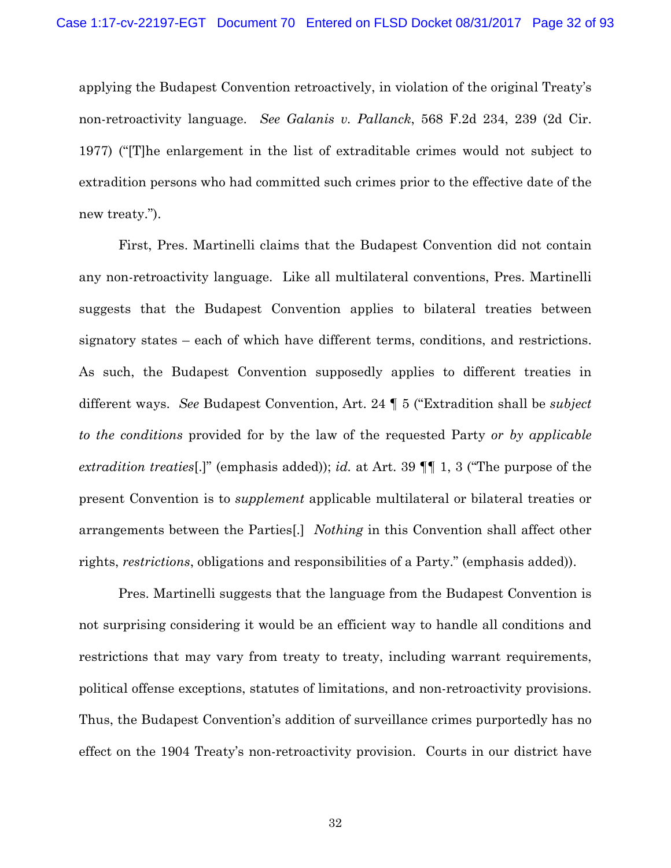applying the Budapest Convention retroactively, in violation of the original Treaty's non-retroactivity language. *See Galanis v. Pallanck*, 568 F.2d 234, 239 (2d Cir. 1977) ("[T]he enlargement in the list of extraditable crimes would not subject to extradition persons who had committed such crimes prior to the effective date of the new treaty.").

First, Pres. Martinelli claims that the Budapest Convention did not contain any non-retroactivity language. Like all multilateral conventions, Pres. Martinelli suggests that the Budapest Convention applies to bilateral treaties between signatory states – each of which have different terms, conditions, and restrictions. As such, the Budapest Convention supposedly applies to different treaties in different ways. *See* Budapest Convention, Art. 24 ¶ 5 ("Extradition shall be *subject to the conditions* provided for by the law of the requested Party *or by applicable extradition treaties*[.]" (emphasis added)); *id.* at Art. 39 ¶¶ 1, 3 ("The purpose of the present Convention is to *supplement* applicable multilateral or bilateral treaties or arrangements between the Parties[.] *Nothing* in this Convention shall affect other rights, *restrictions*, obligations and responsibilities of a Party." (emphasis added)).

Pres. Martinelli suggests that the language from the Budapest Convention is not surprising considering it would be an efficient way to handle all conditions and restrictions that may vary from treaty to treaty, including warrant requirements, political offense exceptions, statutes of limitations, and non-retroactivity provisions. Thus, the Budapest Convention's addition of surveillance crimes purportedly has no effect on the 1904 Treaty's non-retroactivity provision. Courts in our district have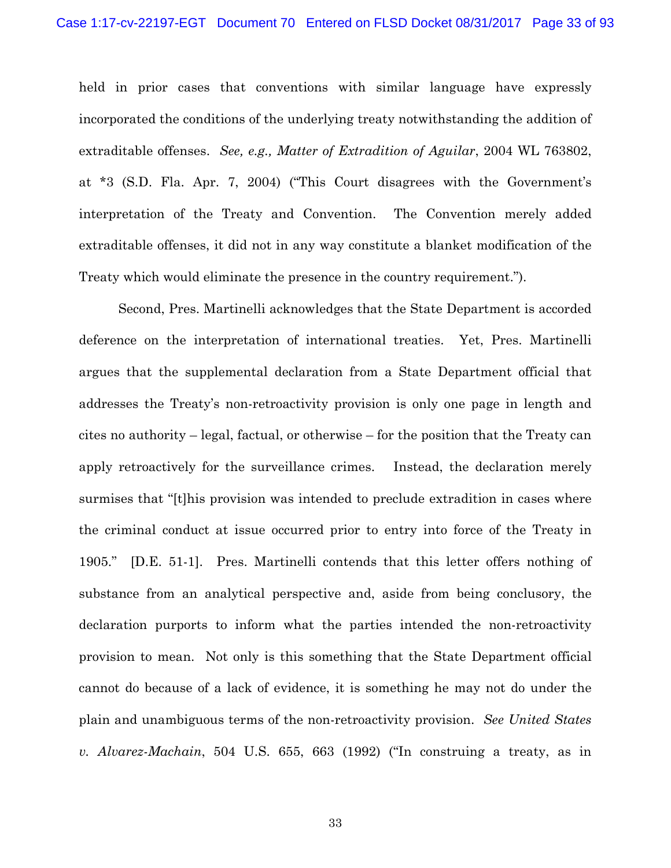held in prior cases that conventions with similar language have expressly incorporated the conditions of the underlying treaty notwithstanding the addition of extraditable offenses. *See, e.g., Matter of Extradition of Aguilar*, 2004 WL 763802, at \*3 (S.D. Fla. Apr. 7, 2004) ("This Court disagrees with the Government's interpretation of the Treaty and Convention. The Convention merely added extraditable offenses, it did not in any way constitute a blanket modification of the Treaty which would eliminate the presence in the country requirement.").

Second, Pres. Martinelli acknowledges that the State Department is accorded deference on the interpretation of international treaties. Yet, Pres. Martinelli argues that the supplemental declaration from a State Department official that addresses the Treaty's non-retroactivity provision is only one page in length and cites no authority – legal, factual, or otherwise – for the position that the Treaty can apply retroactively for the surveillance crimes. Instead, the declaration merely surmises that "[t]his provision was intended to preclude extradition in cases where the criminal conduct at issue occurred prior to entry into force of the Treaty in 1905." [D.E. 51-1]. Pres. Martinelli contends that this letter offers nothing of substance from an analytical perspective and, aside from being conclusory, the declaration purports to inform what the parties intended the non-retroactivity provision to mean. Not only is this something that the State Department official cannot do because of a lack of evidence, it is something he may not do under the plain and unambiguous terms of the non-retroactivity provision. *See United States v. Alvarez-Machain*, 504 U.S. 655, 663 (1992) ("In construing a treaty, as in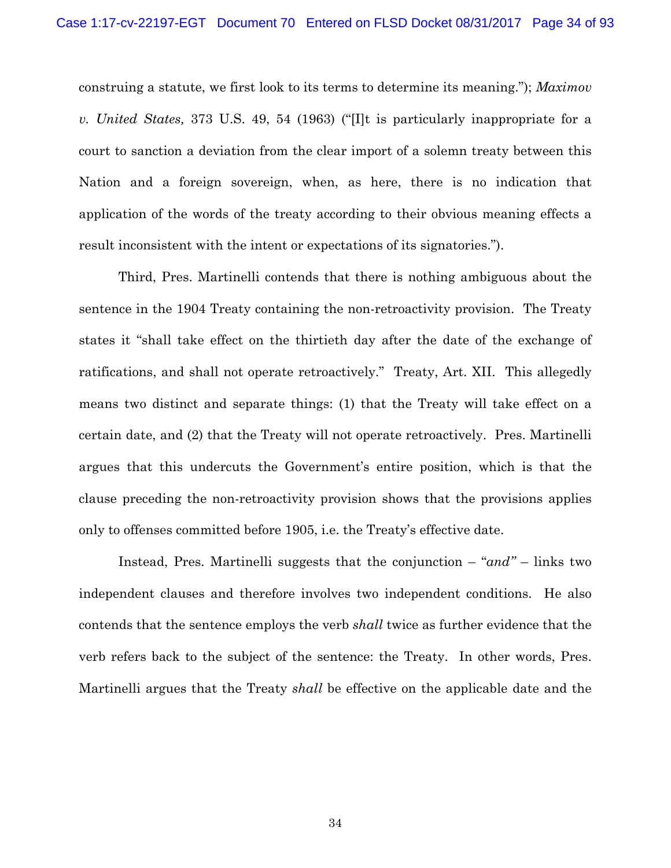construing a statute, we first look to its terms to determine its meaning."); *Maximov v. United States,* 373 U.S. 49, 54 (1963) ("[I]t is particularly inappropriate for a court to sanction a deviation from the clear import of a solemn treaty between this Nation and a foreign sovereign, when, as here, there is no indication that application of the words of the treaty according to their obvious meaning effects a result inconsistent with the intent or expectations of its signatories.").

Third, Pres. Martinelli contends that there is nothing ambiguous about the sentence in the 1904 Treaty containing the non-retroactivity provision. The Treaty states it "shall take effect on the thirtieth day after the date of the exchange of ratifications, and shall not operate retroactively." Treaty, Art. XII. This allegedly means two distinct and separate things: (1) that the Treaty will take effect on a certain date, and (2) that the Treaty will not operate retroactively. Pres. Martinelli argues that this undercuts the Government's entire position, which is that the clause preceding the non-retroactivity provision shows that the provisions applies only to offenses committed before 1905, i.e. the Treaty's effective date.

Instead, Pres. Martinelli suggests that the conjunction – "*and"* – links two independent clauses and therefore involves two independent conditions. He also contends that the sentence employs the verb *shall* twice as further evidence that the verb refers back to the subject of the sentence: the Treaty. In other words, Pres. Martinelli argues that the Treaty *shall* be effective on the applicable date and the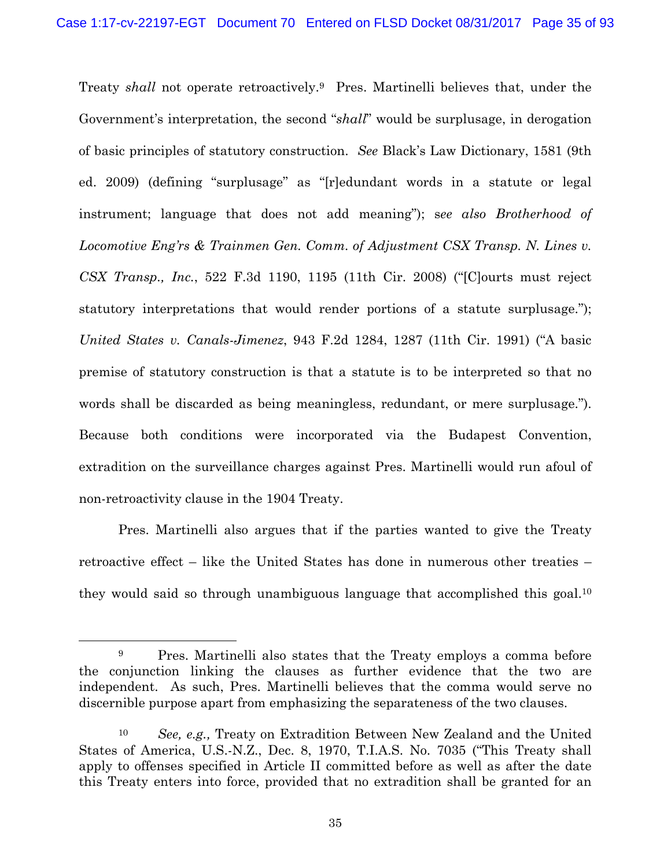Treaty *shall* not operate retroactively.9 Pres. Martinelli believes that, under the Government's interpretation, the second "*shall*" would be surplusage, in derogation of basic principles of statutory construction. *See* Black's Law Dictionary, 1581 (9th ed. 2009) (defining "surplusage" as "[r]edundant words in a statute or legal instrument; language that does not add meaning"); s*ee also Brotherhood of Locomotive Eng'rs & Trainmen Gen. Comm. of Adjustment CSX Transp. N. Lines v. CSX Transp., Inc.*, 522 F.3d 1190, 1195 (11th Cir. 2008) ("[C]ourts must reject statutory interpretations that would render portions of a statute surplusage."); *United States v. Canals-Jimenez*, 943 F.2d 1284, 1287 (11th Cir. 1991) ("A basic premise of statutory construction is that a statute is to be interpreted so that no words shall be discarded as being meaningless, redundant, or mere surplusage."). Because both conditions were incorporated via the Budapest Convention, extradition on the surveillance charges against Pres. Martinelli would run afoul of non-retroactivity clause in the 1904 Treaty.

Pres. Martinelli also argues that if the parties wanted to give the Treaty retroactive effect – like the United States has done in numerous other treaties – they would said so through unambiguous language that accomplished this goal.10

<sup>&</sup>lt;sup>9</sup> Pres. Martinelli also states that the Treaty employs a comma before the conjunction linking the clauses as further evidence that the two are independent. As such, Pres. Martinelli believes that the comma would serve no discernible purpose apart from emphasizing the separateness of the two clauses.

<sup>10</sup> *See, e.g.,* Treaty on Extradition Between New Zealand and the United States of America, U.S.-N.Z., Dec. 8, 1970, T.I.A.S. No. 7035 ("This Treaty shall apply to offenses specified in Article II committed before as well as after the date this Treaty enters into force, provided that no extradition shall be granted for an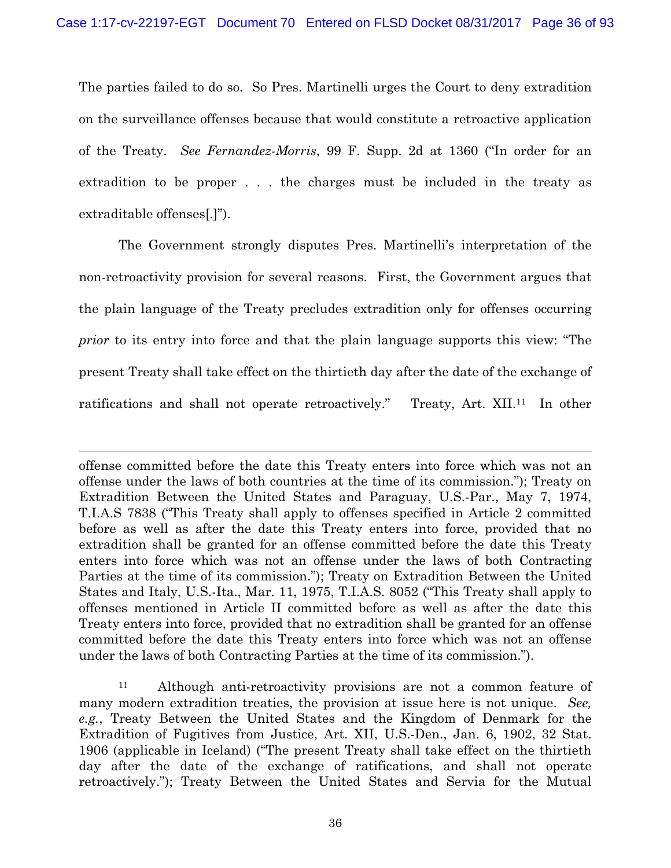The parties failed to do so. So Pres. Martinelli urges the Court to deny extradition on the surveillance offenses because that would constitute a retroactive application of the Treaty. *See Fernandez-Morris*, 99 F. Supp. 2d at 1360 ("In order for an extradition to be proper . . . the charges must be included in the treaty as extraditable offenses[.]").

The Government strongly disputes Pres. Martinelli's interpretation of the non-retroactivity provision for several reasons. First, the Government argues that the plain language of the Treaty precludes extradition only for offenses occurring *prior* to its entry into force and that the plain language supports this view: "The present Treaty shall take effect on the thirtieth day after the date of the exchange of ratifications and shall not operate retroactively." Treaty, Art. XII.<sup>11</sup> In other

offense committed before the date this Treaty enters into force which was not an offense under the laws of both countries at the time of its commission."); Treaty on Extradition Between the United States and Paraguay, U.S.-Par., May 7, 1974, T.I.A.S 7838 ("This Treaty shall apply to offenses specified in Article 2 committed before as well as after the date this Treaty enters into force, provided that no extradition shall be granted for an offense committed before the date this Treaty enters into force which was not an offense under the laws of both Contracting Parties at the time of its commission."); Treaty on Extradition Between the United States and Italy, U.S.-Ita., Mar. 11, 1975, T.I.A.S. 8052 ("This Treaty shall apply to offenses mentioned in Article II committed before as well as after the date this Treaty enters into force, provided that no extradition shall be granted for an offense committed before the date this Treaty enters into force which was not an offense under the laws of both Contracting Parties at the time of its commission.").

l

11 Although anti-retroactivity provisions are not a common feature of many modern extradition treaties, the provision at issue here is not unique. *See, e.g.*, Treaty Between the United States and the Kingdom of Denmark for the Extradition of Fugitives from Justice, Art. XII, U.S.-Den., Jan. 6, 1902, 32 Stat. 1906 (applicable in Iceland) ("The present Treaty shall take effect on the thirtieth day after the date of the exchange of ratifications, and shall not operate retroactively."); Treaty Between the United States and Servia for the Mutual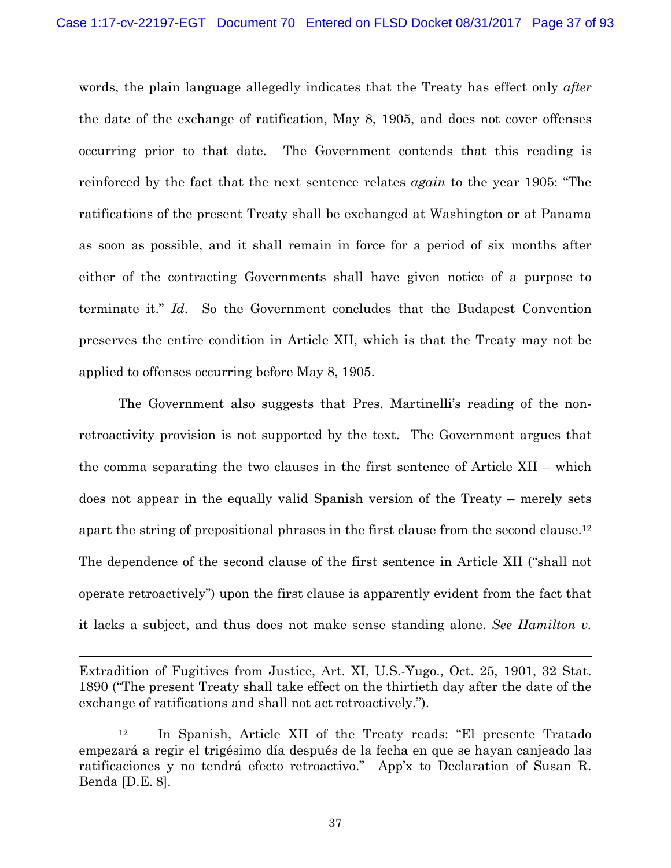words, the plain language allegedly indicates that the Treaty has effect only *after* the date of the exchange of ratification, May 8, 1905, and does not cover offenses occurring prior to that date. The Government contends that this reading is reinforced by the fact that the next sentence relates *again* to the year 1905: "The ratifications of the present Treaty shall be exchanged at Washington or at Panama as soon as possible, and it shall remain in force for a period of six months after either of the contracting Governments shall have given notice of a purpose to terminate it." *Id*. So the Government concludes that the Budapest Convention preserves the entire condition in Article XII, which is that the Treaty may not be applied to offenses occurring before May 8, 1905.

The Government also suggests that Pres. Martinelli's reading of the nonretroactivity provision is not supported by the text. The Government argues that the comma separating the two clauses in the first sentence of Article XII – which does not appear in the equally valid Spanish version of the Treaty – merely sets apart the string of prepositional phrases in the first clause from the second clause.12 The dependence of the second clause of the first sentence in Article XII ("shall not operate retroactively") upon the first clause is apparently evident from the fact that it lacks a subject, and thus does not make sense standing alone. *See Hamilton v.* 

Extradition of Fugitives from Justice, Art. XI, U.S.-Yugo., Oct. 25, 1901, 32 Stat. 1890 ("The present Treaty shall take effect on the thirtieth day after the date of the exchange of ratifications and shall not act retroactively.").

1

<sup>12</sup> In Spanish, Article XII of the Treaty reads: "El presente Tratado empezará a regir el trigésimo día después de la fecha en que se hayan canjeado las ratificaciones y no tendrá efecto retroactivo." App'x to Declaration of Susan R. Benda [D.E. 8].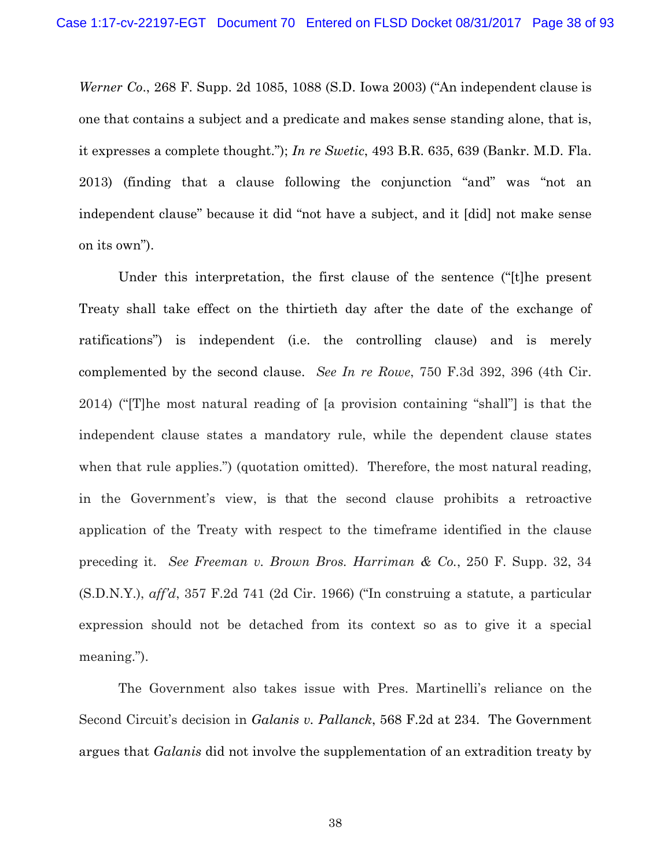*Werner Co*., 268 F. Supp. 2d 1085, 1088 (S.D. Iowa 2003) ("An independent clause is one that contains a subject and a predicate and makes sense standing alone, that is, it expresses a complete thought."); *In re Swetic*, 493 B.R. 635, 639 (Bankr. M.D. Fla. 2013) (finding that a clause following the conjunction "and" was "not an independent clause" because it did "not have a subject, and it [did] not make sense on its own").

Under this interpretation, the first clause of the sentence ("[t]he present Treaty shall take effect on the thirtieth day after the date of the exchange of ratifications") is independent (i.e. the controlling clause) and is merely complemented by the second clause. *See In re Rowe*, 750 F.3d 392, 396 (4th Cir. 2014) ("[T]he most natural reading of [a provision containing "shall"] is that the independent clause states a mandatory rule, while the dependent clause states when that rule applies.") (quotation omitted). Therefore, the most natural reading, in the Government's view, is that the second clause prohibits a retroactive application of the Treaty with respect to the timeframe identified in the clause preceding it. *See Freeman v. Brown Bros. Harriman & Co.*, 250 F. Supp. 32, 34 (S.D.N.Y.), *aff'd*, 357 F.2d 741 (2d Cir. 1966) ("In construing a statute, a particular expression should not be detached from its context so as to give it a special meaning.").

The Government also takes issue with Pres. Martinelli's reliance on the Second Circuit's decision in *Galanis v. Pallanck*, 568 F.2d at 234. The Government argues that *Galanis* did not involve the supplementation of an extradition treaty by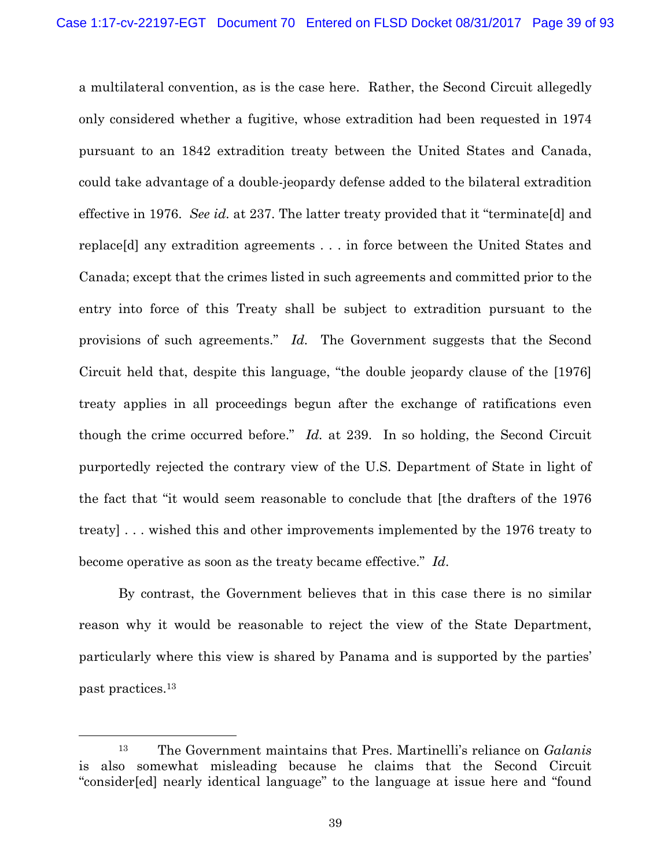a multilateral convention, as is the case here. Rather, the Second Circuit allegedly only considered whether a fugitive, whose extradition had been requested in 1974 pursuant to an 1842 extradition treaty between the United States and Canada, could take advantage of a double-jeopardy defense added to the bilateral extradition effective in 1976. *See id.* at 237. The latter treaty provided that it "terminate[d] and replace[d] any extradition agreements . . . in force between the United States and Canada; except that the crimes listed in such agreements and committed prior to the entry into force of this Treaty shall be subject to extradition pursuant to the provisions of such agreements." *Id.* The Government suggests that the Second Circuit held that, despite this language, "the double jeopardy clause of the [1976] treaty applies in all proceedings begun after the exchange of ratifications even though the crime occurred before." *Id.* at 239. In so holding, the Second Circuit purportedly rejected the contrary view of the U.S. Department of State in light of the fact that "it would seem reasonable to conclude that [the drafters of the 1976 treaty] . . . wished this and other improvements implemented by the 1976 treaty to become operative as soon as the treaty became effective." *Id*.

By contrast, the Government believes that in this case there is no similar reason why it would be reasonable to reject the view of the State Department, particularly where this view is shared by Panama and is supported by the parties' past practices.13

 <sup>13</sup> The Government maintains that Pres. Martinelli's reliance on *Galanis*  is also somewhat misleading because he claims that the Second Circuit "consider[ed] nearly identical language" to the language at issue here and "found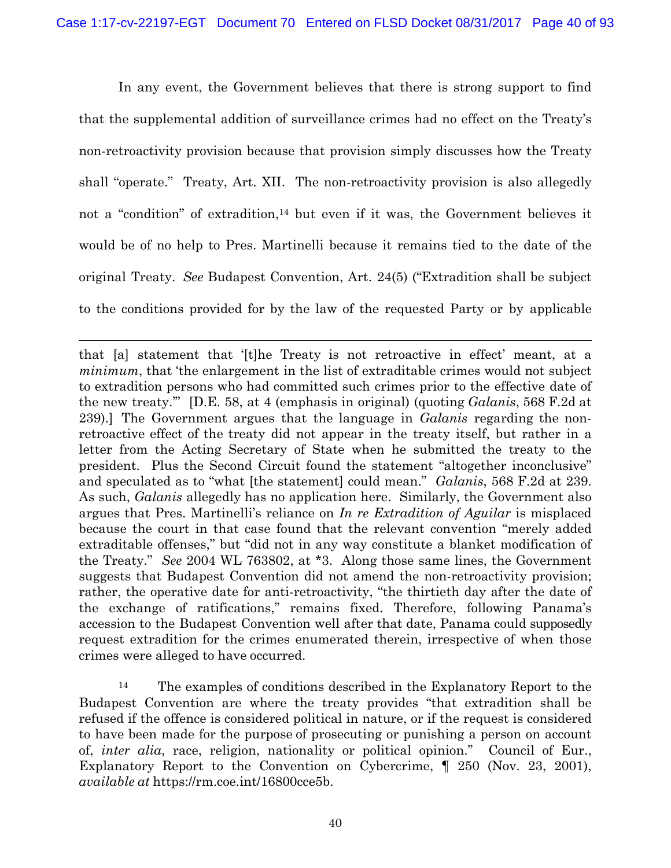In any event, the Government believes that there is strong support to find that the supplemental addition of surveillance crimes had no effect on the Treaty's non-retroactivity provision because that provision simply discusses how the Treaty shall "operate." Treaty, Art. XII. The non-retroactivity provision is also allegedly not a "condition" of extradition,<sup>14</sup> but even if it was, the Government believes it would be of no help to Pres. Martinelli because it remains tied to the date of the original Treaty. *See* Budapest Convention, Art. 24(5) ("Extradition shall be subject to the conditions provided for by the law of the requested Party or by applicable

1

that [a] statement that '[t]he Treaty is not retroactive in effect' meant, at a *minimum*, that 'the enlargement in the list of extraditable crimes would not subject to extradition persons who had committed such crimes prior to the effective date of the new treaty.'" [D.E. 58, at 4 (emphasis in original) (quoting *Galanis*, 568 F.2d at 239).] The Government argues that the language in *Galanis* regarding the nonretroactive effect of the treaty did not appear in the treaty itself, but rather in a letter from the Acting Secretary of State when he submitted the treaty to the president. Plus the Second Circuit found the statement "altogether inconclusive" and speculated as to "what [the statement] could mean." *Galanis*, 568 F.2d at 239. As such, *Galanis* allegedly has no application here. Similarly, the Government also argues that Pres. Martinelli's reliance on *In re Extradition of Aguilar* is misplaced because the court in that case found that the relevant convention "merely added extraditable offenses," but "did not in any way constitute a blanket modification of the Treaty." *See* 2004 WL 763802, at \*3. Along those same lines, the Government suggests that Budapest Convention did not amend the non-retroactivity provision; rather, the operative date for anti-retroactivity, "the thirtieth day after the date of the exchange of ratifications," remains fixed. Therefore, following Panama's accession to the Budapest Convention well after that date, Panama could supposedly request extradition for the crimes enumerated therein, irrespective of when those crimes were alleged to have occurred.

<sup>14</sup> The examples of conditions described in the Explanatory Report to the Budapest Convention are where the treaty provides "that extradition shall be refused if the offence is considered political in nature, or if the request is considered to have been made for the purpose of prosecuting or punishing a person on account of, *inter alia*, race, religion, nationality or political opinion." Council of Eur., Explanatory Report to the Convention on Cybercrime,  $\parallel$  250 (Nov. 23, 2001), *available at* https://rm.coe.int/16800cce5b.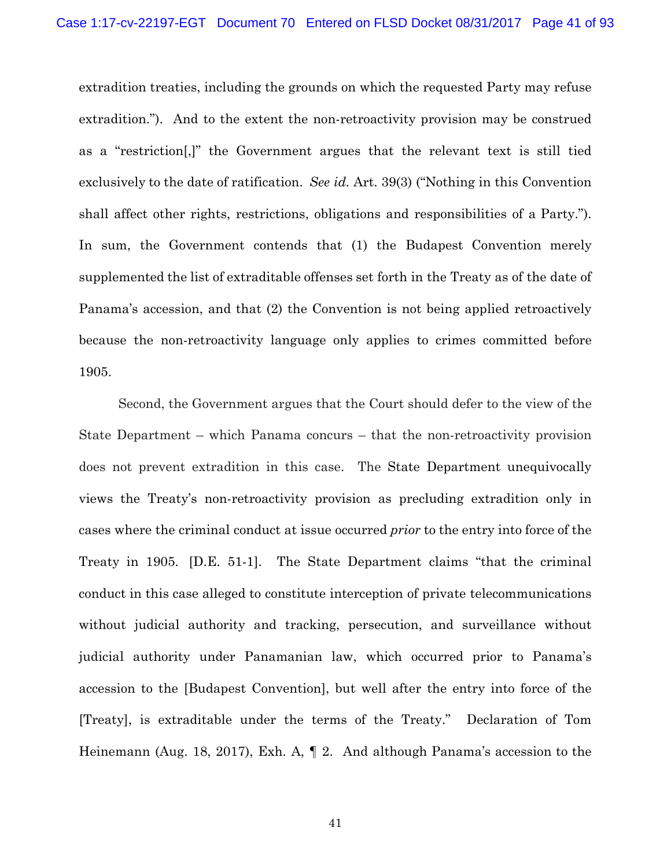extradition treaties, including the grounds on which the requested Party may refuse extradition."). And to the extent the non-retroactivity provision may be construed as a "restriction[,]" the Government argues that the relevant text is still tied exclusively to the date of ratification. *See id.* Art. 39(3) ("Nothing in this Convention shall affect other rights, restrictions, obligations and responsibilities of a Party."). In sum, the Government contends that (1) the Budapest Convention merely supplemented the list of extraditable offenses set forth in the Treaty as of the date of Panama's accession, and that (2) the Convention is not being applied retroactively because the non-retroactivity language only applies to crimes committed before 1905.

Second, the Government argues that the Court should defer to the view of the State Department – which Panama concurs – that the non-retroactivity provision does not prevent extradition in this case. The State Department unequivocally views the Treaty's non-retroactivity provision as precluding extradition only in cases where the criminal conduct at issue occurred *prior* to the entry into force of the Treaty in 1905. [D.E. 51-1]. The State Department claims "that the criminal conduct in this case alleged to constitute interception of private telecommunications without judicial authority and tracking, persecution, and surveillance without judicial authority under Panamanian law, which occurred prior to Panama's accession to the [Budapest Convention], but well after the entry into force of the [Treaty], is extraditable under the terms of the Treaty." Declaration of Tom Heinemann (Aug. 18, 2017), Exh. A, ¶ 2. And although Panama's accession to the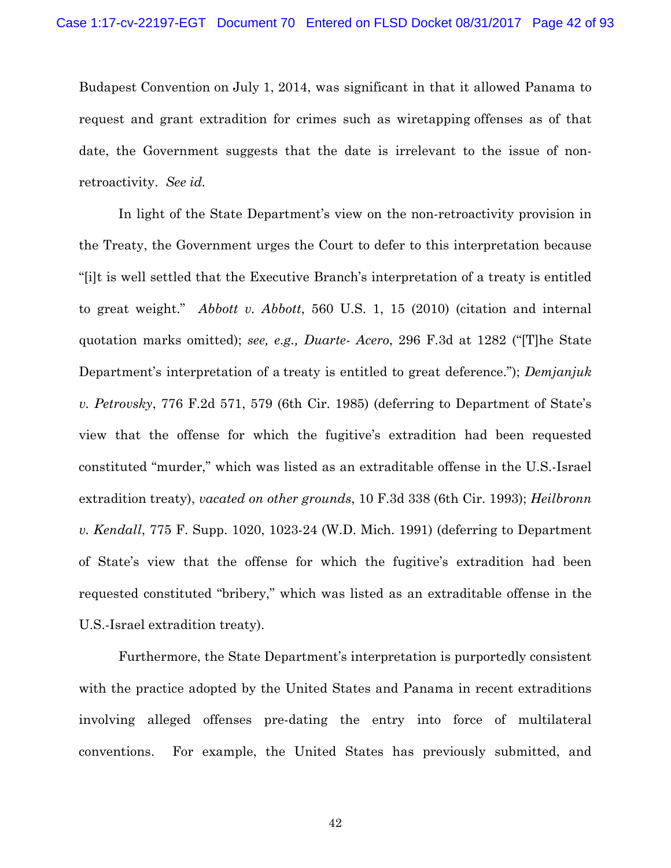Budapest Convention on July 1, 2014, was significant in that it allowed Panama to request and grant extradition for crimes such as wiretapping offenses as of that date, the Government suggests that the date is irrelevant to the issue of nonretroactivity. *See id.* 

In light of the State Department's view on the non-retroactivity provision in the Treaty, the Government urges the Court to defer to this interpretation because "[i]t is well settled that the Executive Branch's interpretation of a treaty is entitled to great weight." *Abbott v. Abbott*, 560 U.S. 1, 15 (2010) (citation and internal quotation marks omitted); *see, e.g., Duarte- Acero*, 296 F.3d at 1282 ("[T]he State Department's interpretation of a treaty is entitled to great deference."); *Demjanjuk v. Petrovsky*, 776 F.2d 571, 579 (6th Cir. 1985) (deferring to Department of State's view that the offense for which the fugitive's extradition had been requested constituted "murder," which was listed as an extraditable offense in the U.S.-Israel extradition treaty), *vacated on other grounds*, 10 F.3d 338 (6th Cir. 1993); *Heilbronn v. Kendall*, 775 F. Supp. 1020, 1023-24 (W.D. Mich. 1991) (deferring to Department of State's view that the offense for which the fugitive's extradition had been requested constituted "bribery," which was listed as an extraditable offense in the U.S.-Israel extradition treaty).

Furthermore, the State Department's interpretation is purportedly consistent with the practice adopted by the United States and Panama in recent extraditions involving alleged offenses pre-dating the entry into force of multilateral conventions. For example, the United States has previously submitted, and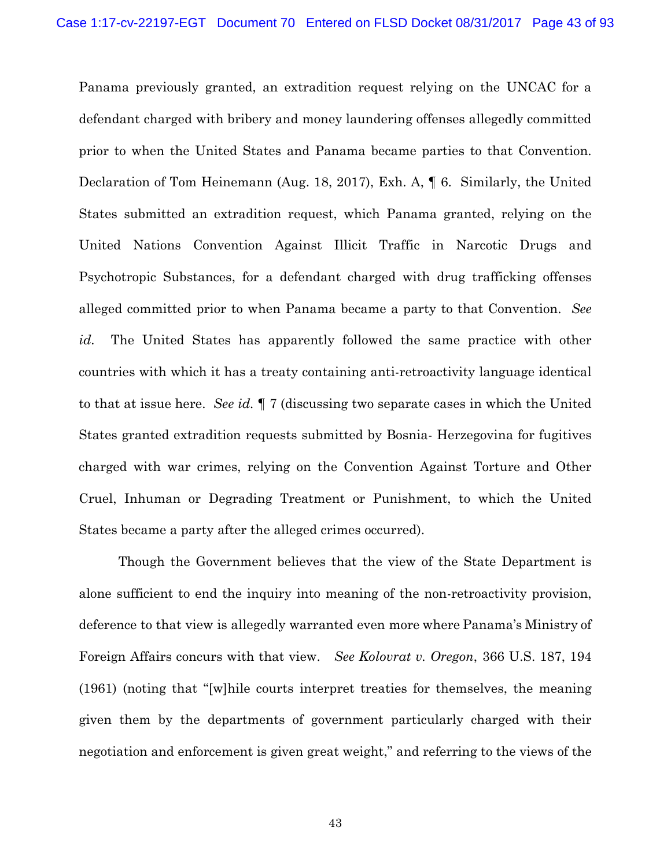Panama previously granted, an extradition request relying on the UNCAC for a defendant charged with bribery and money laundering offenses allegedly committed prior to when the United States and Panama became parties to that Convention. Declaration of Tom Heinemann (Aug. 18, 2017), Exh. A, ¶ 6. Similarly, the United States submitted an extradition request, which Panama granted, relying on the United Nations Convention Against Illicit Traffic in Narcotic Drugs and Psychotropic Substances, for a defendant charged with drug trafficking offenses alleged committed prior to when Panama became a party to that Convention. *See id.* The United States has apparently followed the same practice with other countries with which it has a treaty containing anti-retroactivity language identical to that at issue here. *See id.* ¶ 7 (discussing two separate cases in which the United States granted extradition requests submitted by Bosnia- Herzegovina for fugitives charged with war crimes, relying on the Convention Against Torture and Other Cruel, Inhuman or Degrading Treatment or Punishment, to which the United States became a party after the alleged crimes occurred).

Though the Government believes that the view of the State Department is alone sufficient to end the inquiry into meaning of the non-retroactivity provision, deference to that view is allegedly warranted even more where Panama's Ministry of Foreign Affairs concurs with that view. *See Kolovrat v. Oregon*, 366 U.S. 187, 194 (1961) (noting that "[w]hile courts interpret treaties for themselves, the meaning given them by the departments of government particularly charged with their negotiation and enforcement is given great weight," and referring to the views of the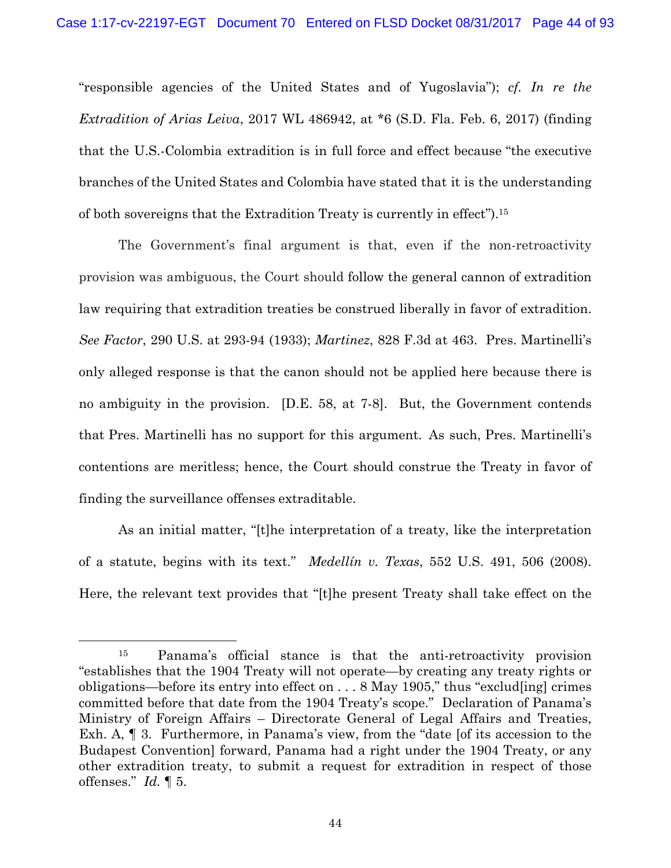"responsible agencies of the United States and of Yugoslavia"); *cf. In re the Extradition of Arias Leiva*, 2017 WL 486942, at \*6 (S.D. Fla. Feb. 6, 2017) (finding that the U.S.-Colombia extradition is in full force and effect because "the executive branches of the United States and Colombia have stated that it is the understanding of both sovereigns that the Extradition Treaty is currently in effect").15

The Government's final argument is that, even if the non-retroactivity provision was ambiguous, the Court should follow the general cannon of extradition law requiring that extradition treaties be construed liberally in favor of extradition. *See Factor*, 290 U.S. at 293-94 (1933); *Martinez*, 828 F.3d at 463. Pres. Martinelli's only alleged response is that the canon should not be applied here because there is no ambiguity in the provision. [D.E. 58, at 7-8]. But, the Government contends that Pres. Martinelli has no support for this argument. As such, Pres. Martinelli's contentions are meritless; hence, the Court should construe the Treaty in favor of finding the surveillance offenses extraditable.

As an initial matter, "[t]he interpretation of a treaty, like the interpretation of a statute, begins with its text." *Medellín v. Texas*, 552 U.S. 491, 506 (2008). Here, the relevant text provides that "[t]he present Treaty shall take effect on the

 <sup>15</sup> Panama's official stance is that the anti-retroactivity provision "establishes that the 1904 Treaty will not operate—by creating any treaty rights or obligations—before its entry into effect on . . . 8 May 1905," thus "exclud[ing] crimes committed before that date from the 1904 Treaty's scope." Declaration of Panama's Ministry of Foreign Affairs – Directorate General of Legal Affairs and Treaties, Exh. A, ¶ 3. Furthermore, in Panama's view, from the "date [of its accession to the Budapest Convention] forward, Panama had a right under the 1904 Treaty, or any other extradition treaty, to submit a request for extradition in respect of those offenses." *Id.* ¶ 5.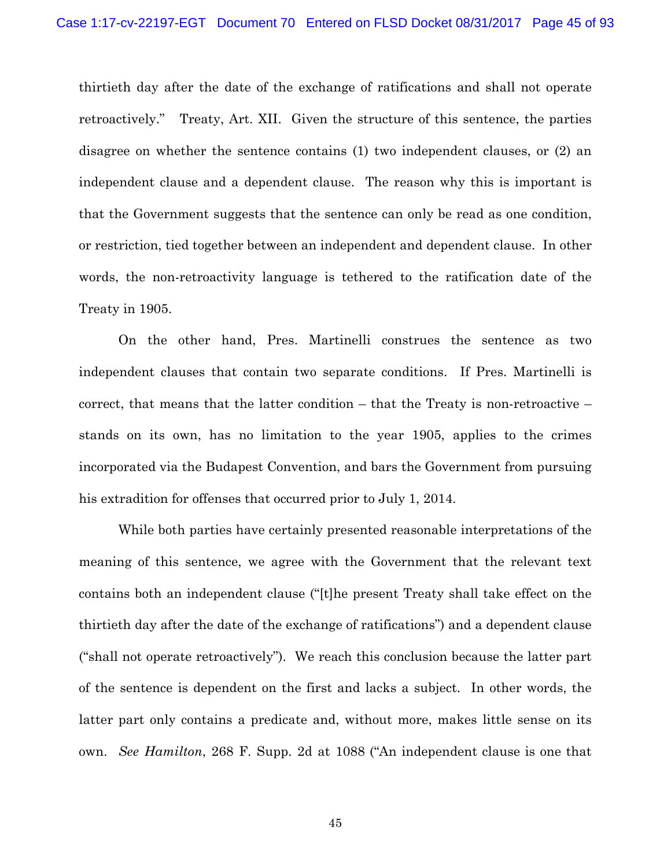thirtieth day after the date of the exchange of ratifications and shall not operate retroactively." Treaty, Art. XII. Given the structure of this sentence, the parties disagree on whether the sentence contains (1) two independent clauses, or (2) an independent clause and a dependent clause. The reason why this is important is that the Government suggests that the sentence can only be read as one condition, or restriction, tied together between an independent and dependent clause. In other words, the non-retroactivity language is tethered to the ratification date of the Treaty in 1905.

On the other hand, Pres. Martinelli construes the sentence as two independent clauses that contain two separate conditions. If Pres. Martinelli is correct, that means that the latter condition – that the Treaty is non-retroactive – stands on its own, has no limitation to the year 1905, applies to the crimes incorporated via the Budapest Convention, and bars the Government from pursuing his extradition for offenses that occurred prior to July 1, 2014.

While both parties have certainly presented reasonable interpretations of the meaning of this sentence, we agree with the Government that the relevant text contains both an independent clause ("[t]he present Treaty shall take effect on the thirtieth day after the date of the exchange of ratifications") and a dependent clause ("shall not operate retroactively"). We reach this conclusion because the latter part of the sentence is dependent on the first and lacks a subject. In other words, the latter part only contains a predicate and, without more, makes little sense on its own. *See Hamilton*, 268 F. Supp. 2d at 1088 ("An independent clause is one that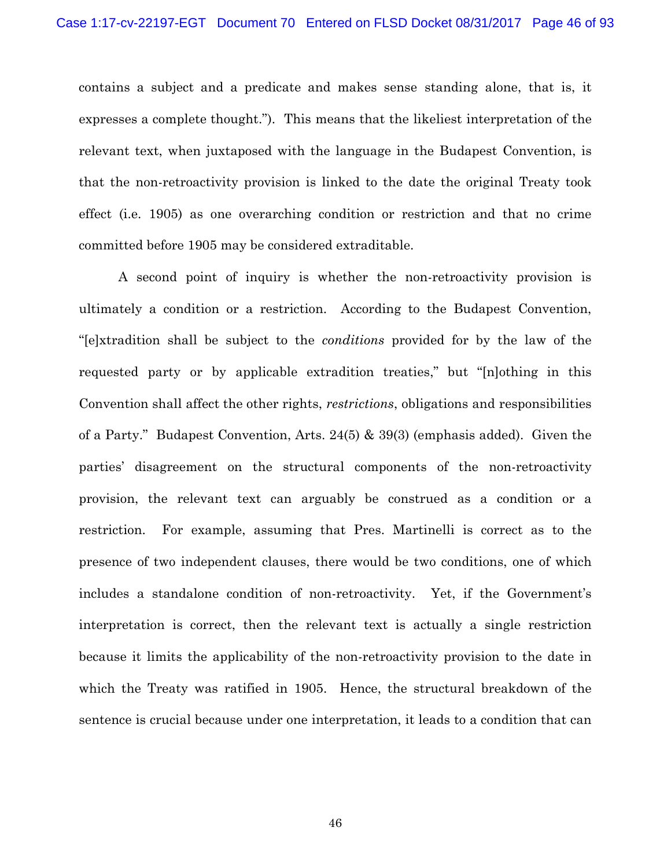contains a subject and a predicate and makes sense standing alone, that is, it expresses a complete thought."). This means that the likeliest interpretation of the relevant text, when juxtaposed with the language in the Budapest Convention, is that the non-retroactivity provision is linked to the date the original Treaty took effect (i.e. 1905) as one overarching condition or restriction and that no crime committed before 1905 may be considered extraditable.

A second point of inquiry is whether the non-retroactivity provision is ultimately a condition or a restriction. According to the Budapest Convention, "[e]xtradition shall be subject to the *conditions* provided for by the law of the requested party or by applicable extradition treaties," but "[n]othing in this Convention shall affect the other rights, *restrictions*, obligations and responsibilities of a Party." Budapest Convention, Arts. 24(5) & 39(3) (emphasis added). Given the parties' disagreement on the structural components of the non-retroactivity provision, the relevant text can arguably be construed as a condition or a restriction. For example, assuming that Pres. Martinelli is correct as to the presence of two independent clauses, there would be two conditions, one of which includes a standalone condition of non-retroactivity. Yet, if the Government's interpretation is correct, then the relevant text is actually a single restriction because it limits the applicability of the non-retroactivity provision to the date in which the Treaty was ratified in 1905. Hence, the structural breakdown of the sentence is crucial because under one interpretation, it leads to a condition that can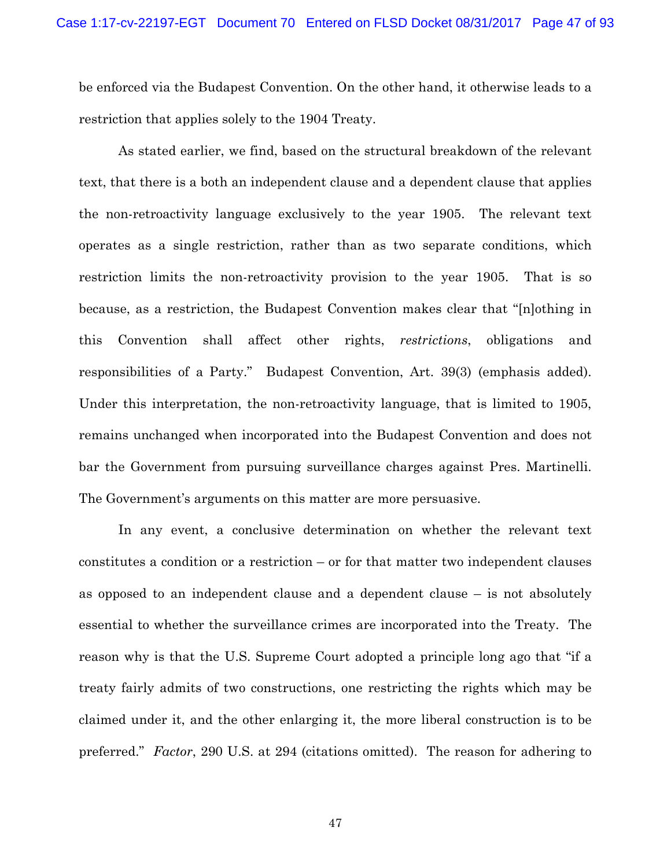be enforced via the Budapest Convention. On the other hand, it otherwise leads to a restriction that applies solely to the 1904 Treaty.

As stated earlier, we find, based on the structural breakdown of the relevant text, that there is a both an independent clause and a dependent clause that applies the non-retroactivity language exclusively to the year 1905. The relevant text operates as a single restriction, rather than as two separate conditions, which restriction limits the non-retroactivity provision to the year 1905. That is so because, as a restriction, the Budapest Convention makes clear that "[n]othing in this Convention shall affect other rights, *restrictions*, obligations and responsibilities of a Party." Budapest Convention, Art. 39(3) (emphasis added). Under this interpretation, the non-retroactivity language, that is limited to 1905, remains unchanged when incorporated into the Budapest Convention and does not bar the Government from pursuing surveillance charges against Pres. Martinelli. The Government's arguments on this matter are more persuasive.

In any event, a conclusive determination on whether the relevant text constitutes a condition or a restriction – or for that matter two independent clauses as opposed to an independent clause and a dependent clause – is not absolutely essential to whether the surveillance crimes are incorporated into the Treaty. The reason why is that the U.S. Supreme Court adopted a principle long ago that "if a treaty fairly admits of two constructions, one restricting the rights which may be claimed under it, and the other enlarging it, the more liberal construction is to be preferred." *Factor*, 290 U.S. at 294 (citations omitted). The reason for adhering to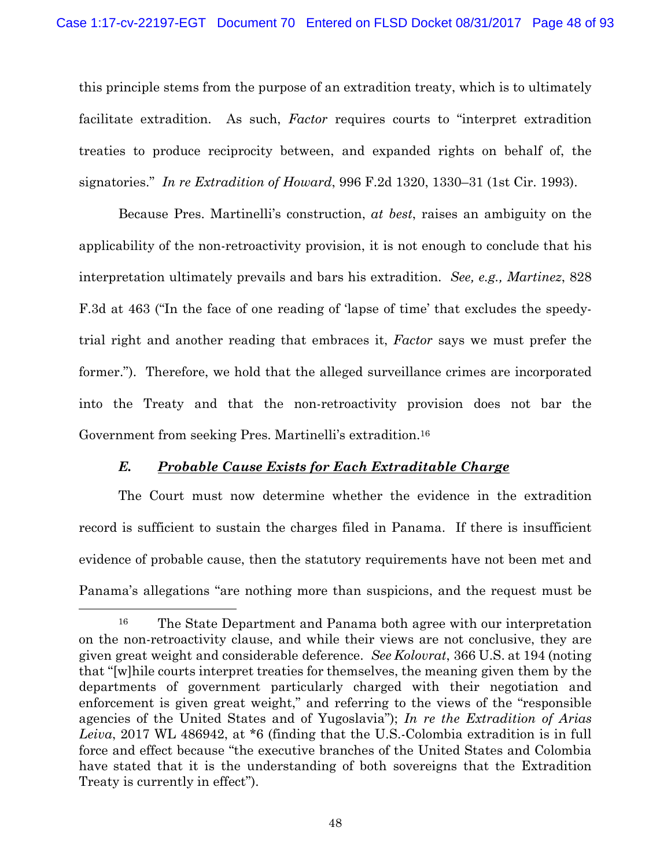this principle stems from the purpose of an extradition treaty, which is to ultimately facilitate extradition. As such, *Factor* requires courts to "interpret extradition treaties to produce reciprocity between, and expanded rights on behalf of, the signatories." *In re Extradition of Howard*, 996 F.2d 1320, 1330–31 (1st Cir. 1993).

Because Pres. Martinelli's construction, *at best*, raises an ambiguity on the applicability of the non-retroactivity provision, it is not enough to conclude that his interpretation ultimately prevails and bars his extradition. *See, e.g., Martinez*, 828 F.3d at 463 ("In the face of one reading of 'lapse of time' that excludes the speedytrial right and another reading that embraces it, *Factor* says we must prefer the former."). Therefore, we hold that the alleged surveillance crimes are incorporated into the Treaty and that the non-retroactivity provision does not bar the Government from seeking Pres. Martinelli's extradition.16

## *E. Probable Cause Exists for Each Extraditable Charge*

The Court must now determine whether the evidence in the extradition record is sufficient to sustain the charges filed in Panama. If there is insufficient evidence of probable cause, then the statutory requirements have not been met and Panama's allegations "are nothing more than suspicions, and the request must be

 <sup>16</sup> The State Department and Panama both agree with our interpretation on the non-retroactivity clause, and while their views are not conclusive, they are given great weight and considerable deference. *See Kolovrat*, 366 U.S. at 194 (noting that "[w]hile courts interpret treaties for themselves, the meaning given them by the departments of government particularly charged with their negotiation and enforcement is given great weight," and referring to the views of the "responsible agencies of the United States and of Yugoslavia"); *In re the Extradition of Arias Leiva*, 2017 WL 486942, at \*6 (finding that the U.S.-Colombia extradition is in full force and effect because "the executive branches of the United States and Colombia have stated that it is the understanding of both sovereigns that the Extradition Treaty is currently in effect").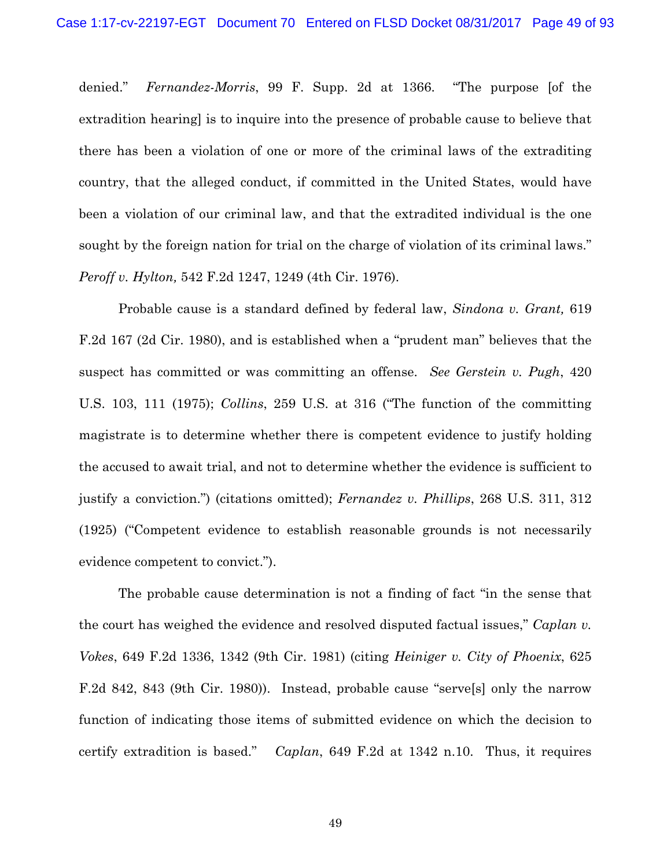denied." *Fernandez-Morris*, 99 F. Supp. 2d at 1366. "The purpose [of the extradition hearing] is to inquire into the presence of probable cause to believe that there has been a violation of one or more of the criminal laws of the extraditing country, that the alleged conduct, if committed in the United States, would have been a violation of our criminal law, and that the extradited individual is the one sought by the foreign nation for trial on the charge of violation of its criminal laws." *Peroff v. Hylton,* 542 F.2d 1247, 1249 (4th Cir. 1976).

Probable cause is a standard defined by federal law, *Sindona v. Grant,* 619 F.2d 167 (2d Cir. 1980), and is established when a "prudent man" believes that the suspect has committed or was committing an offense. *See Gerstein v. Pugh*, 420 U.S. 103, 111 (1975); *Collins*, 259 U.S. at 316 ("The function of the committing magistrate is to determine whether there is competent evidence to justify holding the accused to await trial, and not to determine whether the evidence is sufficient to justify a conviction.") (citations omitted); *Fernandez v. Phillips*, 268 U.S. 311, 312 (1925) ("Competent evidence to establish reasonable grounds is not necessarily evidence competent to convict.").

The probable cause determination is not a finding of fact "in the sense that the court has weighed the evidence and resolved disputed factual issues," *Caplan v. Vokes*, 649 F.2d 1336, 1342 (9th Cir. 1981) (citing *Heiniger v. City of Phoenix*, 625 F.2d 842, 843 (9th Cir. 1980)). Instead, probable cause "serve[s] only the narrow function of indicating those items of submitted evidence on which the decision to certify extradition is based." *Caplan*, 649 F.2d at 1342 n.10. Thus, it requires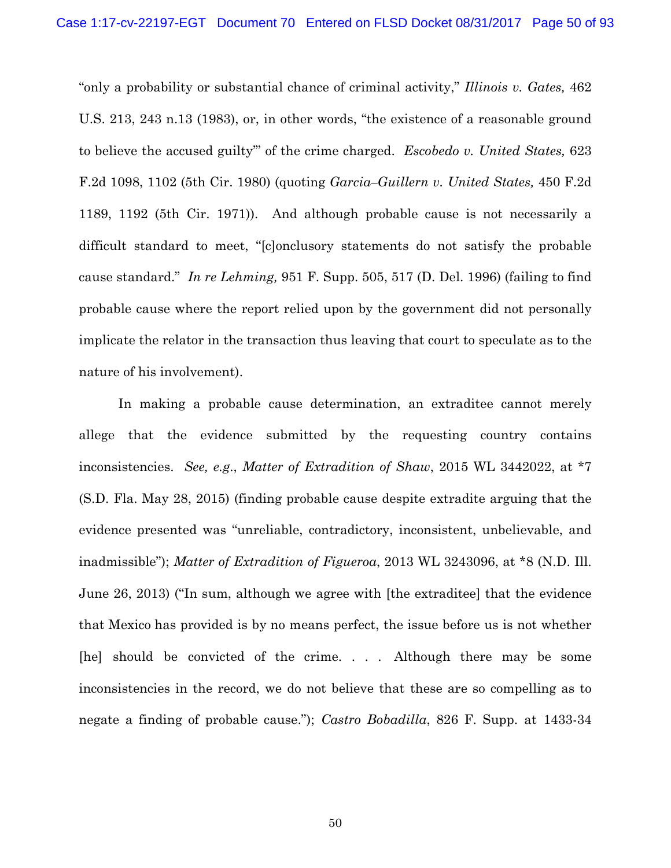"only a probability or substantial chance of criminal activity," *Illinois v. Gates,* 462 U.S. 213, 243 n.13 (1983), or, in other words, "the existence of a reasonable ground to believe the accused guilty'" of the crime charged. *Escobedo v. United States,* 623 F.2d 1098, 1102 (5th Cir. 1980) (quoting *Garcia–Guillern v. United States,* 450 F.2d 1189, 1192 (5th Cir. 1971)). And although probable cause is not necessarily a difficult standard to meet, "[c]onclusory statements do not satisfy the probable cause standard." *In re Lehming,* 951 F. Supp. 505, 517 (D. Del. 1996) (failing to find probable cause where the report relied upon by the government did not personally implicate the relator in the transaction thus leaving that court to speculate as to the nature of his involvement).

In making a probable cause determination, an extraditee cannot merely allege that the evidence submitted by the requesting country contains inconsistencies. *See, e.g*., *Matter of Extradition of Shaw*, 2015 WL 3442022, at \*7 (S.D. Fla. May 28, 2015) (finding probable cause despite extradite arguing that the evidence presented was "unreliable, contradictory, inconsistent, unbelievable, and inadmissible"); *Matter of Extradition of Figueroa*, 2013 WL 3243096, at \*8 (N.D. Ill. June 26, 2013) ("In sum, although we agree with [the extraditee] that the evidence that Mexico has provided is by no means perfect, the issue before us is not whether [he] should be convicted of the crime. . . . Although there may be some inconsistencies in the record, we do not believe that these are so compelling as to negate a finding of probable cause."); *Castro Bobadilla*, 826 F. Supp. at 1433-34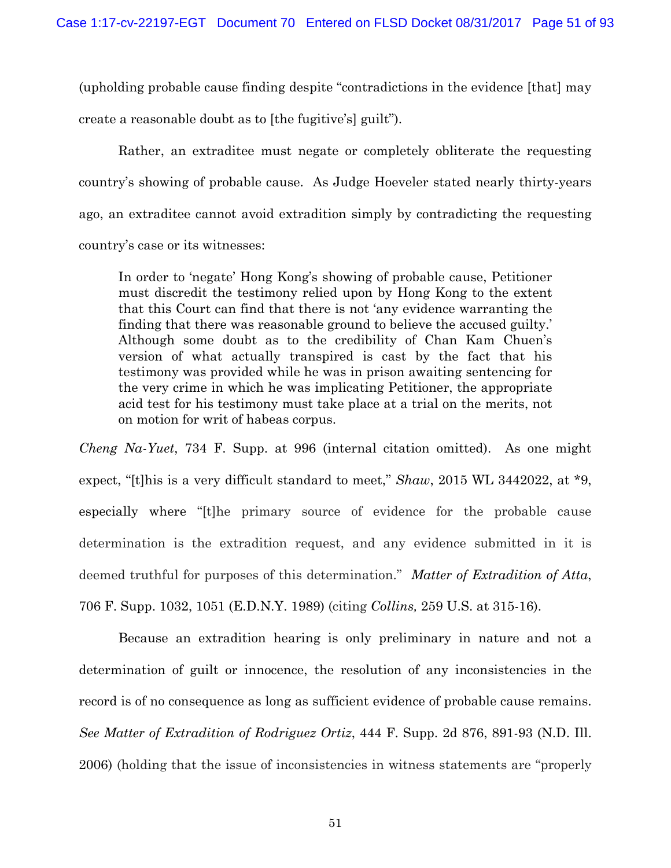(upholding probable cause finding despite "contradictions in the evidence [that] may create a reasonable doubt as to [the fugitive's] guilt").

Rather, an extraditee must negate or completely obliterate the requesting country's showing of probable cause. As Judge Hoeveler stated nearly thirty-years ago, an extraditee cannot avoid extradition simply by contradicting the requesting country's case or its witnesses:

In order to 'negate' Hong Kong's showing of probable cause, Petitioner must discredit the testimony relied upon by Hong Kong to the extent that this Court can find that there is not 'any evidence warranting the finding that there was reasonable ground to believe the accused guilty.' Although some doubt as to the credibility of Chan Kam Chuen's version of what actually transpired is cast by the fact that his testimony was provided while he was in prison awaiting sentencing for the very crime in which he was implicating Petitioner, the appropriate acid test for his testimony must take place at a trial on the merits, not on motion for writ of habeas corpus.

*Cheng Na-Yuet*, 734 F. Supp. at 996 (internal citation omitted). As one might expect, "[t]his is a very difficult standard to meet," *Shaw*, 2015 WL 3442022, at \*9, especially where "[t]he primary source of evidence for the probable cause determination is the extradition request, and any evidence submitted in it is deemed truthful for purposes of this determination." *Matter of Extradition of Atta*, 706 F. Supp. 1032, 1051 (E.D.N.Y. 1989) (citing *Collins,* 259 U.S. at 315-16).

 Because an extradition hearing is only preliminary in nature and not a determination of guilt or innocence, the resolution of any inconsistencies in the record is of no consequence as long as sufficient evidence of probable cause remains. *See Matter of Extradition of Rodriguez Ortiz*, 444 F. Supp. 2d 876, 891-93 (N.D. Ill. 2006) (holding that the issue of inconsistencies in witness statements are "properly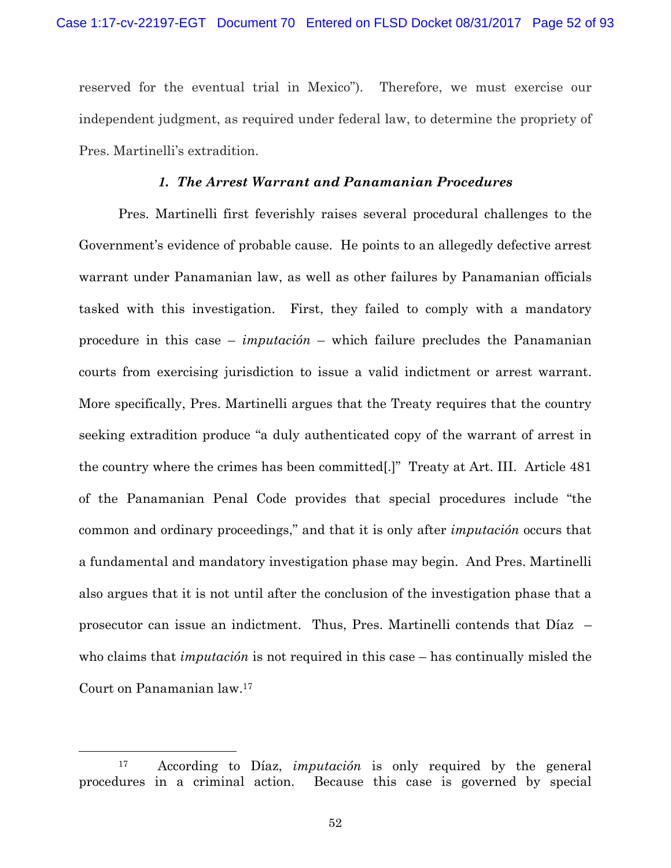reserved for the eventual trial in Mexico"). Therefore, we must exercise our independent judgment, as required under federal law, to determine the propriety of Pres. Martinelli's extradition.

## *1. The Arrest Warrant and Panamanian Procedures*

Pres. Martinelli first feverishly raises several procedural challenges to the Government's evidence of probable cause. He points to an allegedly defective arrest warrant under Panamanian law, as well as other failures by Panamanian officials tasked with this investigation. First, they failed to comply with a mandatory procedure in this case – *imputación* – which failure precludes the Panamanian courts from exercising jurisdiction to issue a valid indictment or arrest warrant. More specifically, Pres. Martinelli argues that the Treaty requires that the country seeking extradition produce "a duly authenticated copy of the warrant of arrest in the country where the crimes has been committed[.]" Treaty at Art. III. Article 481 of the Panamanian Penal Code provides that special procedures include "the common and ordinary proceedings," and that it is only after *imputación* occurs that a fundamental and mandatory investigation phase may begin. And Pres. Martinelli also argues that it is not until after the conclusion of the investigation phase that a prosecutor can issue an indictment. Thus, Pres. Martinelli contends that Díaz – who claims that *imputación* is not required in this case – has continually misled the Court on Panamanian law.17

 <sup>17</sup> According to Díaz, *imputación* is only required by the general procedures in a criminal action. Because this case is governed by special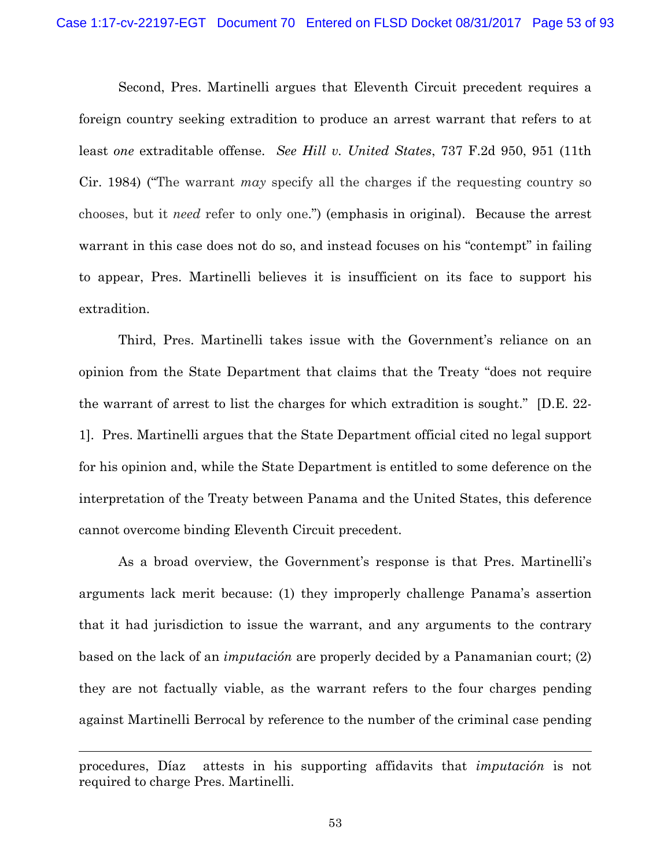Second, Pres. Martinelli argues that Eleventh Circuit precedent requires a foreign country seeking extradition to produce an arrest warrant that refers to at least *one* extraditable offense. *See Hill v. United States*, 737 F.2d 950, 951 (11th Cir. 1984) ("The warrant *may* specify all the charges if the requesting country so chooses, but it *need* refer to only one.") (emphasis in original). Because the arrest warrant in this case does not do so, and instead focuses on his "contempt" in failing to appear, Pres. Martinelli believes it is insufficient on its face to support his extradition.

Third, Pres. Martinelli takes issue with the Government's reliance on an opinion from the State Department that claims that the Treaty "does not require the warrant of arrest to list the charges for which extradition is sought." [D.E. 22- 1]. Pres. Martinelli argues that the State Department official cited no legal support for his opinion and, while the State Department is entitled to some deference on the interpretation of the Treaty between Panama and the United States, this deference cannot overcome binding Eleventh Circuit precedent.

As a broad overview, the Government's response is that Pres. Martinelli's arguments lack merit because: (1) they improperly challenge Panama's assertion that it had jurisdiction to issue the warrant, and any arguments to the contrary based on the lack of an *imputación* are properly decided by a Panamanian court; (2) they are not factually viable, as the warrant refers to the four charges pending against Martinelli Berrocal by reference to the number of the criminal case pending

l

procedures, Díaz attests in his supporting affidavits that *imputación* is not required to charge Pres. Martinelli.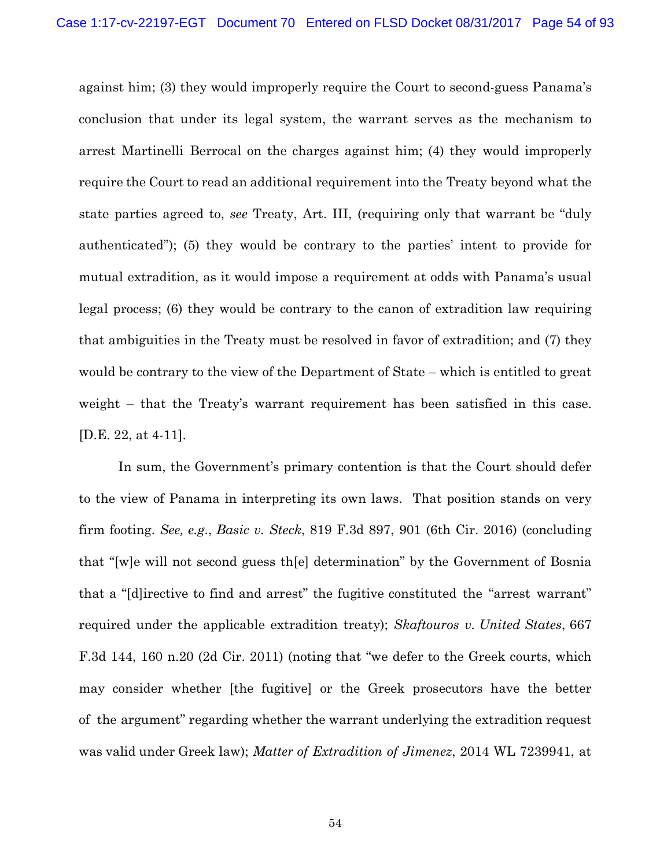against him; (3) they would improperly require the Court to second-guess Panama's conclusion that under its legal system, the warrant serves as the mechanism to arrest Martinelli Berrocal on the charges against him; (4) they would improperly require the Court to read an additional requirement into the Treaty beyond what the state parties agreed to, *see* Treaty, Art. III, (requiring only that warrant be "duly authenticated"); (5) they would be contrary to the parties' intent to provide for mutual extradition, as it would impose a requirement at odds with Panama's usual legal process; (6) they would be contrary to the canon of extradition law requiring that ambiguities in the Treaty must be resolved in favor of extradition; and (7) they would be contrary to the view of the Department of State – which is entitled to great weight – that the Treaty's warrant requirement has been satisfied in this case. [D.E. 22, at 4-11].

In sum, the Government's primary contention is that the Court should defer to the view of Panama in interpreting its own laws. That position stands on very firm footing. *See, e.g*., *Basic v. Steck*, 819 F.3d 897, 901 (6th Cir. 2016) (concluding that "[w]e will not second guess th[e] determination" by the Government of Bosnia that a "[d]irective to find and arrest" the fugitive constituted the "arrest warrant" required under the applicable extradition treaty); *Skaftouros v. United States*, 667 F.3d 144, 160 n.20 (2d Cir. 2011) (noting that "we defer to the Greek courts, which may consider whether [the fugitive] or the Greek prosecutors have the better of the argument" regarding whether the warrant underlying the extradition request was valid under Greek law); *Matter of Extradition of Jimenez*, 2014 WL 7239941, at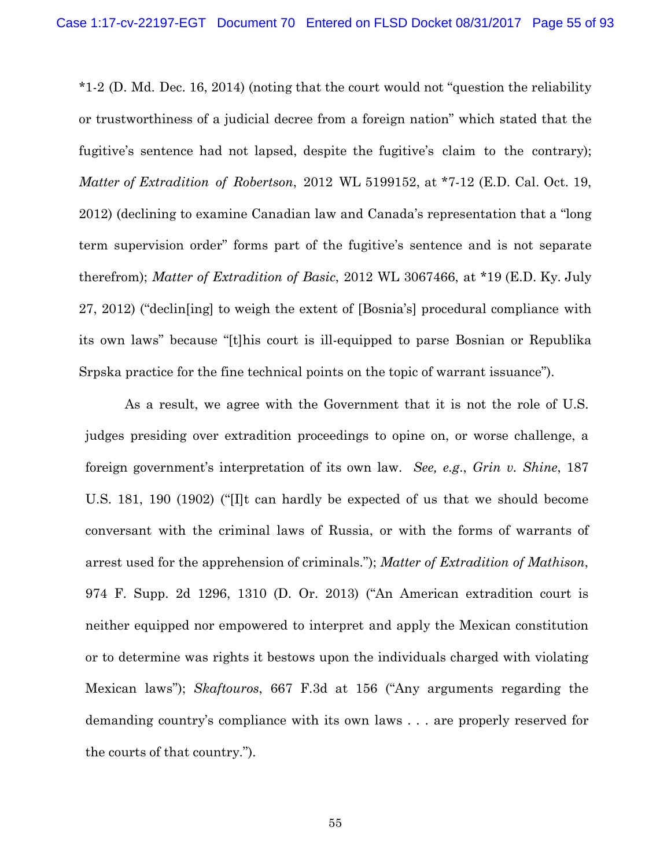\*1-2 (D. Md. Dec. 16, 2014) (noting that the court would not "question the reliability or trustworthiness of a judicial decree from a foreign nation" which stated that the fugitive's sentence had not lapsed, despite the fugitive's claim to the contrary); *Matter of Extradition of Robertson*, 2012 WL 5199152, at \*7-12 (E.D. Cal. Oct. 19, 2012) (declining to examine Canadian law and Canada's representation that a "long term supervision order" forms part of the fugitive's sentence and is not separate therefrom); *Matter of Extradition of Basic*, 2012 WL 3067466, at \*19 (E.D. Ky. July 27, 2012) ("declin[ing] to weigh the extent of [Bosnia's] procedural compliance with its own laws" because "[t]his court is ill-equipped to parse Bosnian or Republika Srpska practice for the fine technical points on the topic of warrant issuance").

As a result, we agree with the Government that it is not the role of U.S. judges presiding over extradition proceedings to opine on, or worse challenge, a foreign government's interpretation of its own law. *See, e.g*., *Grin v. Shine*, 187 U.S. 181, 190 (1902) ("[I]t can hardly be expected of us that we should become conversant with the criminal laws of Russia, or with the forms of warrants of arrest used for the apprehension of criminals."); *Matter of Extradition of Mathison*, 974 F. Supp. 2d 1296, 1310 (D. Or. 2013) ("An American extradition court is neither equipped nor empowered to interpret and apply the Mexican constitution or to determine was rights it bestows upon the individuals charged with violating Mexican laws"); *Skaftouros*, 667 F.3d at 156 ("Any arguments regarding the demanding country's compliance with its own laws . . . are properly reserved for the courts of that country.").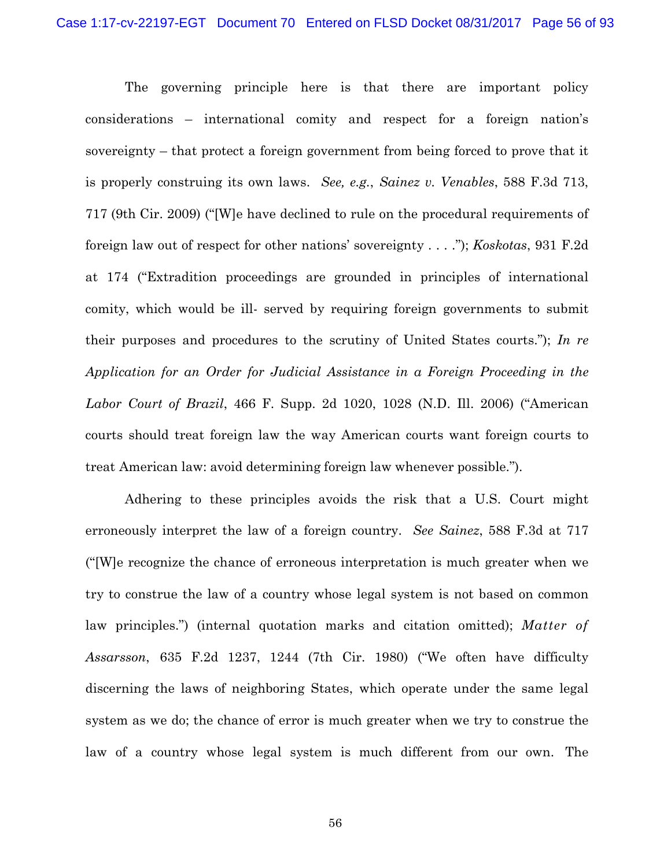The governing principle here is that there are important policy considerations – international comity and respect for a foreign nation's sovereignty – that protect a foreign government from being forced to prove that it is properly construing its own laws. *See, e.g.*, *Sainez v. Venables*, 588 F.3d 713, 717 (9th Cir. 2009) ("[W]e have declined to rule on the procedural requirements of foreign law out of respect for other nations' sovereignty . . . ."); *Koskotas*, 931 F.2d at 174 ("Extradition proceedings are grounded in principles of international comity, which would be ill- served by requiring foreign governments to submit their purposes and procedures to the scrutiny of United States courts."); *In re Application for an Order for Judicial Assistance in a Foreign Proceeding in the Labor Court of Brazil*, 466 F. Supp. 2d 1020, 1028 (N.D. Ill. 2006) ("American courts should treat foreign law the way American courts want foreign courts to treat American law: avoid determining foreign law whenever possible.").

Adhering to these principles avoids the risk that a U.S. Court might erroneously interpret the law of a foreign country. *See Sainez*, 588 F.3d at 717 ("[W]e recognize the chance of erroneous interpretation is much greater when we try to construe the law of a country whose legal system is not based on common law principles.") (internal quotation marks and citation omitted); *Matter of Assarsson*, 635 F.2d 1237, 1244 (7th Cir. 1980) ("We often have difficulty discerning the laws of neighboring States, which operate under the same legal system as we do; the chance of error is much greater when we try to construe the law of a country whose legal system is much different from our own. The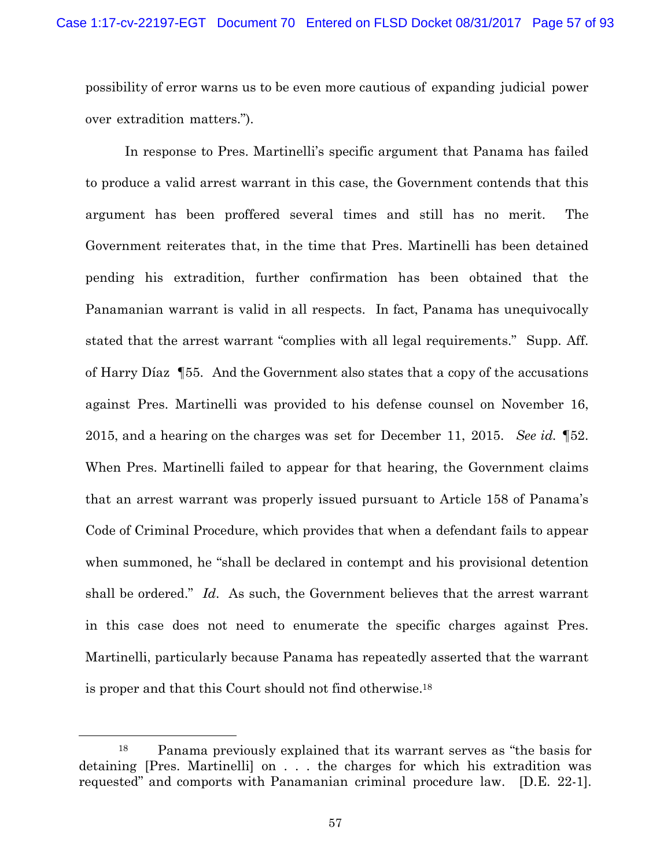possibility of error warns us to be even more cautious of expanding judicial power over extradition matters.").

In response to Pres. Martinelli's specific argument that Panama has failed to produce a valid arrest warrant in this case, the Government contends that this argument has been proffered several times and still has no merit. The Government reiterates that, in the time that Pres. Martinelli has been detained pending his extradition, further confirmation has been obtained that the Panamanian warrant is valid in all respects. In fact, Panama has unequivocally stated that the arrest warrant "complies with all legal requirements." Supp. Aff. of Harry Díaz ¶55. And the Government also states that a copy of the accusations against Pres. Martinelli was provided to his defense counsel on November 16, 2015, and a hearing on the charges was set for December 11, 2015. *See id.* ¶52. When Pres. Martinelli failed to appear for that hearing, the Government claims that an arrest warrant was properly issued pursuant to Article 158 of Panama's Code of Criminal Procedure, which provides that when a defendant fails to appear when summoned, he "shall be declared in contempt and his provisional detention shall be ordered." *Id*. As such, the Government believes that the arrest warrant in this case does not need to enumerate the specific charges against Pres. Martinelli, particularly because Panama has repeatedly asserted that the warrant is proper and that this Court should not find otherwise.18

 <sup>18</sup> Panama previously explained that its warrant serves as "the basis for detaining [Pres. Martinelli] on . . . the charges for which his extradition was requested" and comports with Panamanian criminal procedure law. [D.E. 22-1].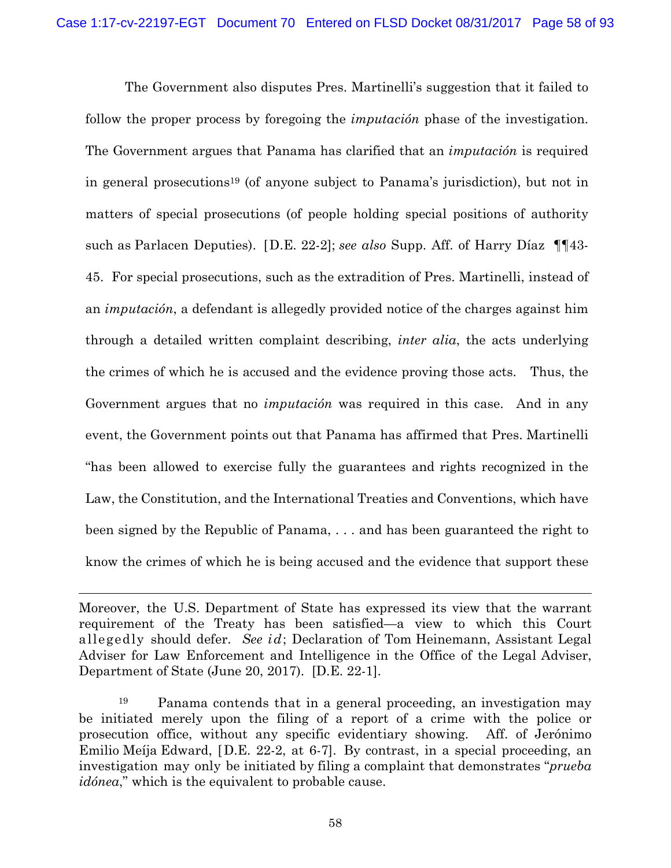The Government also disputes Pres. Martinelli's suggestion that it failed to follow the proper process by foregoing the *imputación* phase of the investigation. The Government argues that Panama has clarified that an *imputación* is required in general prosecutions19 (of anyone subject to Panama's jurisdiction), but not in matters of special prosecutions (of people holding special positions of authority such as Parlacen Deputies). [D.E. 22-2]; *see also* Supp. Aff. of Harry Díaz ¶¶43- 45. For special prosecutions, such as the extradition of Pres. Martinelli, instead of an *imputación*, a defendant is allegedly provided notice of the charges against him through a detailed written complaint describing, *inter alia*, the acts underlying the crimes of which he is accused and the evidence proving those acts. Thus, the Government argues that no *imputación* was required in this case. And in any event, the Government points out that Panama has affirmed that Pres. Martinelli "has been allowed to exercise fully the guarantees and rights recognized in the Law, the Constitution, and the International Treaties and Conventions, which have been signed by the Republic of Panama, . . . and has been guaranteed the right to know the crimes of which he is being accused and the evidence that support these

 $\overline{a}$ 

Moreover, the U.S. Department of State has expressed its view that the warrant requirement of the Treaty has been satisfied—a view to which this Court allegedly should defer. *See id*; Declaration of Tom Heinemann, Assistant Legal Adviser for Law Enforcement and Intelligence in the Office of the Legal Adviser, Department of State (June 20, 2017). [D.E. 22-1].

<sup>19</sup> Panama contends that in a general proceeding, an investigation may be initiated merely upon the filing of a report of a crime with the police or prosecution office, without any specific evidentiary showing. Aff. of Jerónimo Emilio Meíja Edward, [D.E. 22-2, at 6-7]. By contrast, in a special proceeding, an investigation may only be initiated by filing a complaint that demonstrates "*prueba idónea*," which is the equivalent to probable cause.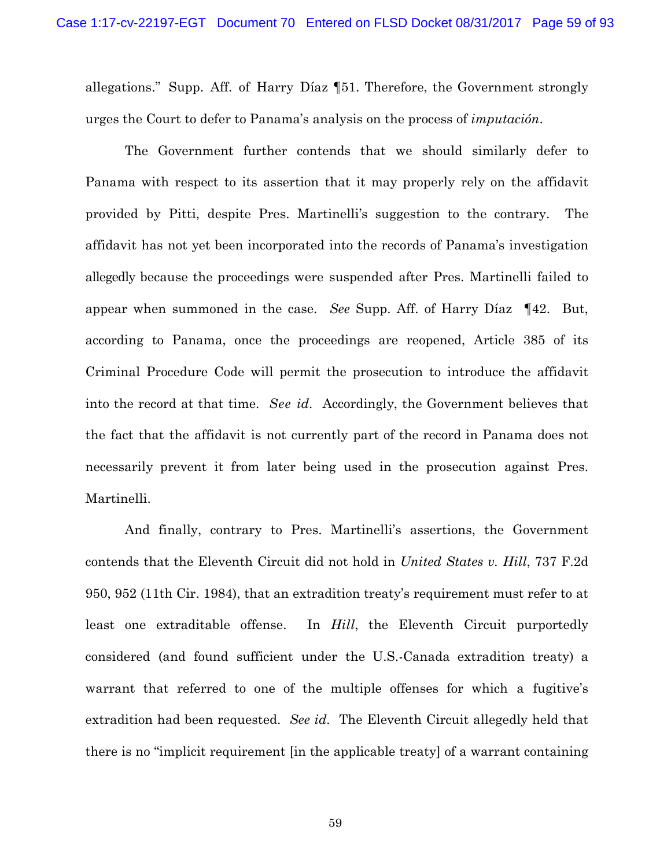allegations." Supp. Aff. of Harry Díaz ¶51. Therefore, the Government strongly urges the Court to defer to Panama's analysis on the process of *imputación*.

The Government further contends that we should similarly defer to Panama with respect to its assertion that it may properly rely on the affidavit provided by Pitti, despite Pres. Martinelli's suggestion to the contrary. The affidavit has not yet been incorporated into the records of Panama's investigation allegedly because the proceedings were suspended after Pres. Martinelli failed to appear when summoned in the case. *See* Supp. Aff. of Harry Díaz ¶42. But, according to Panama, once the proceedings are reopened, Article 385 of its Criminal Procedure Code will permit the prosecution to introduce the affidavit into the record at that time. *See id*. Accordingly, the Government believes that the fact that the affidavit is not currently part of the record in Panama does not necessarily prevent it from later being used in the prosecution against Pres. Martinelli.

And finally, contrary to Pres. Martinelli's assertions, the Government contends that the Eleventh Circuit did not hold in *United States v. Hill*, 737 F.2d 950, 952 (11th Cir. 1984), that an extradition treaty's requirement must refer to at least one extraditable offense. In *Hill*, the Eleventh Circuit purportedly considered (and found sufficient under the U.S.-Canada extradition treaty) a warrant that referred to one of the multiple offenses for which a fugitive's extradition had been requested. *See id.* The Eleventh Circuit allegedly held that there is no "implicit requirement [in the applicable treaty] of a warrant containing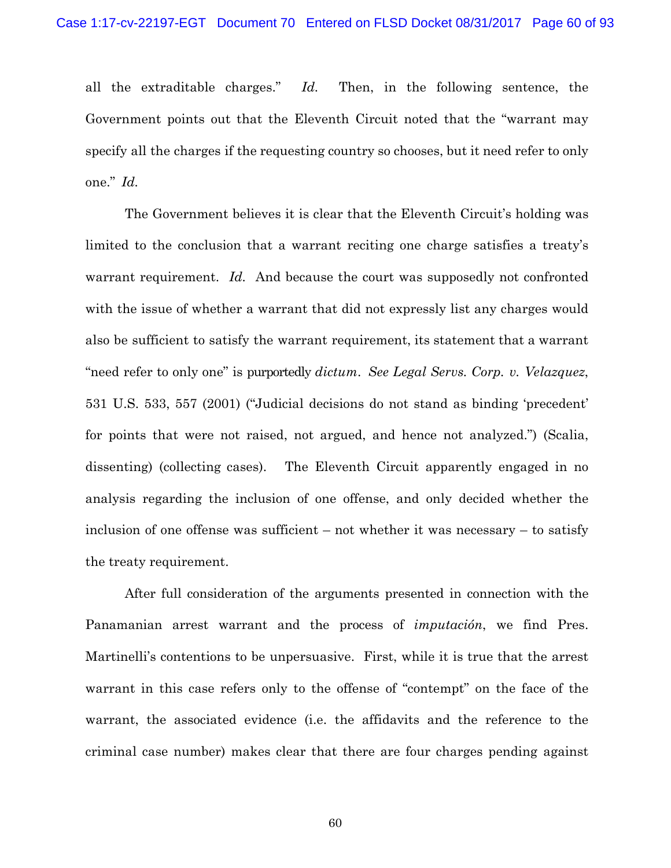all the extraditable charges." *Id.* Then, in the following sentence, the Government points out that the Eleventh Circuit noted that the "warrant may specify all the charges if the requesting country so chooses, but it need refer to only one." *Id.* 

The Government believes it is clear that the Eleventh Circuit's holding was limited to the conclusion that a warrant reciting one charge satisfies a treaty's warrant requirement. *Id.* And because the court was supposedly not confronted with the issue of whether a warrant that did not expressly list any charges would also be sufficient to satisfy the warrant requirement, its statement that a warrant "need refer to only one" is purportedly *dictum*. *See Legal Servs. Corp. v. Velazquez*, 531 U.S. 533, 557 (2001) ("Judicial decisions do not stand as binding 'precedent' for points that were not raised, not argued, and hence not analyzed.") (Scalia, dissenting) (collecting cases). The Eleventh Circuit apparently engaged in no analysis regarding the inclusion of one offense, and only decided whether the inclusion of one offense was sufficient – not whether it was necessary – to satisfy the treaty requirement.

After full consideration of the arguments presented in connection with the Panamanian arrest warrant and the process of *imputación*, we find Pres. Martinelli's contentions to be unpersuasive. First, while it is true that the arrest warrant in this case refers only to the offense of "contempt" on the face of the warrant, the associated evidence (i.e. the affidavits and the reference to the criminal case number) makes clear that there are four charges pending against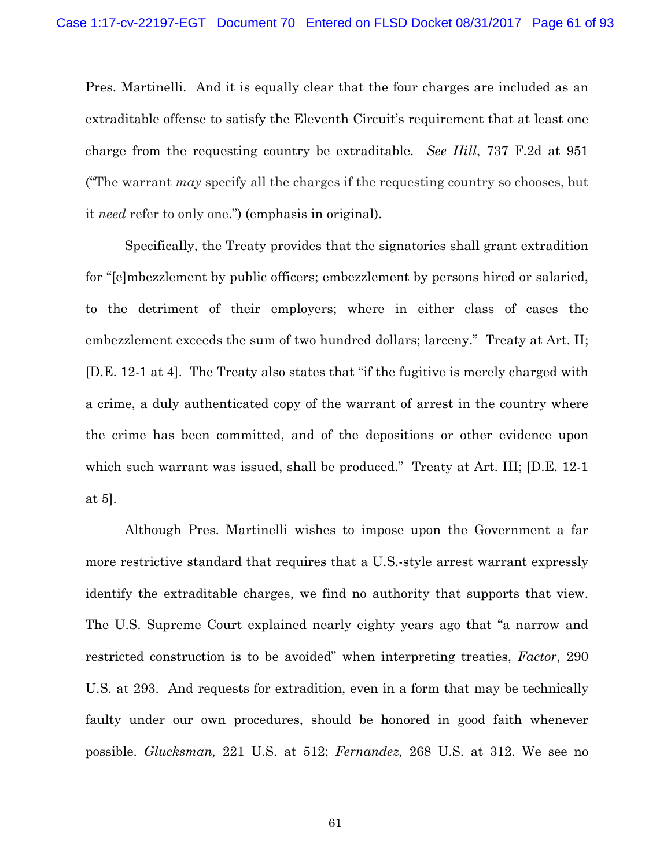Pres. Martinelli. And it is equally clear that the four charges are included as an extraditable offense to satisfy the Eleventh Circuit's requirement that at least one charge from the requesting country be extraditable. *See Hill*, 737 F.2d at 951 ("The warrant *may* specify all the charges if the requesting country so chooses, but it *need* refer to only one.") (emphasis in original).

Specifically, the Treaty provides that the signatories shall grant extradition for "[e]mbezzlement by public officers; embezzlement by persons hired or salaried, to the detriment of their employers; where in either class of cases the embezzlement exceeds the sum of two hundred dollars; larceny." Treaty at Art. II; [D.E. 12-1 at 4]. The Treaty also states that "if the fugitive is merely charged with a crime, a duly authenticated copy of the warrant of arrest in the country where the crime has been committed, and of the depositions or other evidence upon which such warrant was issued, shall be produced." Treaty at Art. III; [D.E. 12-1] at 5].

Although Pres. Martinelli wishes to impose upon the Government a far more restrictive standard that requires that a U.S.-style arrest warrant expressly identify the extraditable charges, we find no authority that supports that view. The U.S. Supreme Court explained nearly eighty years ago that "a narrow and restricted construction is to be avoided" when interpreting treaties, *Factor*, 290 U.S. at 293. And requests for extradition, even in a form that may be technically faulty under our own procedures, should be honored in good faith whenever possible. *Glucksman,* 221 U.S. at 512; *Fernandez,* 268 U.S. at 312. We see no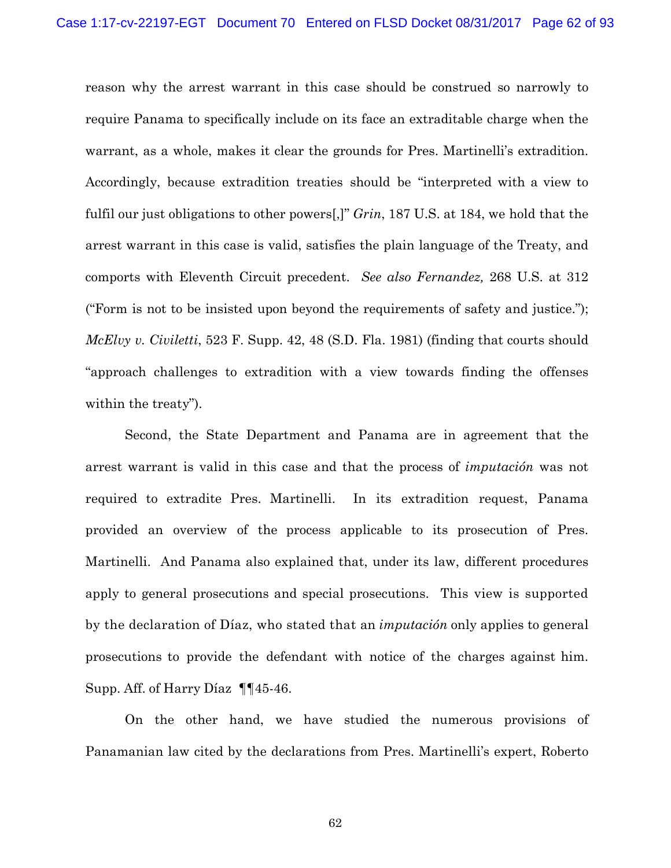reason why the arrest warrant in this case should be construed so narrowly to require Panama to specifically include on its face an extraditable charge when the warrant, as a whole, makes it clear the grounds for Pres. Martinelli's extradition. Accordingly, because extradition treaties should be "interpreted with a view to fulfil our just obligations to other powers[,]" *Grin*, 187 U.S. at 184, we hold that the arrest warrant in this case is valid, satisfies the plain language of the Treaty, and comports with Eleventh Circuit precedent. *See also Fernandez,* 268 U.S. at 312 ("Form is not to be insisted upon beyond the requirements of safety and justice."); *McElvy v. Civiletti*, 523 F. Supp. 42, 48 (S.D. Fla. 1981) (finding that courts should "approach challenges to extradition with a view towards finding the offenses within the treaty").

Second, the State Department and Panama are in agreement that the arrest warrant is valid in this case and that the process of *imputación* was not required to extradite Pres. Martinelli. In its extradition request, Panama provided an overview of the process applicable to its prosecution of Pres. Martinelli. And Panama also explained that, under its law, different procedures apply to general prosecutions and special prosecutions. This view is supported by the declaration of Díaz, who stated that an *imputación* only applies to general prosecutions to provide the defendant with notice of the charges against him. Supp. Aff. of Harry Díaz ¶¶45-46.

On the other hand, we have studied the numerous provisions of Panamanian law cited by the declarations from Pres. Martinelli's expert, Roberto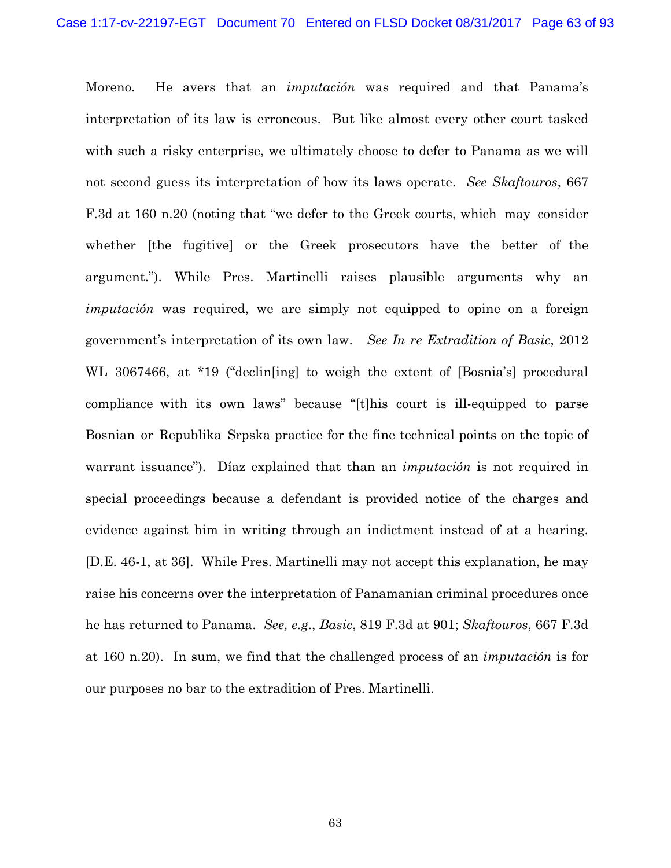Moreno. He avers that an *imputación* was required and that Panama's interpretation of its law is erroneous. But like almost every other court tasked with such a risky enterprise, we ultimately choose to defer to Panama as we will not second guess its interpretation of how its laws operate. *See Skaftouros*, 667 F.3d at 160 n.20 (noting that "we defer to the Greek courts, which may consider whether [the fugitive] or the Greek prosecutors have the better of the argument."). While Pres. Martinelli raises plausible arguments why an *imputación* was required, we are simply not equipped to opine on a foreign government's interpretation of its own law. *See In re Extradition of Basic*, 2012 WL 3067466, at \*19 ("declin[ing] to weigh the extent of [Bosnia's] procedural compliance with its own laws" because "[t]his court is ill-equipped to parse Bosnian or Republika Srpska practice for the fine technical points on the topic of warrant issuance"). Díaz explained that than an *imputación* is not required in special proceedings because a defendant is provided notice of the charges and evidence against him in writing through an indictment instead of at a hearing. [D.E. 46-1, at 36]. While Pres. Martinelli may not accept this explanation, he may raise his concerns over the interpretation of Panamanian criminal procedures once he has returned to Panama. *See, e.g*., *Basic*, 819 F.3d at 901; *Skaftouros*, 667 F.3d at 160 n.20). In sum, we find that the challenged process of an *imputación* is for our purposes no bar to the extradition of Pres. Martinelli.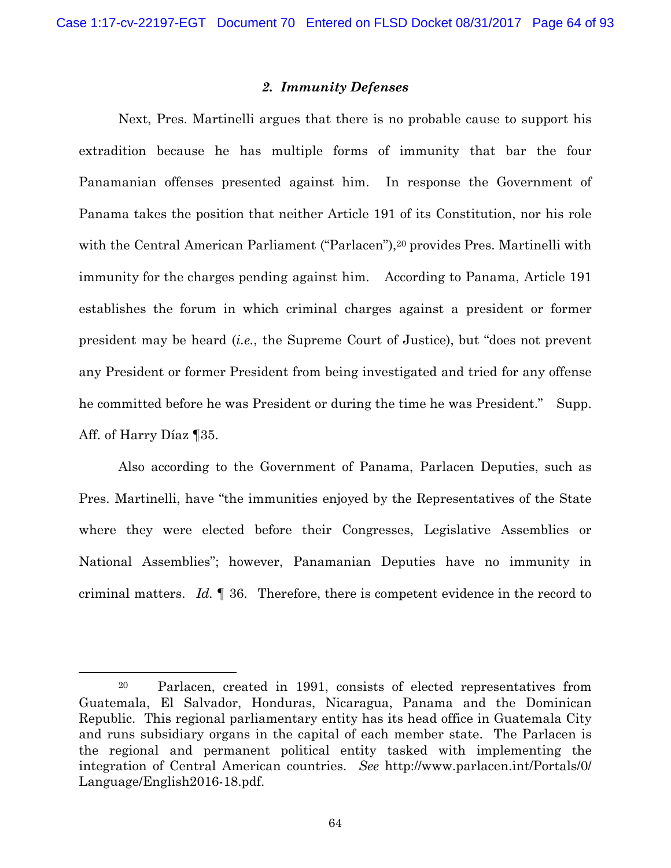## *2. Immunity Defenses*

Next, Pres. Martinelli argues that there is no probable cause to support his extradition because he has multiple forms of immunity that bar the four Panamanian offenses presented against him. In response the Government of Panama takes the position that neither Article 191 of its Constitution, nor his role with the Central American Parliament ("Parlacen"),<sup>20</sup> provides Pres. Martinelli with immunity for the charges pending against him. According to Panama, Article 191 establishes the forum in which criminal charges against a president or former president may be heard (*i.e.*, the Supreme Court of Justice), but "does not prevent any President or former President from being investigated and tried for any offense he committed before he was President or during the time he was President." Supp. Aff. of Harry Díaz ¶35.

Also according to the Government of Panama, Parlacen Deputies, such as Pres. Martinelli, have "the immunities enjoyed by the Representatives of the State where they were elected before their Congresses, Legislative Assemblies or National Assemblies"; however, Panamanian Deputies have no immunity in criminal matters. *Id.* ¶ 36. Therefore, there is competent evidence in the record to

 <sup>20</sup> Parlacen, created in 1991, consists of elected representatives from Guatemala, El Salvador, Honduras, Nicaragua, Panama and the Dominican Republic. This regional parliamentary entity has its head office in Guatemala City and runs subsidiary organs in the capital of each member state. The Parlacen is the regional and permanent political entity tasked with implementing the integration of Central American countries. *See* http://www.parlacen.int/Portals/0/ Language/English2016-18.pdf.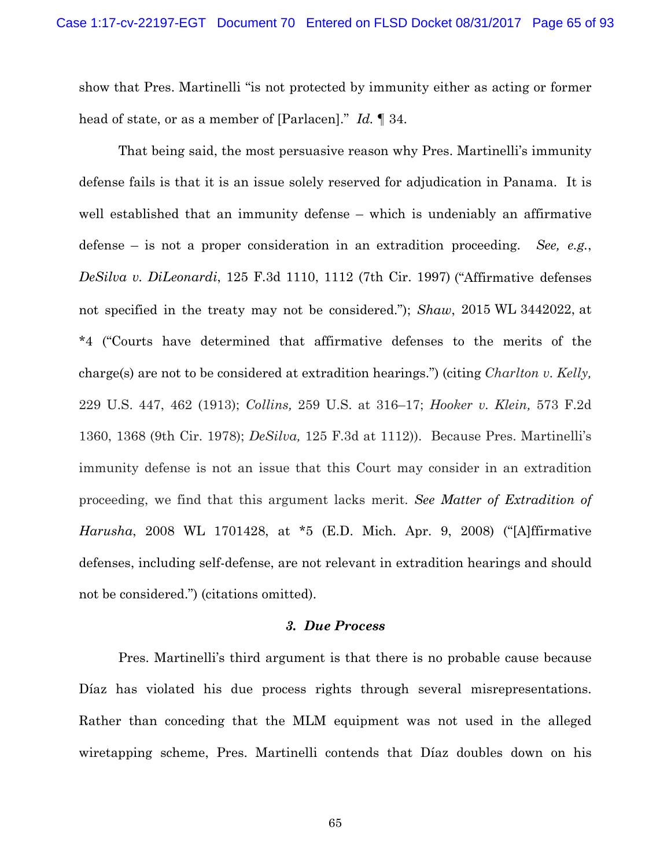show that Pres. Martinelli "is not protected by immunity either as acting or former head of state, or as a member of [Parlacen]." *Id.* ¶ 34.

That being said, the most persuasive reason why Pres. Martinelli's immunity defense fails is that it is an issue solely reserved for adjudication in Panama. It is well established that an immunity defense – which is undeniably an affirmative defense – is not a proper consideration in an extradition proceeding. *See, e.g.*, *DeSilva v. DiLeonardi*, 125 F.3d 1110, 1112 (7th Cir. 1997) ("Affirmative defenses not specified in the treaty may not be considered."); *Shaw*, 2015 WL 3442022, at \*4 ("Courts have determined that affirmative defenses to the merits of the charge(s) are not to be considered at extradition hearings.") (citing *Charlton v. Kelly,* 229 U.S. 447, 462 (1913); *Collins,* 259 U.S. at 316–17; *Hooker v. Klein,* 573 F.2d 1360, 1368 (9th Cir. 1978); *DeSilva,* 125 F.3d at 1112)). Because Pres. Martinelli's immunity defense is not an issue that this Court may consider in an extradition proceeding, we find that this argument lacks merit. *See Matter of Extradition of Harusha*, 2008 WL 1701428, at \*5 (E.D. Mich. Apr. 9, 2008) ("[A]ffirmative defenses, including self-defense, are not relevant in extradition hearings and should not be considered.") (citations omitted).

## *3. Due Process*

Pres. Martinelli's third argument is that there is no probable cause because Díaz has violated his due process rights through several misrepresentations. Rather than conceding that the MLM equipment was not used in the alleged wiretapping scheme, Pres. Martinelli contends that Díaz doubles down on his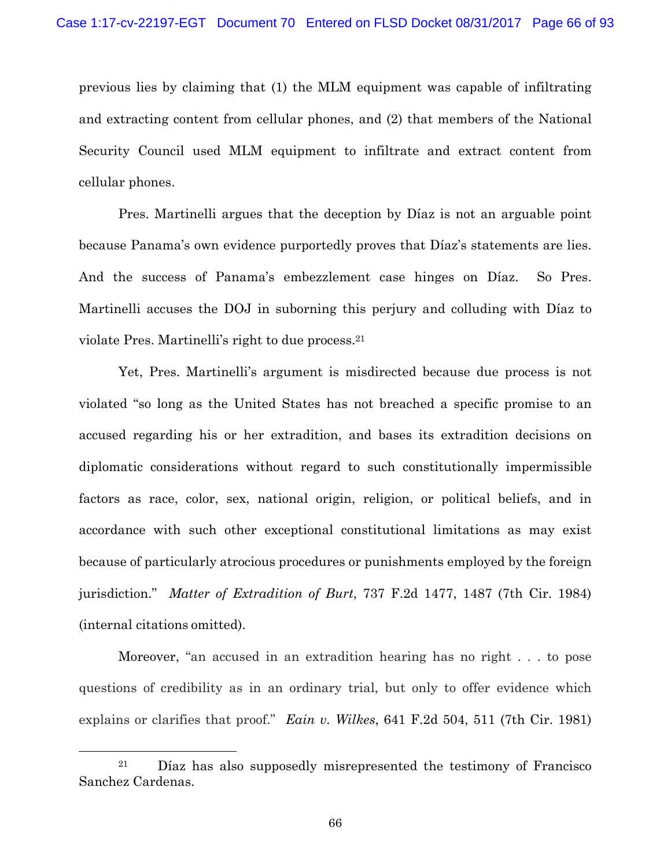previous lies by claiming that (1) the MLM equipment was capable of infiltrating and extracting content from cellular phones, and (2) that members of the National Security Council used MLM equipment to infiltrate and extract content from cellular phones.

Pres. Martinelli argues that the deception by Díaz is not an arguable point because Panama's own evidence purportedly proves that Díaz's statements are lies. And the success of Panama's embezzlement case hinges on Díaz. So Pres. Martinelli accuses the DOJ in suborning this perjury and colluding with Díaz to violate Pres. Martinelli's right to due process.21

Yet, Pres. Martinelli's argument is misdirected because due process is not violated "so long as the United States has not breached a specific promise to an accused regarding his or her extradition, and bases its extradition decisions on diplomatic considerations without regard to such constitutionally impermissible factors as race, color, sex, national origin, religion, or political beliefs, and in accordance with such other exceptional constitutional limitations as may exist because of particularly atrocious procedures or punishments employed by the foreign jurisdiction." *Matter of Extradition of Burt*, 737 F.2d 1477, 1487 (7th Cir. 1984) (internal citations omitted).

Moreover, "an accused in an extradition hearing has no right . . . to pose questions of credibility as in an ordinary trial, but only to offer evidence which explains or clarifies that proof." *Eain v. Wilkes*, 641 F.2d 504, 511 (7th Cir. 1981)

 $21$  Díaz has also supposedly misrepresented the testimony of Francisco Sanchez Cardenas.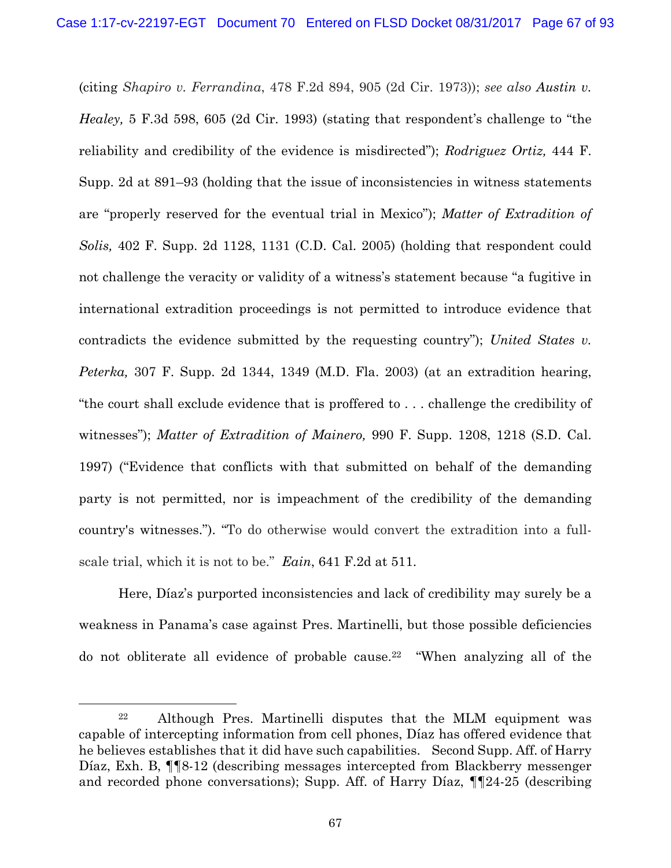(citing *Shapiro v. Ferrandina*, 478 F.2d 894, 905 (2d Cir. 1973)); *see also Austin v. Healey,* 5 F.3d 598, 605 (2d Cir. 1993) (stating that respondent's challenge to "the reliability and credibility of the evidence is misdirected"); *Rodriguez Ortiz,* 444 F. Supp. 2d at 891–93 (holding that the issue of inconsistencies in witness statements are "properly reserved for the eventual trial in Mexico"); *Matter of Extradition of Solis,* 402 F. Supp. 2d 1128, 1131 (C.D. Cal. 2005) (holding that respondent could not challenge the veracity or validity of a witness's statement because "a fugitive in international extradition proceedings is not permitted to introduce evidence that contradicts the evidence submitted by the requesting country"); *United States v. Peterka,* 307 F. Supp. 2d 1344, 1349 (M.D. Fla. 2003) (at an extradition hearing, "the court shall exclude evidence that is proffered to . . . challenge the credibility of witnesses"); *Matter of Extradition of Mainero,* 990 F. Supp. 1208, 1218 (S.D. Cal. 1997) ("Evidence that conflicts with that submitted on behalf of the demanding party is not permitted, nor is impeachment of the credibility of the demanding country's witnesses."). "To do otherwise would convert the extradition into a fullscale trial, which it is not to be." *Eain*, 641 F.2d at 511.

Here, Díaz's purported inconsistencies and lack of credibility may surely be a weakness in Panama's case against Pres. Martinelli, but those possible deficiencies do not obliterate all evidence of probable cause.22 "When analyzing all of the

 <sup>22</sup> Although Pres. Martinelli disputes that the MLM equipment was capable of intercepting information from cell phones, Díaz has offered evidence that he believes establishes that it did have such capabilities. Second Supp. Aff. of Harry Díaz, Exh. B, ¶¶8-12 (describing messages intercepted from Blackberry messenger and recorded phone conversations); Supp. Aff. of Harry Díaz, ¶¶24-25 (describing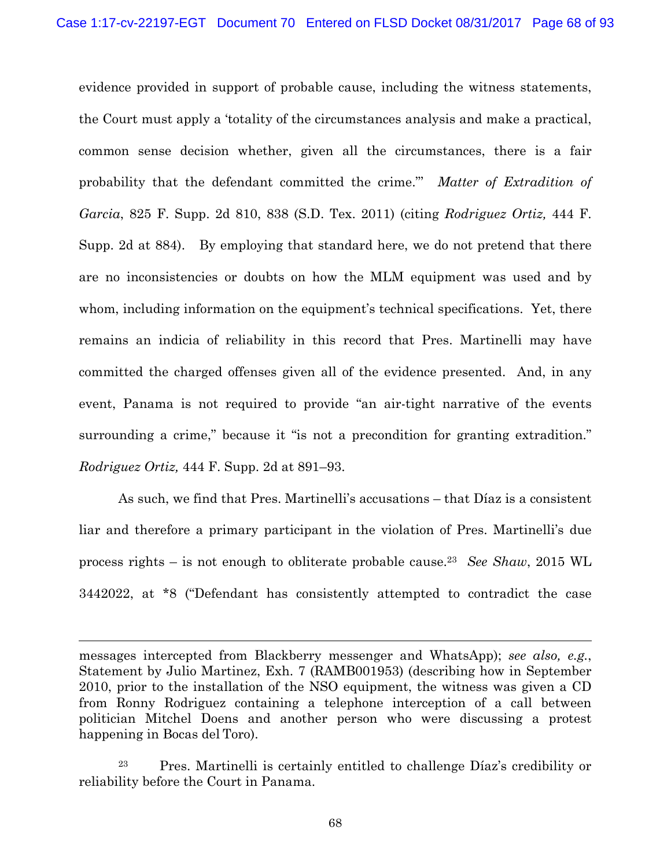evidence provided in support of probable cause, including the witness statements, the Court must apply a 'totality of the circumstances analysis and make a practical, common sense decision whether, given all the circumstances, there is a fair probability that the defendant committed the crime."' *Matter of Extradition of Garcia*, 825 F. Supp. 2d 810, 838 (S.D. Tex. 2011) (citing *Rodriguez Ortiz,* 444 F. Supp. 2d at 884). By employing that standard here, we do not pretend that there are no inconsistencies or doubts on how the MLM equipment was used and by whom, including information on the equipment's technical specifications. Yet, there remains an indicia of reliability in this record that Pres. Martinelli may have committed the charged offenses given all of the evidence presented. And, in any event, Panama is not required to provide "an air-tight narrative of the events surrounding a crime," because it "is not a precondition for granting extradition." *Rodriguez Ortiz,* 444 F. Supp. 2d at 891–93.

As such, we find that Pres. Martinelli's accusations – that Díaz is a consistent liar and therefore a primary participant in the violation of Pres. Martinelli's due process rights – is not enough to obliterate probable cause.23 *See Shaw*, 2015 WL 3442022, at \*8 ("Defendant has consistently attempted to contradict the case

messages intercepted from Blackberry messenger and WhatsApp); *see also, e.g.*, Statement by Julio Martinez, Exh. 7 (RAMB001953) (describing how in September 2010, prior to the installation of the NSO equipment, the witness was given a CD from Ronny Rodriguez containing a telephone interception of a call between politician Mitchel Doens and another person who were discussing a protest happening in Bocas del Toro).

1

23 Pres. Martinelli is certainly entitled to challenge Díaz's credibility or reliability before the Court in Panama.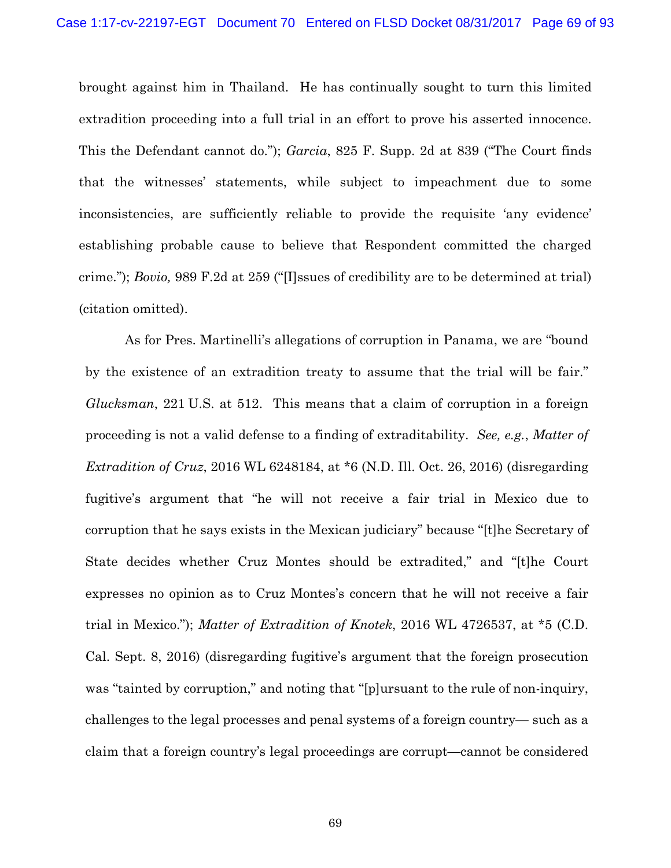brought against him in Thailand. He has continually sought to turn this limited extradition proceeding into a full trial in an effort to prove his asserted innocence. This the Defendant cannot do."); *Garcia*, 825 F. Supp. 2d at 839 ("The Court finds that the witnesses' statements, while subject to impeachment due to some inconsistencies, are sufficiently reliable to provide the requisite 'any evidence' establishing probable cause to believe that Respondent committed the charged crime."); *Bovio,* 989 F.2d at 259 ("[I]ssues of credibility are to be determined at trial) (citation omitted).

As for Pres. Martinelli's allegations of corruption in Panama, we are "bound by the existence of an extradition treaty to assume that the trial will be fair." *Glucksman*, 221 U.S. at 512. This means that a claim of corruption in a foreign proceeding is not a valid defense to a finding of extraditability. *See, e.g.*, *Matter of Extradition of Cruz*, 2016 WL 6248184, at \*6 (N.D. Ill. Oct. 26, 2016) (disregarding fugitive's argument that "he will not receive a fair trial in Mexico due to corruption that he says exists in the Mexican judiciary" because "[t]he Secretary of State decides whether Cruz Montes should be extradited," and "[t]he Court expresses no opinion as to Cruz Montes's concern that he will not receive a fair trial in Mexico."); *Matter of Extradition of Knotek*, 2016 WL 4726537, at \*5 (C.D. Cal. Sept. 8, 2016) (disregarding fugitive's argument that the foreign prosecution was "tainted by corruption," and noting that "[p]ursuant to the rule of non-inquiry, challenges to the legal processes and penal systems of a foreign country— such as a claim that a foreign country's legal proceedings are corrupt—cannot be considered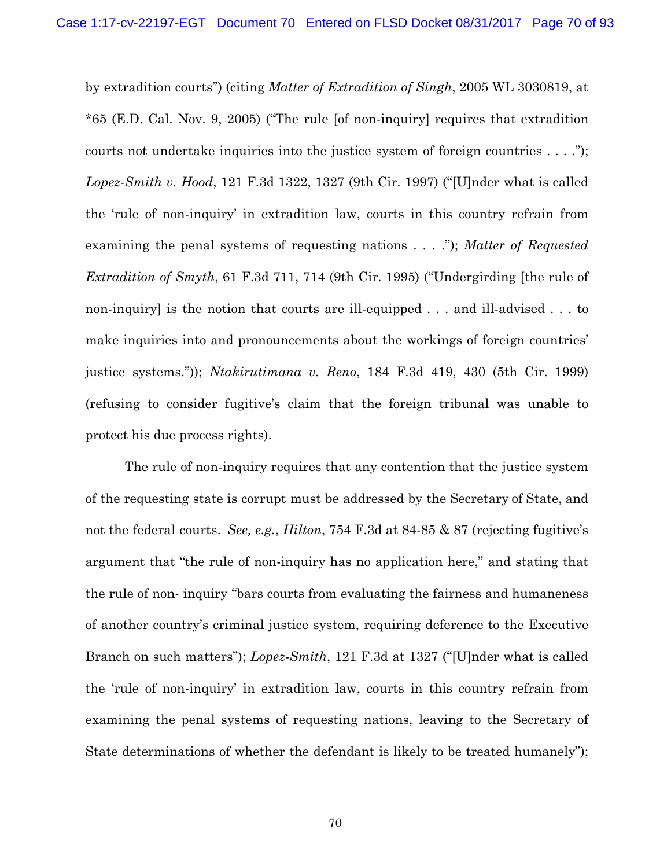by extradition courts") (citing *Matter of Extradition of Singh*, 2005 WL 3030819, at \*65 (E.D. Cal. Nov. 9, 2005) ("The rule [of non-inquiry] requires that extradition courts not undertake inquiries into the justice system of foreign countries . . . ."); *Lopez-Smith v. Hood*, 121 F.3d 1322, 1327 (9th Cir. 1997) ("[U]nder what is called the 'rule of non-inquiry' in extradition law, courts in this country refrain from examining the penal systems of requesting nations . . . ."); *Matter of Requested Extradition of Smyth*, 61 F.3d 711, 714 (9th Cir. 1995) ("Undergirding [the rule of non-inquiry] is the notion that courts are ill-equipped . . . and ill-advised . . . to make inquiries into and pronouncements about the workings of foreign countries' justice systems.")); *Ntakirutimana v. Reno*, 184 F.3d 419, 430 (5th Cir. 1999) (refusing to consider fugitive's claim that the foreign tribunal was unable to protect his due process rights).

The rule of non-inquiry requires that any contention that the justice system of the requesting state is corrupt must be addressed by the Secretary of State, and not the federal courts. *See, e.g.*, *Hilton*, 754 F.3d at 84-85 & 87 (rejecting fugitive's argument that "the rule of non-inquiry has no application here," and stating that the rule of non- inquiry "bars courts from evaluating the fairness and humaneness of another country's criminal justice system, requiring deference to the Executive Branch on such matters"); *Lopez-Smith*, 121 F.3d at 1327 ("[U]nder what is called the 'rule of non-inquiry' in extradition law, courts in this country refrain from examining the penal systems of requesting nations, leaving to the Secretary of State determinations of whether the defendant is likely to be treated humanely");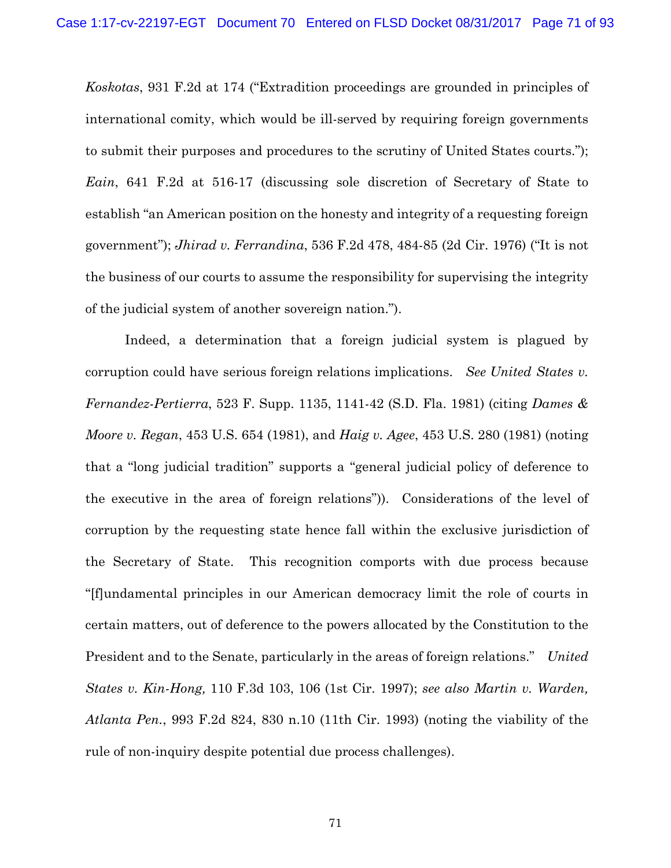*Koskotas*, 931 F.2d at 174 ("Extradition proceedings are grounded in principles of international comity, which would be ill-served by requiring foreign governments to submit their purposes and procedures to the scrutiny of United States courts."); *Eain*, 641 F.2d at 516-17 (discussing sole discretion of Secretary of State to establish "an American position on the honesty and integrity of a requesting foreign government"); *Jhirad v. Ferrandina*, 536 F.2d 478, 484-85 (2d Cir. 1976) ("It is not the business of our courts to assume the responsibility for supervising the integrity of the judicial system of another sovereign nation.").

Indeed, a determination that a foreign judicial system is plagued by corruption could have serious foreign relations implications. *See United States v. Fernandez-Pertierra*, 523 F. Supp. 1135, 1141-42 (S.D. Fla. 1981) (citing *Dames & Moore v. Regan*, 453 U.S. 654 (1981), and *Haig v. Agee*, 453 U.S. 280 (1981) (noting that a "long judicial tradition" supports a "general judicial policy of deference to the executive in the area of foreign relations")). Considerations of the level of corruption by the requesting state hence fall within the exclusive jurisdiction of the Secretary of State. This recognition comports with due process because "[f]undamental principles in our American democracy limit the role of courts in certain matters, out of deference to the powers allocated by the Constitution to the President and to the Senate, particularly in the areas of foreign relations." *United States v. Kin-Hong,* 110 F.3d 103, 106 (1st Cir. 1997); *see also Martin v. Warden, Atlanta Pen.*, 993 F.2d 824, 830 n.10 (11th Cir. 1993) (noting the viability of the rule of non-inquiry despite potential due process challenges).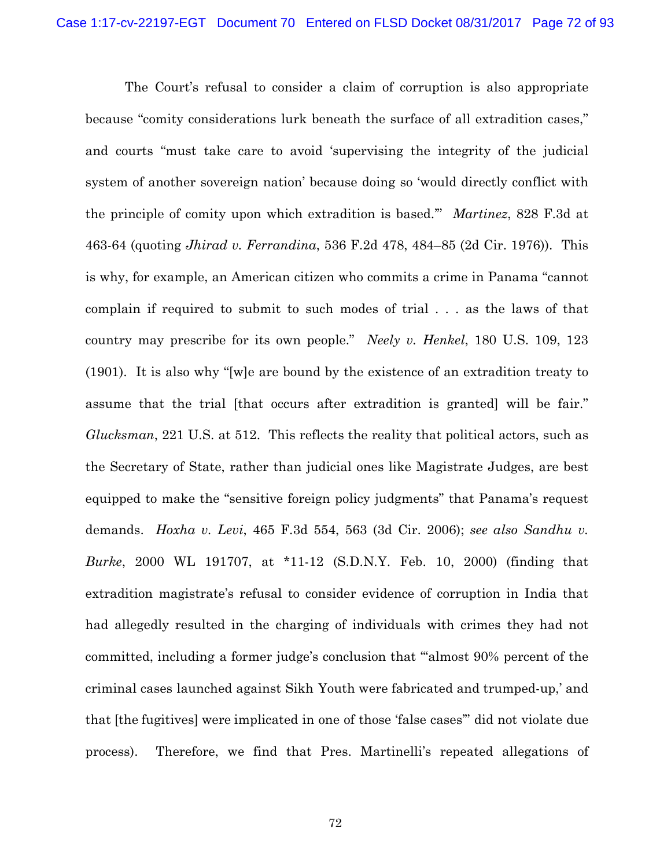The Court's refusal to consider a claim of corruption is also appropriate because "comity considerations lurk beneath the surface of all extradition cases," and courts "must take care to avoid 'supervising the integrity of the judicial system of another sovereign nation' because doing so 'would directly conflict with the principle of comity upon which extradition is based.'" *Martinez*, 828 F.3d at 463-64 (quoting *Jhirad v. Ferrandina*, 536 F.2d 478, 484–85 (2d Cir. 1976)). This is why, for example, an American citizen who commits a crime in Panama "cannot complain if required to submit to such modes of trial . . . as the laws of that country may prescribe for its own people." *Neely v. Henkel*, 180 U.S. 109, 123 (1901). It is also why "[w]e are bound by the existence of an extradition treaty to assume that the trial [that occurs after extradition is granted] will be fair." *Glucksman*, 221 U.S. at 512. This reflects the reality that political actors, such as the Secretary of State, rather than judicial ones like Magistrate Judges, are best equipped to make the "sensitive foreign policy judgments" that Panama's request demands. *Hoxha v. Levi*, 465 F.3d 554, 563 (3d Cir. 2006); *see also Sandhu v. Burke*, 2000 WL 191707, at \*11-12 (S.D.N.Y. Feb. 10, 2000) (finding that extradition magistrate's refusal to consider evidence of corruption in India that had allegedly resulted in the charging of individuals with crimes they had not committed, including a former judge's conclusion that "'almost 90% percent of the criminal cases launched against Sikh Youth were fabricated and trumped-up,' and that [the fugitives] were implicated in one of those 'false cases'" did not violate due process). Therefore, we find that Pres. Martinelli's repeated allegations of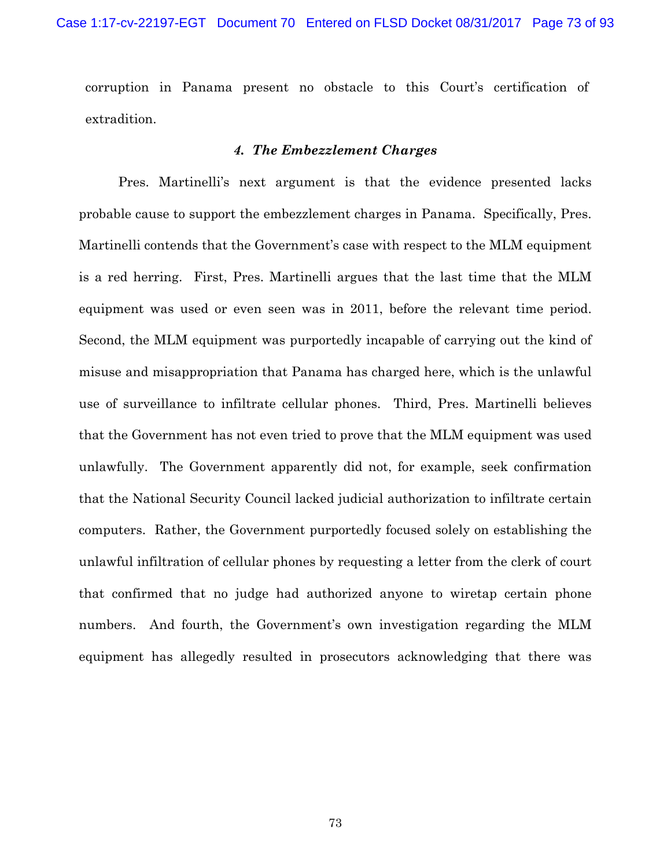corruption in Panama present no obstacle to this Court's certification of extradition.

## *4. The Embezzlement Charges*

Pres. Martinelli's next argument is that the evidence presented lacks probable cause to support the embezzlement charges in Panama. Specifically, Pres. Martinelli contends that the Government's case with respect to the MLM equipment is a red herring. First, Pres. Martinelli argues that the last time that the MLM equipment was used or even seen was in 2011, before the relevant time period. Second, the MLM equipment was purportedly incapable of carrying out the kind of misuse and misappropriation that Panama has charged here, which is the unlawful use of surveillance to infiltrate cellular phones. Third, Pres. Martinelli believes that the Government has not even tried to prove that the MLM equipment was used unlawfully. The Government apparently did not, for example, seek confirmation that the National Security Council lacked judicial authorization to infiltrate certain computers. Rather, the Government purportedly focused solely on establishing the unlawful infiltration of cellular phones by requesting a letter from the clerk of court that confirmed that no judge had authorized anyone to wiretap certain phone numbers. And fourth, the Government's own investigation regarding the MLM equipment has allegedly resulted in prosecutors acknowledging that there was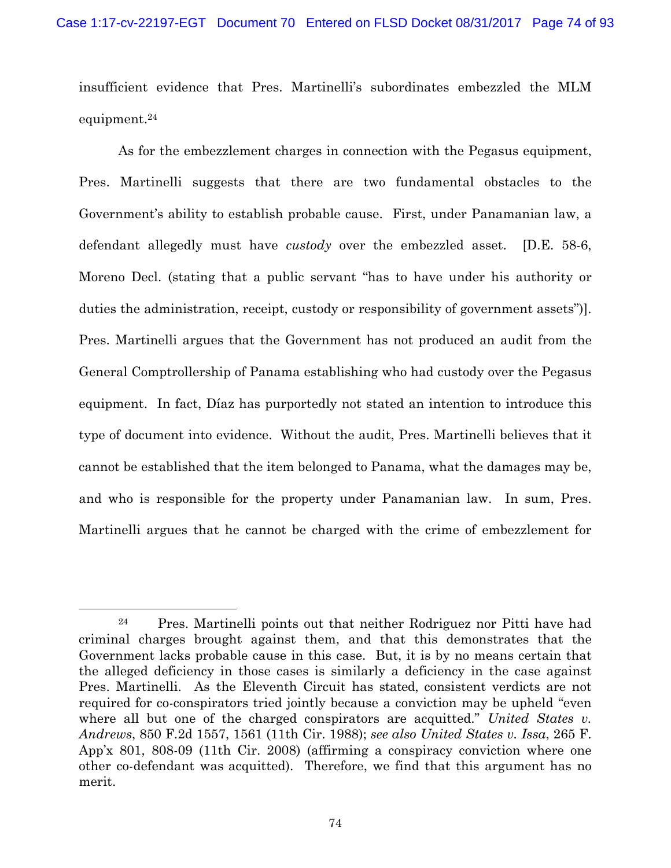insufficient evidence that Pres. Martinelli's subordinates embezzled the MLM equipment.24

As for the embezzlement charges in connection with the Pegasus equipment, Pres. Martinelli suggests that there are two fundamental obstacles to the Government's ability to establish probable cause. First, under Panamanian law, a defendant allegedly must have *custody* over the embezzled asset. [D.E. 58-6, Moreno Decl. (stating that a public servant "has to have under his authority or duties the administration, receipt, custody or responsibility of government assets")]. Pres. Martinelli argues that the Government has not produced an audit from the General Comptrollership of Panama establishing who had custody over the Pegasus equipment. In fact, Díaz has purportedly not stated an intention to introduce this type of document into evidence. Without the audit, Pres. Martinelli believes that it cannot be established that the item belonged to Panama, what the damages may be, and who is responsible for the property under Panamanian law. In sum, Pres. Martinelli argues that he cannot be charged with the crime of embezzlement for

 <sup>24</sup> Pres. Martinelli points out that neither Rodriguez nor Pitti have had criminal charges brought against them, and that this demonstrates that the Government lacks probable cause in this case. But, it is by no means certain that the alleged deficiency in those cases is similarly a deficiency in the case against Pres. Martinelli. As the Eleventh Circuit has stated, consistent verdicts are not required for co-conspirators tried jointly because a conviction may be upheld "even where all but one of the charged conspirators are acquitted." *United States v. Andrews*, 850 F.2d 1557, 1561 (11th Cir. 1988); *see also United States v. Issa*, 265 F. App'x 801, 808-09 (11th Cir. 2008) (affirming a conspiracy conviction where one other co-defendant was acquitted). Therefore, we find that this argument has no merit.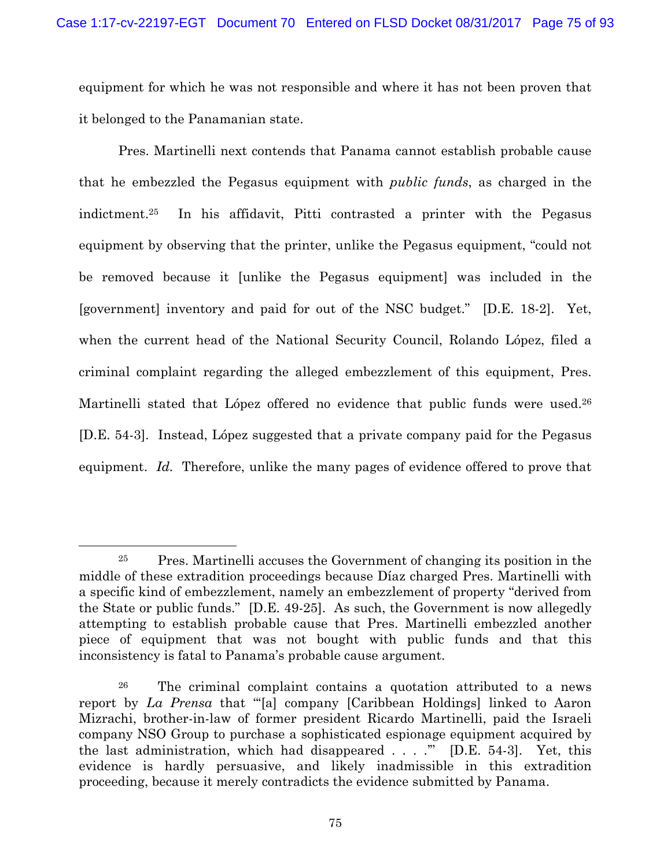equipment for which he was not responsible and where it has not been proven that it belonged to the Panamanian state.

Pres. Martinelli next contends that Panama cannot establish probable cause that he embezzled the Pegasus equipment with *public funds*, as charged in the indictment.25 In his affidavit, Pitti contrasted a printer with the Pegasus equipment by observing that the printer, unlike the Pegasus equipment, "could not be removed because it [unlike the Pegasus equipment] was included in the [government] inventory and paid for out of the NSC budget." [D.E. 18-2]. Yet, when the current head of the National Security Council, Rolando López, filed a criminal complaint regarding the alleged embezzlement of this equipment, Pres. Martinelli stated that López offered no evidence that public funds were used.<sup>26</sup> [D.E. 54-3]. Instead, López suggested that a private company paid for the Pegasus equipment. *Id.* Therefore, unlike the many pages of evidence offered to prove that

 <sup>25</sup> Pres. Martinelli accuses the Government of changing its position in the middle of these extradition proceedings because Díaz charged Pres. Martinelli with a specific kind of embezzlement, namely an embezzlement of property "derived from the State or public funds." [D.E. 49-25]. As such, the Government is now allegedly attempting to establish probable cause that Pres. Martinelli embezzled another piece of equipment that was not bought with public funds and that this inconsistency is fatal to Panama's probable cause argument.

<sup>26</sup> The criminal complaint contains a quotation attributed to a news report by *La Prensa* that "'[a] company [Caribbean Holdings] linked to Aaron Mizrachi, brother-in-law of former president Ricardo Martinelli, paid the Israeli company NSO Group to purchase a sophisticated espionage equipment acquired by the last administration, which had disappeared  $\ldots$ ." [D.E. 54-3]. Yet, this evidence is hardly persuasive, and likely inadmissible in this extradition proceeding, because it merely contradicts the evidence submitted by Panama.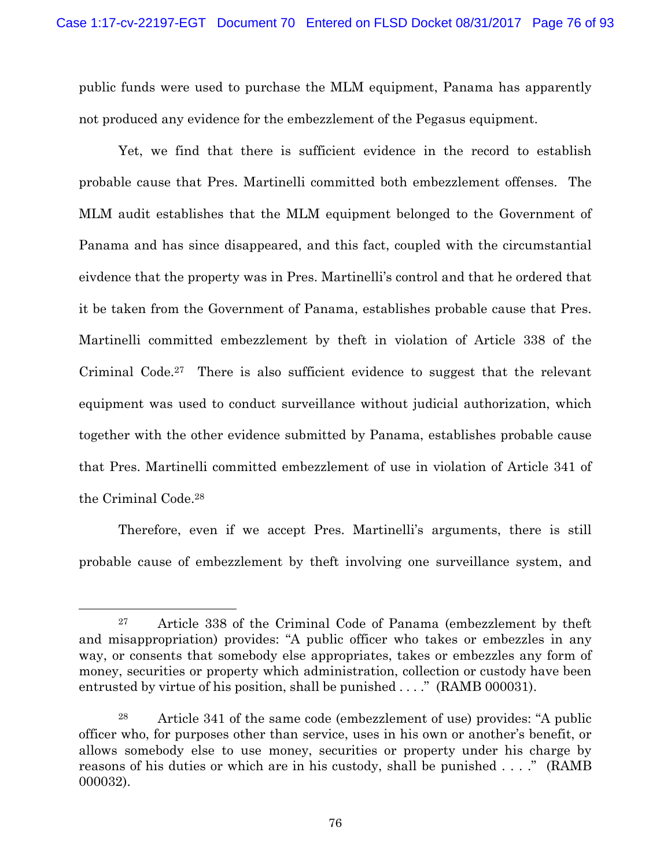public funds were used to purchase the MLM equipment, Panama has apparently not produced any evidence for the embezzlement of the Pegasus equipment.

Yet, we find that there is sufficient evidence in the record to establish probable cause that Pres. Martinelli committed both embezzlement offenses. The MLM audit establishes that the MLM equipment belonged to the Government of Panama and has since disappeared, and this fact, coupled with the circumstantial eivdence that the property was in Pres. Martinelli's control and that he ordered that it be taken from the Government of Panama, establishes probable cause that Pres. Martinelli committed embezzlement by theft in violation of Article 338 of the Criminal Code.27 There is also sufficient evidence to suggest that the relevant equipment was used to conduct surveillance without judicial authorization, which together with the other evidence submitted by Panama, establishes probable cause that Pres. Martinelli committed embezzlement of use in violation of Article 341 of the Criminal Code.28

Therefore, even if we accept Pres. Martinelli's arguments, there is still probable cause of embezzlement by theft involving one surveillance system, and

 <sup>27</sup> Article 338 of the Criminal Code of Panama (embezzlement by theft and misappropriation) provides: "A public officer who takes or embezzles in any way, or consents that somebody else appropriates, takes or embezzles any form of money, securities or property which administration, collection or custody have been entrusted by virtue of his position, shall be punished . . . ." (RAMB 000031).

<sup>28</sup> Article 341 of the same code (embezzlement of use) provides: "A public officer who, for purposes other than service, uses in his own or another's benefit, or allows somebody else to use money, securities or property under his charge by reasons of his duties or which are in his custody, shall be punished . . . ." (RAMB 000032).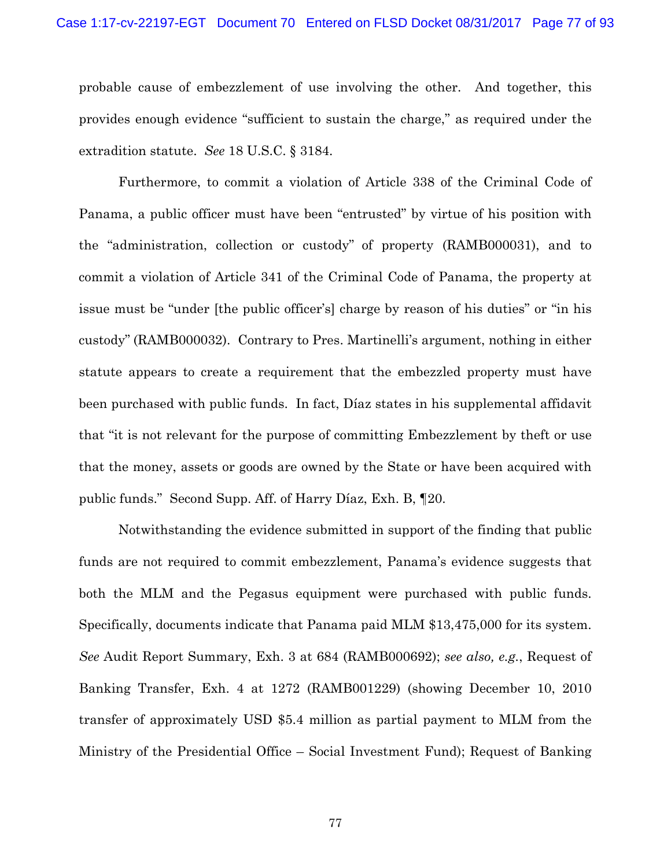probable cause of embezzlement of use involving the other. And together, this provides enough evidence "sufficient to sustain the charge," as required under the extradition statute. *See* 18 U.S.C. § 3184.

Furthermore, to commit a violation of Article 338 of the Criminal Code of Panama, a public officer must have been "entrusted" by virtue of his position with the "administration, collection or custody" of property (RAMB000031), and to commit a violation of Article 341 of the Criminal Code of Panama, the property at issue must be "under [the public officer's] charge by reason of his duties" or "in his custody" (RAMB000032). Contrary to Pres. Martinelli's argument, nothing in either statute appears to create a requirement that the embezzled property must have been purchased with public funds. In fact, Díaz states in his supplemental affidavit that "it is not relevant for the purpose of committing Embezzlement by theft or use that the money, assets or goods are owned by the State or have been acquired with public funds." Second Supp. Aff. of Harry Díaz, Exh. B, ¶20.

Notwithstanding the evidence submitted in support of the finding that public funds are not required to commit embezzlement, Panama's evidence suggests that both the MLM and the Pegasus equipment were purchased with public funds. Specifically, documents indicate that Panama paid MLM \$13,475,000 for its system. *See* Audit Report Summary, Exh. 3 at 684 (RAMB000692); *see also, e.g.*, Request of Banking Transfer, Exh. 4 at 1272 (RAMB001229) (showing December 10, 2010 transfer of approximately USD \$5.4 million as partial payment to MLM from the Ministry of the Presidential Office – Social Investment Fund); Request of Banking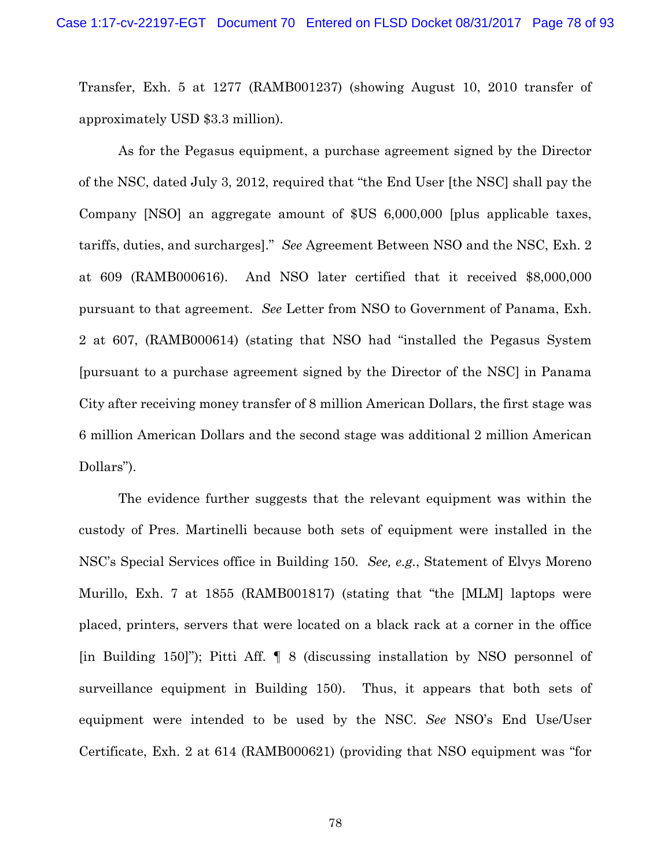Transfer, Exh. 5 at 1277 (RAMB001237) (showing August 10, 2010 transfer of approximately USD \$3.3 million).

As for the Pegasus equipment, a purchase agreement signed by the Director of the NSC, dated July 3, 2012, required that "the End User [the NSC] shall pay the Company [NSO] an aggregate amount of \$US 6,000,000 [plus applicable taxes, tariffs, duties, and surcharges]." *See* Agreement Between NSO and the NSC, Exh. 2 at 609 (RAMB000616). And NSO later certified that it received \$8,000,000 pursuant to that agreement. *See* Letter from NSO to Government of Panama, Exh. 2 at 607, (RAMB000614) (stating that NSO had "installed the Pegasus System [pursuant to a purchase agreement signed by the Director of the NSC] in Panama City after receiving money transfer of 8 million American Dollars, the first stage was 6 million American Dollars and the second stage was additional 2 million American Dollars").

The evidence further suggests that the relevant equipment was within the custody of Pres. Martinelli because both sets of equipment were installed in the NSC's Special Services office in Building 150. *See, e.g.*, Statement of Elvys Moreno Murillo, Exh. 7 at 1855 (RAMB001817) (stating that "the [MLM] laptops were placed, printers, servers that were located on a black rack at a corner in the office [in Building 150]"); Pitti Aff. ¶ 8 (discussing installation by NSO personnel of surveillance equipment in Building 150). Thus, it appears that both sets of equipment were intended to be used by the NSC. *See* NSO's End Use/User Certificate, Exh. 2 at 614 (RAMB000621) (providing that NSO equipment was "for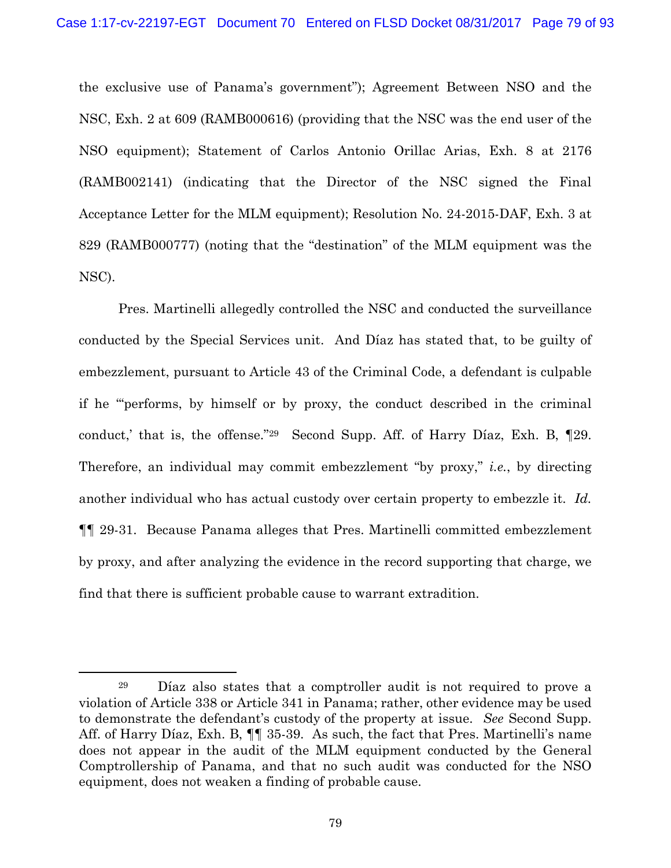the exclusive use of Panama's government"); Agreement Between NSO and the NSC, Exh. 2 at 609 (RAMB000616) (providing that the NSC was the end user of the NSO equipment); Statement of Carlos Antonio Orillac Arias, Exh. 8 at 2176 (RAMB002141) (indicating that the Director of the NSC signed the Final Acceptance Letter for the MLM equipment); Resolution No. 24-2015-DAF, Exh. 3 at 829 (RAMB000777) (noting that the "destination" of the MLM equipment was the NSC).

Pres. Martinelli allegedly controlled the NSC and conducted the surveillance conducted by the Special Services unit. And Díaz has stated that, to be guilty of embezzlement, pursuant to Article 43 of the Criminal Code, a defendant is culpable if he "'performs, by himself or by proxy, the conduct described in the criminal conduct,' that is, the offense."29 Second Supp. Aff. of Harry Díaz, Exh. B, ¶29. Therefore, an individual may commit embezzlement "by proxy," *i.e.*, by directing another individual who has actual custody over certain property to embezzle it. *Id.*  ¶¶ 29-31. Because Panama alleges that Pres. Martinelli committed embezzlement by proxy, and after analyzing the evidence in the record supporting that charge, we find that there is sufficient probable cause to warrant extradition.

 <sup>29</sup> Díaz also states that a comptroller audit is not required to prove a violation of Article 338 or Article 341 in Panama; rather, other evidence may be used to demonstrate the defendant's custody of the property at issue. *See* Second Supp. Aff. of Harry Díaz, Exh. B, ¶¶ 35-39. As such, the fact that Pres. Martinelli's name does not appear in the audit of the MLM equipment conducted by the General Comptrollership of Panama, and that no such audit was conducted for the NSO equipment, does not weaken a finding of probable cause.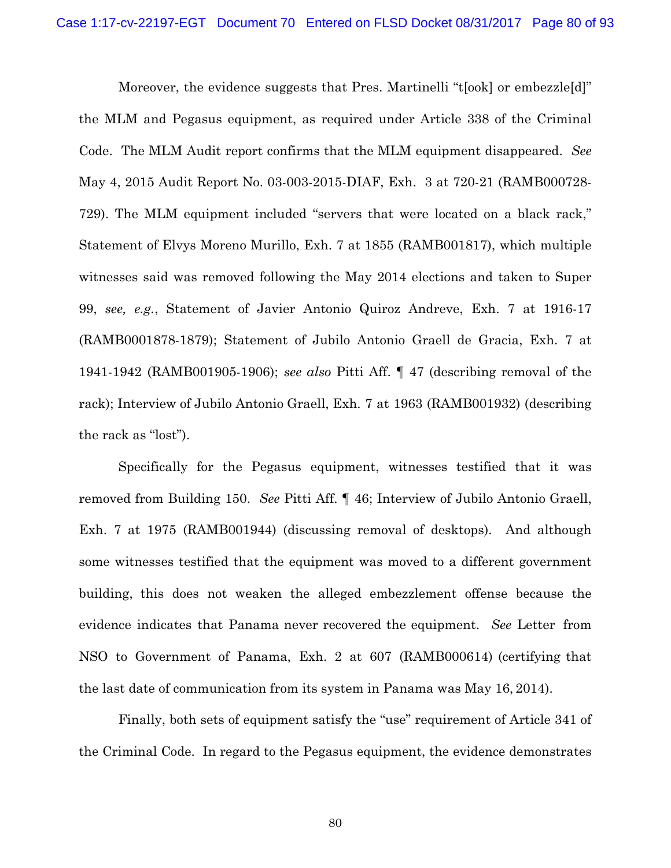Moreover, the evidence suggests that Pres. Martinelli "t[ook] or embezzle[d]" the MLM and Pegasus equipment, as required under Article 338 of the Criminal Code. The MLM Audit report confirms that the MLM equipment disappeared. *See* May 4, 2015 Audit Report No. 03-003-2015-DIAF, Exh. 3 at 720-21 (RAMB000728- 729). The MLM equipment included "servers that were located on a black rack," Statement of Elvys Moreno Murillo, Exh. 7 at 1855 (RAMB001817), which multiple witnesses said was removed following the May 2014 elections and taken to Super 99, *see, e.g.*, Statement of Javier Antonio Quiroz Andreve, Exh. 7 at 1916-17 (RAMB0001878-1879); Statement of Jubilo Antonio Graell de Gracia, Exh. 7 at 1941-1942 (RAMB001905-1906); *see also* Pitti Aff. ¶ 47 (describing removal of the rack); Interview of Jubilo Antonio Graell, Exh. 7 at 1963 (RAMB001932) (describing the rack as "lost").

Specifically for the Pegasus equipment, witnesses testified that it was removed from Building 150. *See* Pitti Aff. ¶ 46; Interview of Jubilo Antonio Graell, Exh. 7 at 1975 (RAMB001944) (discussing removal of desktops). And although some witnesses testified that the equipment was moved to a different government building, this does not weaken the alleged embezzlement offense because the evidence indicates that Panama never recovered the equipment. *See* Letter from NSO to Government of Panama, Exh. 2 at 607 (RAMB000614) (certifying that the last date of communication from its system in Panama was May 16, 2014).

Finally, both sets of equipment satisfy the "use" requirement of Article 341 of the Criminal Code. In regard to the Pegasus equipment, the evidence demonstrates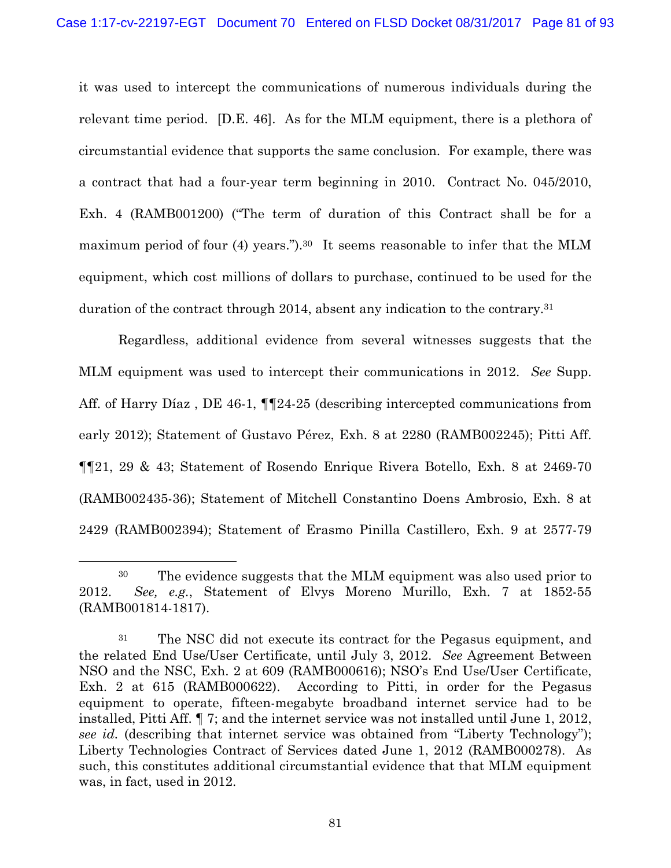it was used to intercept the communications of numerous individuals during the relevant time period. [D.E. 46]. As for the MLM equipment, there is a plethora of circumstantial evidence that supports the same conclusion. For example, there was a contract that had a four-year term beginning in 2010. Contract No. 045/2010, Exh. 4 (RAMB001200) ("The term of duration of this Contract shall be for a maximum period of four (4) years.").<sup>30</sup> It seems reasonable to infer that the MLM equipment, which cost millions of dollars to purchase, continued to be used for the duration of the contract through 2014, absent any indication to the contrary.31

Regardless, additional evidence from several witnesses suggests that the MLM equipment was used to intercept their communications in 2012. *See* Supp. Aff. of Harry Díaz , DE 46-1, ¶¶24-25 (describing intercepted communications from early 2012); Statement of Gustavo Pérez, Exh. 8 at 2280 (RAMB002245); Pitti Aff. ¶¶21, 29 & 43; Statement of Rosendo Enrique Rivera Botello, Exh. 8 at 2469-70 (RAMB002435-36); Statement of Mitchell Constantino Doens Ambrosio, Exh. 8 at 2429 (RAMB002394); Statement of Erasmo Pinilla Castillero, Exh. 9 at 2577-79

 <sup>30</sup> The evidence suggests that the MLM equipment was also used prior to 2012. *See, e.g.*, Statement of Elvys Moreno Murillo, Exh. 7 at 1852-55 (RAMB001814-1817).

<sup>&</sup>lt;sup>31</sup> The NSC did not execute its contract for the Pegasus equipment, and the related End Use/User Certificate, until July 3, 2012. *See* Agreement Between NSO and the NSC, Exh. 2 at 609 (RAMB000616); NSO's End Use/User Certificate, Exh. 2 at 615 (RAMB000622). According to Pitti, in order for the Pegasus equipment to operate, fifteen-megabyte broadband internet service had to be installed, Pitti Aff. ¶ 7; and the internet service was not installed until June 1, 2012, *see id.* (describing that internet service was obtained from "Liberty Technology"); Liberty Technologies Contract of Services dated June 1, 2012 (RAMB000278). As such, this constitutes additional circumstantial evidence that that MLM equipment was, in fact, used in 2012.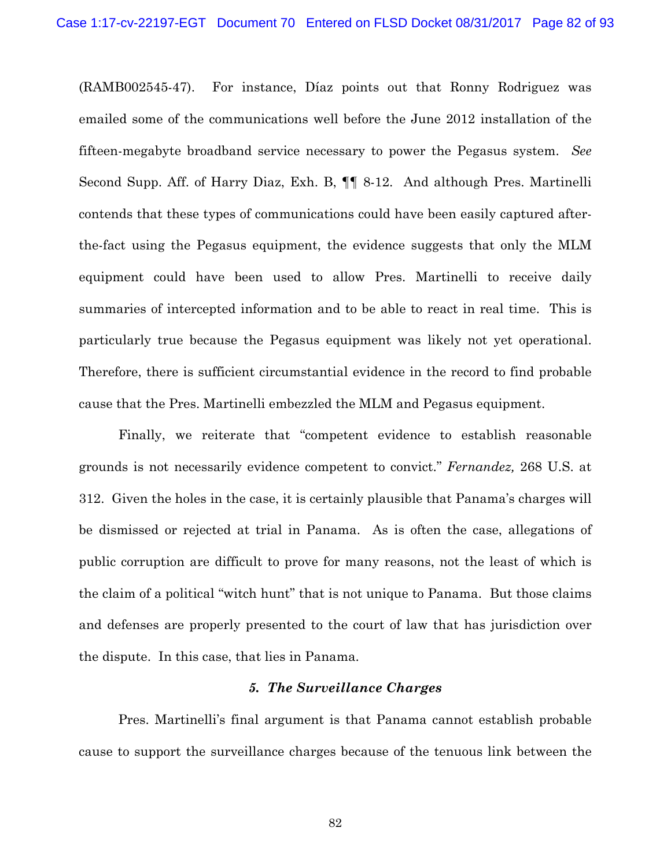(RAMB002545-47). For instance, Díaz points out that Ronny Rodriguez was emailed some of the communications well before the June 2012 installation of the fifteen-megabyte broadband service necessary to power the Pegasus system. *See* Second Supp. Aff. of Harry Diaz, Exh. B, ¶¶ 8-12. And although Pres. Martinelli contends that these types of communications could have been easily captured afterthe-fact using the Pegasus equipment, the evidence suggests that only the MLM equipment could have been used to allow Pres. Martinelli to receive daily summaries of intercepted information and to be able to react in real time. This is particularly true because the Pegasus equipment was likely not yet operational. Therefore, there is sufficient circumstantial evidence in the record to find probable cause that the Pres. Martinelli embezzled the MLM and Pegasus equipment.

Finally, we reiterate that "competent evidence to establish reasonable grounds is not necessarily evidence competent to convict." *Fernandez,* 268 U.S. at 312. Given the holes in the case, it is certainly plausible that Panama's charges will be dismissed or rejected at trial in Panama. As is often the case, allegations of public corruption are difficult to prove for many reasons, not the least of which is the claim of a political "witch hunt" that is not unique to Panama. But those claims and defenses are properly presented to the court of law that has jurisdiction over the dispute. In this case, that lies in Panama.

## *5. The Surveillance Charges*

Pres. Martinelli's final argument is that Panama cannot establish probable cause to support the surveillance charges because of the tenuous link between the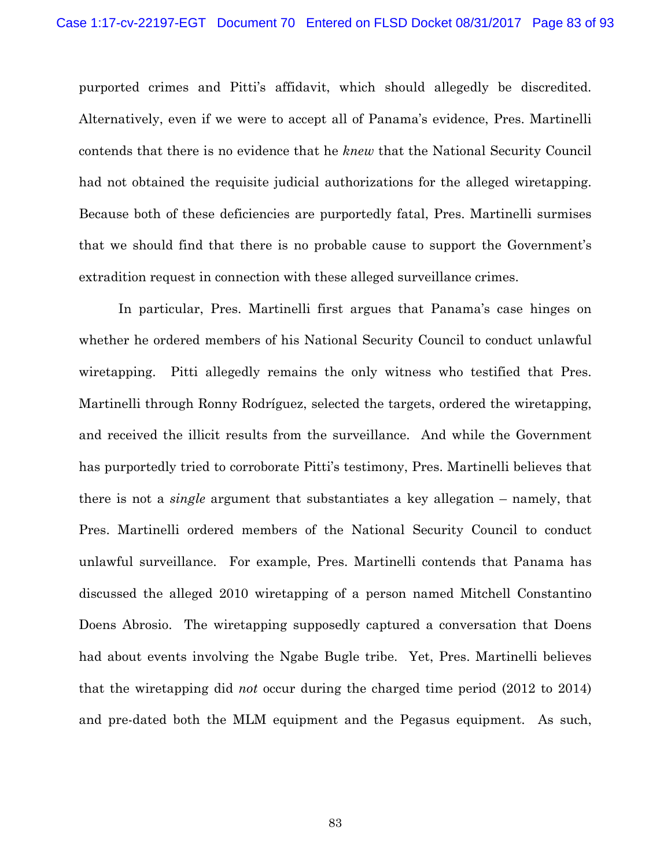purported crimes and Pitti's affidavit, which should allegedly be discredited. Alternatively, even if we were to accept all of Panama's evidence, Pres. Martinelli contends that there is no evidence that he *knew* that the National Security Council had not obtained the requisite judicial authorizations for the alleged wiretapping. Because both of these deficiencies are purportedly fatal, Pres. Martinelli surmises that we should find that there is no probable cause to support the Government's extradition request in connection with these alleged surveillance crimes.

In particular, Pres. Martinelli first argues that Panama's case hinges on whether he ordered members of his National Security Council to conduct unlawful wiretapping. Pitti allegedly remains the only witness who testified that Pres. Martinelli through Ronny Rodríguez, selected the targets, ordered the wiretapping, and received the illicit results from the surveillance. And while the Government has purportedly tried to corroborate Pitti's testimony, Pres. Martinelli believes that there is not a *single* argument that substantiates a key allegation – namely, that Pres. Martinelli ordered members of the National Security Council to conduct unlawful surveillance. For example, Pres. Martinelli contends that Panama has discussed the alleged 2010 wiretapping of a person named Mitchell Constantino Doens Abrosio. The wiretapping supposedly captured a conversation that Doens had about events involving the Ngabe Bugle tribe. Yet, Pres. Martinelli believes that the wiretapping did *not* occur during the charged time period (2012 to 2014) and pre-dated both the MLM equipment and the Pegasus equipment. As such,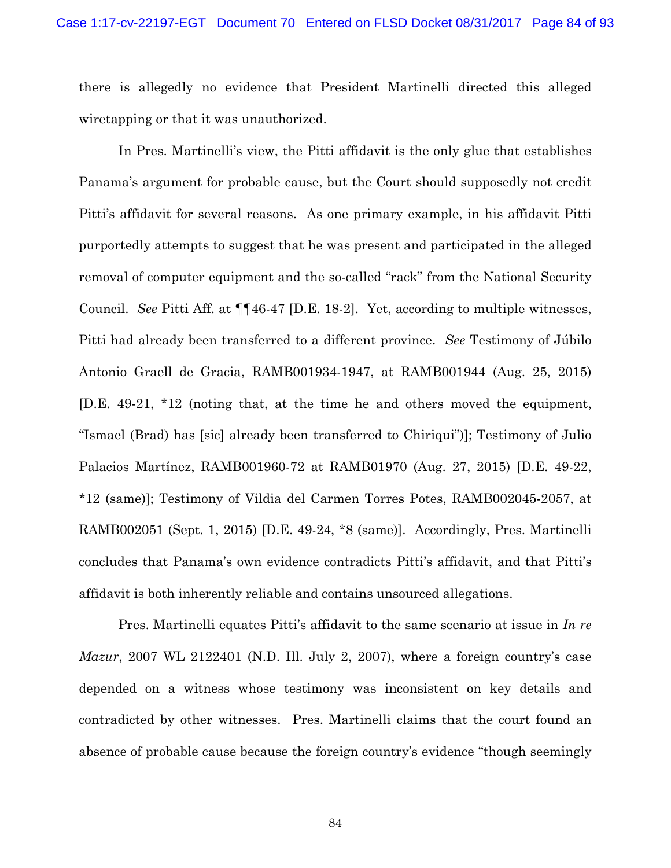there is allegedly no evidence that President Martinelli directed this alleged wiretapping or that it was unauthorized.

In Pres. Martinelli's view, the Pitti affidavit is the only glue that establishes Panama's argument for probable cause, but the Court should supposedly not credit Pitti's affidavit for several reasons. As one primary example, in his affidavit Pitti purportedly attempts to suggest that he was present and participated in the alleged removal of computer equipment and the so-called "rack" from the National Security Council. *See* Pitti Aff. at ¶¶46-47 [D.E. 18-2]. Yet, according to multiple witnesses, Pitti had already been transferred to a different province. *See* Testimony of Júbilo Antonio Graell de Gracia, RAMB001934-1947, at RAMB001944 (Aug. 25, 2015) [D.E. 49-21, \*12 (noting that, at the time he and others moved the equipment, "Ismael (Brad) has [sic] already been transferred to Chiriqui")]; Testimony of Julio Palacios Martínez, RAMB001960-72 at RAMB01970 (Aug. 27, 2015) [D.E. 49-22, \*12 (same)]; Testimony of Vildia del Carmen Torres Potes, RAMB002045-2057, at RAMB002051 (Sept. 1, 2015) [D.E. 49-24, \*8 (same)]. Accordingly, Pres. Martinelli concludes that Panama's own evidence contradicts Pitti's affidavit, and that Pitti's affidavit is both inherently reliable and contains unsourced allegations.

Pres. Martinelli equates Pitti's affidavit to the same scenario at issue in *In re Mazur*, 2007 WL 2122401 (N.D. Ill. July 2, 2007), where a foreign country's case depended on a witness whose testimony was inconsistent on key details and contradicted by other witnesses. Pres. Martinelli claims that the court found an absence of probable cause because the foreign country's evidence "though seemingly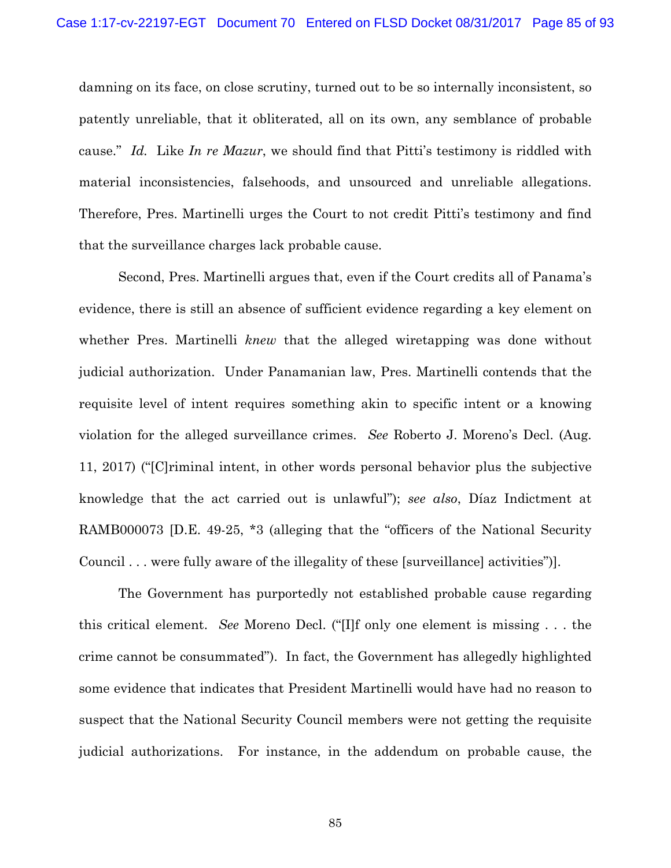damning on its face, on close scrutiny, turned out to be so internally inconsistent, so patently unreliable, that it obliterated, all on its own, any semblance of probable cause." *Id.* Like *In re Mazur*, we should find that Pitti's testimony is riddled with material inconsistencies, falsehoods, and unsourced and unreliable allegations. Therefore, Pres. Martinelli urges the Court to not credit Pitti's testimony and find that the surveillance charges lack probable cause.

 Second, Pres. Martinelli argues that, even if the Court credits all of Panama's evidence, there is still an absence of sufficient evidence regarding a key element on whether Pres. Martinelli *knew* that the alleged wiretapping was done without judicial authorization. Under Panamanian law, Pres. Martinelli contends that the requisite level of intent requires something akin to specific intent or a knowing violation for the alleged surveillance crimes. *See* Roberto J. Moreno's Decl. (Aug. 11, 2017) ("[C]riminal intent, in other words personal behavior plus the subjective knowledge that the act carried out is unlawful"); *see also*, Díaz Indictment at RAMB000073 [D.E. 49-25, \*3 (alleging that the "officers of the National Security Council . . . were fully aware of the illegality of these [surveillance] activities")].

The Government has purportedly not established probable cause regarding this critical element. *See* Moreno Decl. ("[I]f only one element is missing . . . the crime cannot be consummated"). In fact, the Government has allegedly highlighted some evidence that indicates that President Martinelli would have had no reason to suspect that the National Security Council members were not getting the requisite judicial authorizations. For instance, in the addendum on probable cause, the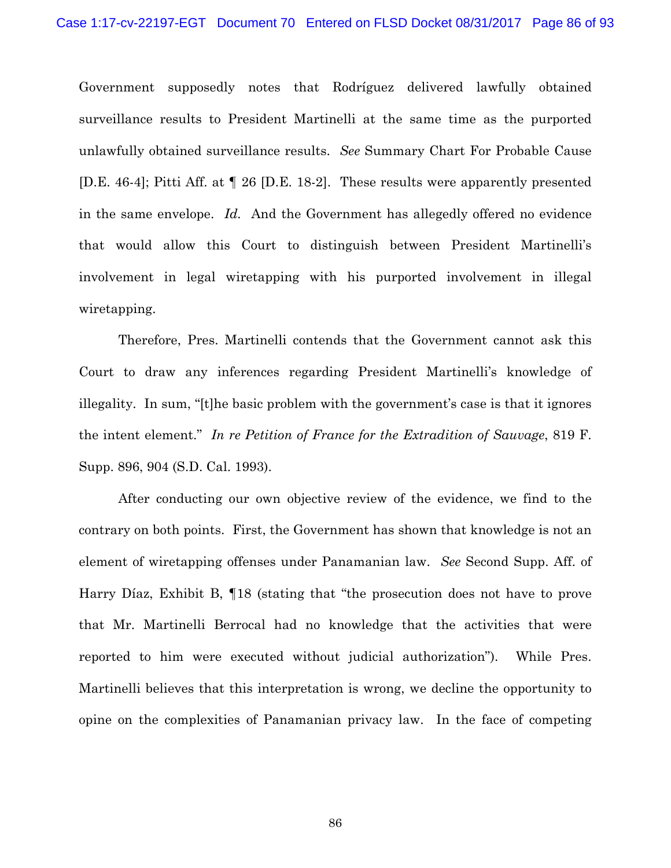Government supposedly notes that Rodríguez delivered lawfully obtained surveillance results to President Martinelli at the same time as the purported unlawfully obtained surveillance results. *See* Summary Chart For Probable Cause [D.E. 46-4]; Pitti Aff. at ¶ 26 [D.E. 18-2]. These results were apparently presented in the same envelope. *Id.* And the Government has allegedly offered no evidence that would allow this Court to distinguish between President Martinelli's involvement in legal wiretapping with his purported involvement in illegal wiretapping.

Therefore, Pres. Martinelli contends that the Government cannot ask this Court to draw any inferences regarding President Martinelli's knowledge of illegality. In sum, "[t]he basic problem with the government's case is that it ignores the intent element." *In re Petition of France for the Extradition of Sauvage*, 819 F. Supp. 896, 904 (S.D. Cal. 1993).

After conducting our own objective review of the evidence, we find to the contrary on both points. First, the Government has shown that knowledge is not an element of wiretapping offenses under Panamanian law. *See* Second Supp. Aff. of Harry Díaz, Exhibit B, ¶18 (stating that "the prosecution does not have to prove that Mr. Martinelli Berrocal had no knowledge that the activities that were reported to him were executed without judicial authorization"). While Pres. Martinelli believes that this interpretation is wrong, we decline the opportunity to opine on the complexities of Panamanian privacy law. In the face of competing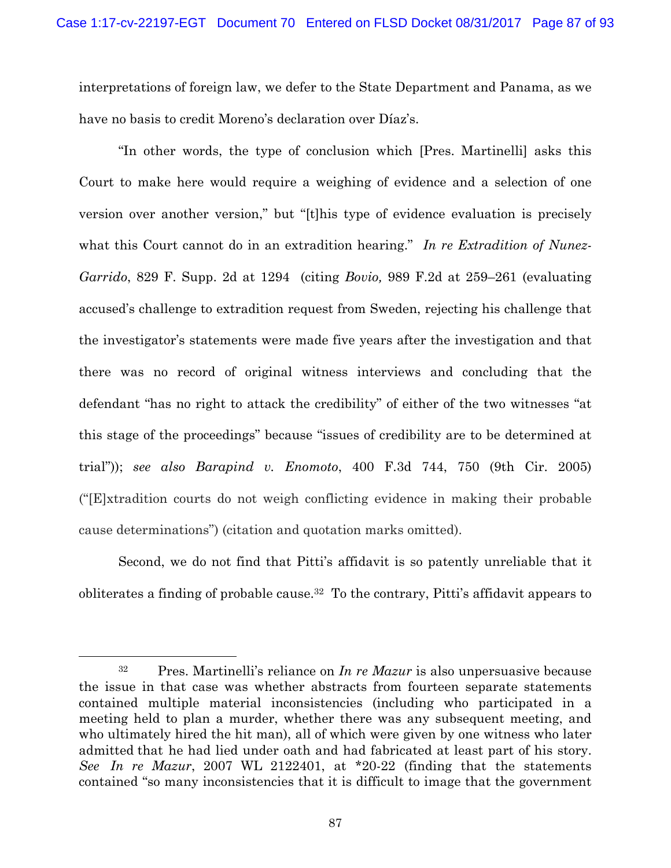interpretations of foreign law, we defer to the State Department and Panama, as we have no basis to credit Moreno's declaration over Díaz's.

"In other words, the type of conclusion which [Pres. Martinelli] asks this Court to make here would require a weighing of evidence and a selection of one version over another version," but "[t]his type of evidence evaluation is precisely what this Court cannot do in an extradition hearing." *In re Extradition of Nunez-Garrido*, 829 F. Supp. 2d at 1294 (citing *Bovio,* 989 F.2d at 259–261 (evaluating accused's challenge to extradition request from Sweden, rejecting his challenge that the investigator's statements were made five years after the investigation and that there was no record of original witness interviews and concluding that the defendant "has no right to attack the credibility" of either of the two witnesses "at this stage of the proceedings" because "issues of credibility are to be determined at trial")); *see also Barapind v. Enomoto*, 400 F.3d 744, 750 (9th Cir. 2005) ("[E]xtradition courts do not weigh conflicting evidence in making their probable cause determinations") (citation and quotation marks omitted).

Second, we do not find that Pitti's affidavit is so patently unreliable that it obliterates a finding of probable cause.32 To the contrary, Pitti's affidavit appears to

 <sup>32</sup> Pres. Martinelli's reliance on *In re Mazur* is also unpersuasive because the issue in that case was whether abstracts from fourteen separate statements contained multiple material inconsistencies (including who participated in a meeting held to plan a murder, whether there was any subsequent meeting, and who ultimately hired the hit man), all of which were given by one witness who later admitted that he had lied under oath and had fabricated at least part of his story. *See In re Mazur*, 2007 WL 2122401, at \*20-22 (finding that the statements contained "so many inconsistencies that it is difficult to image that the government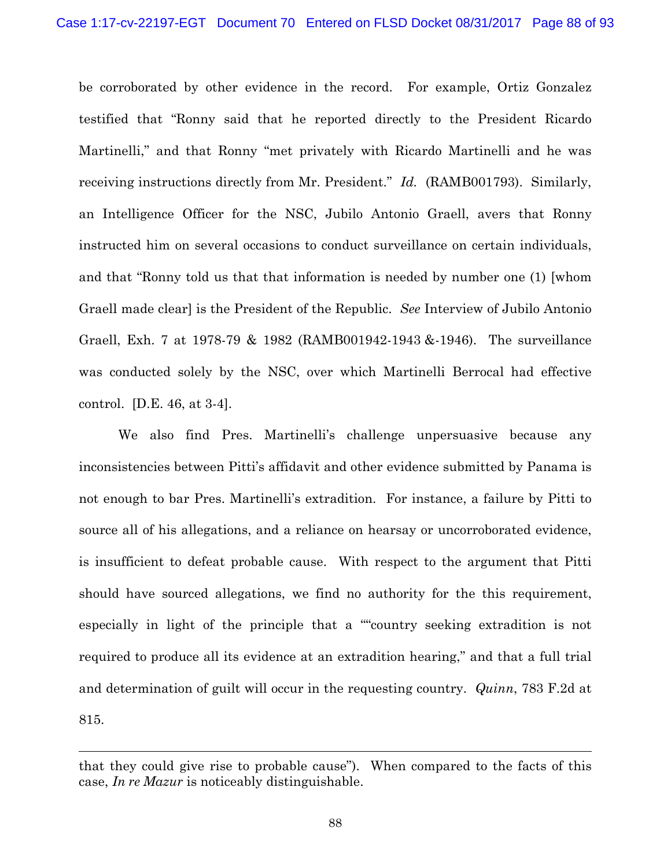be corroborated by other evidence in the record. For example, Ortiz Gonzalez testified that "Ronny said that he reported directly to the President Ricardo Martinelli," and that Ronny "met privately with Ricardo Martinelli and he was receiving instructions directly from Mr. President." *Id.* (RAMB001793). Similarly, an Intelligence Officer for the NSC, Jubilo Antonio Graell, avers that Ronny instructed him on several occasions to conduct surveillance on certain individuals, and that "Ronny told us that that information is needed by number one (1) [whom Graell made clear] is the President of the Republic. *See* Interview of Jubilo Antonio Graell, Exh. 7 at 1978-79 & 1982 (RAMB001942-1943 &-1946). The surveillance was conducted solely by the NSC, over which Martinelli Berrocal had effective control. [D.E. 46, at 3-4].

We also find Pres. Martinelli's challenge unpersuasive because any inconsistencies between Pitti's affidavit and other evidence submitted by Panama is not enough to bar Pres. Martinelli's extradition. For instance, a failure by Pitti to source all of his allegations, and a reliance on hearsay or uncorroborated evidence, is insufficient to defeat probable cause. With respect to the argument that Pitti should have sourced allegations, we find no authority for the this requirement, especially in light of the principle that a ""country seeking extradition is not required to produce all its evidence at an extradition hearing," and that a full trial and determination of guilt will occur in the requesting country. *Quinn*, 783 F.2d at 815.

l

that they could give rise to probable cause"). When compared to the facts of this case, *In re Mazur* is noticeably distinguishable.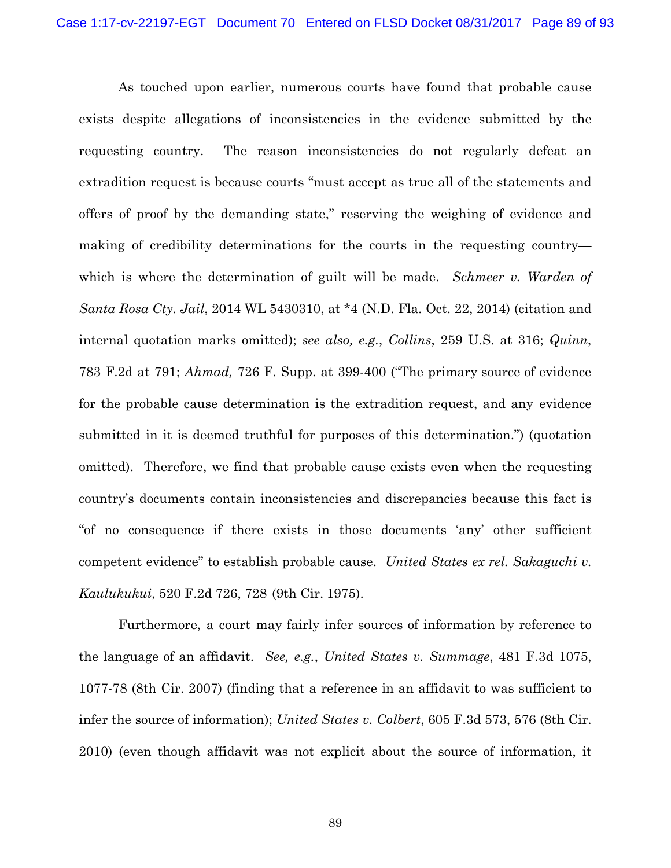As touched upon earlier, numerous courts have found that probable cause exists despite allegations of inconsistencies in the evidence submitted by the requesting country. The reason inconsistencies do not regularly defeat an extradition request is because courts "must accept as true all of the statements and offers of proof by the demanding state," reserving the weighing of evidence and making of credibility determinations for the courts in the requesting country which is where the determination of guilt will be made. *Schmeer v. Warden of Santa Rosa Cty. Jail*, 2014 WL 5430310, at \*4 (N.D. Fla. Oct. 22, 2014) (citation and internal quotation marks omitted); *see also, e.g.*, *Collins*, 259 U.S. at 316; *Quinn*, 783 F.2d at 791; *Ahmad,* 726 F. Supp. at 399-400 ("The primary source of evidence for the probable cause determination is the extradition request, and any evidence submitted in it is deemed truthful for purposes of this determination.") (quotation omitted). Therefore, we find that probable cause exists even when the requesting country's documents contain inconsistencies and discrepancies because this fact is "of no consequence if there exists in those documents 'any' other sufficient competent evidence" to establish probable cause. *United States ex rel. Sakaguchi v. Kaulukukui*, 520 F.2d 726, 728 (9th Cir. 1975).

Furthermore, a court may fairly infer sources of information by reference to the language of an affidavit. *See, e.g.*, *United States v. Summage*, 481 F.3d 1075, 1077-78 (8th Cir. 2007) (finding that a reference in an affidavit to was sufficient to infer the source of information); *United States v. Colbert*, 605 F.3d 573, 576 (8th Cir. 2010) (even though affidavit was not explicit about the source of information, it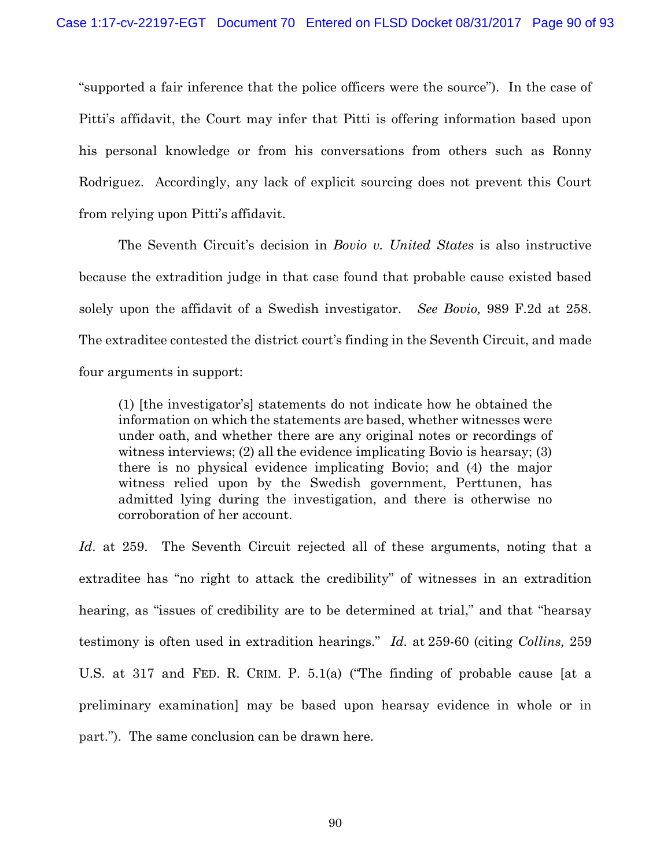"supported a fair inference that the police officers were the source"). In the case of Pitti's affidavit, the Court may infer that Pitti is offering information based upon his personal knowledge or from his conversations from others such as Ronny Rodriguez. Accordingly, any lack of explicit sourcing does not prevent this Court from relying upon Pitti's affidavit.

The Seventh Circuit's decision in *Bovio v. United States* is also instructive because the extradition judge in that case found that probable cause existed based solely upon the affidavit of a Swedish investigator. *See Bovio,* 989 F.2d at 258. The extraditee contested the district court's finding in the Seventh Circuit, and made four arguments in support:

(1) [the investigator's] statements do not indicate how he obtained the information on which the statements are based, whether witnesses were under oath, and whether there are any original notes or recordings of witness interviews; (2) all the evidence implicating Bovio is hearsay; (3) there is no physical evidence implicating Bovio; and (4) the major witness relied upon by the Swedish government, Perttunen, has admitted lying during the investigation, and there is otherwise no corroboration of her account.

*Id*. at 259. The Seventh Circuit rejected all of these arguments, noting that a extraditee has "no right to attack the credibility" of witnesses in an extradition hearing, as "issues of credibility are to be determined at trial," and that "hearsay testimony is often used in extradition hearings." *Id.* at 259-60 (citing *Collins,* 259 U.S. at 317 and FED. R. CRIM. P. 5.1(a) ("The finding of probable cause [at a preliminary examination] may be based upon hearsay evidence in whole or in part."). The same conclusion can be drawn here.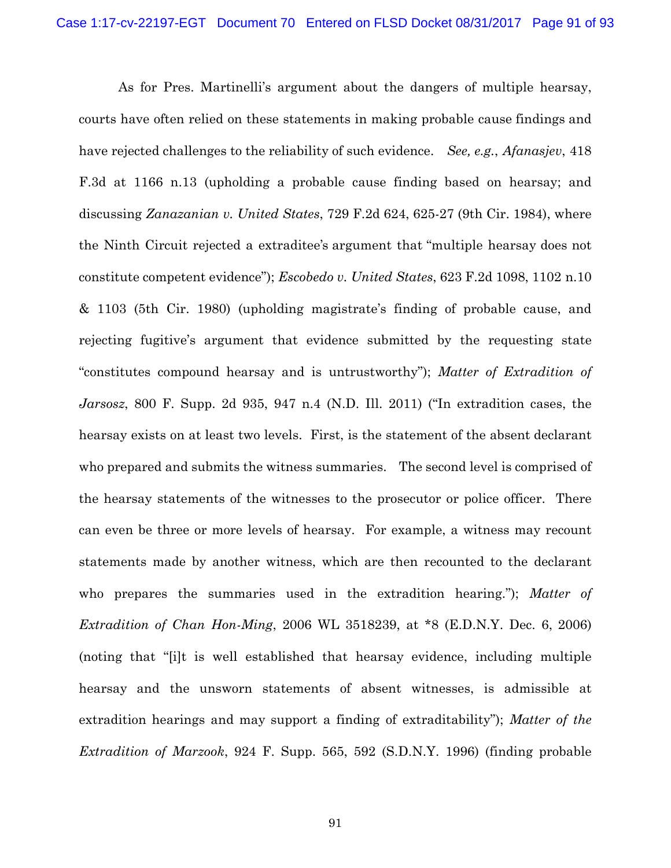As for Pres. Martinelli's argument about the dangers of multiple hearsay, courts have often relied on these statements in making probable cause findings and have rejected challenges to the reliability of such evidence. *See, e.g.*, *Afanasjev*, 418 F.3d at 1166 n.13 (upholding a probable cause finding based on hearsay; and discussing *Zanazanian v. United States*, 729 F.2d 624, 625-27 (9th Cir. 1984), where the Ninth Circuit rejected a extraditee's argument that "multiple hearsay does not constitute competent evidence"); *Escobedo v. United States*, 623 F.2d 1098, 1102 n.10 & 1103 (5th Cir. 1980) (upholding magistrate's finding of probable cause, and rejecting fugitive's argument that evidence submitted by the requesting state "constitutes compound hearsay and is untrustworthy"); *Matter of Extradition of Jarsosz*, 800 F. Supp. 2d 935, 947 n.4 (N.D. Ill. 2011) ("In extradition cases, the hearsay exists on at least two levels. First, is the statement of the absent declarant who prepared and submits the witness summaries. The second level is comprised of the hearsay statements of the witnesses to the prosecutor or police officer. There can even be three or more levels of hearsay. For example, a witness may recount statements made by another witness, which are then recounted to the declarant who prepares the summaries used in the extradition hearing."); *Matter of Extradition of Chan Hon-Ming*, 2006 WL 3518239, at \*8 (E.D.N.Y. Dec. 6, 2006) (noting that "[i]t is well established that hearsay evidence, including multiple hearsay and the unsworn statements of absent witnesses, is admissible at extradition hearings and may support a finding of extraditability"); *Matter of the Extradition of Marzook*, 924 F. Supp. 565, 592 (S.D.N.Y. 1996) (finding probable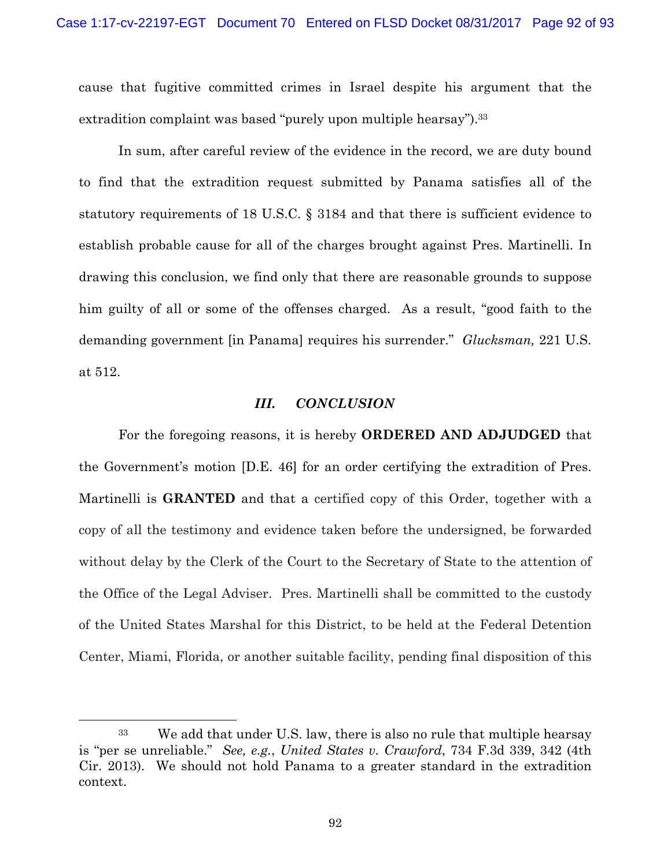cause that fugitive committed crimes in Israel despite his argument that the extradition complaint was based "purely upon multiple hearsay").<sup>33</sup>

 In sum, after careful review of the evidence in the record, we are duty bound to find that the extradition request submitted by Panama satisfies all of the statutory requirements of 18 U.S.C. § 3184 and that there is sufficient evidence to establish probable cause for all of the charges brought against Pres. Martinelli. In drawing this conclusion, we find only that there are reasonable grounds to suppose him guilty of all or some of the offenses charged. As a result, "good faith to the demanding government [in Panama] requires his surrender." *Glucksman,* 221 U.S. at 512.

## *III. CONCLUSION*

 For the foregoing reasons, it is hereby **ORDERED AND ADJUDGED** that the Government's motion [D.E. 46] for an order certifying the extradition of Pres. Martinelli is **GRANTED** and that a certified copy of this Order, together with a copy of all the testimony and evidence taken before the undersigned, be forwarded without delay by the Clerk of the Court to the Secretary of State to the attention of the Office of the Legal Adviser. Pres. Martinelli shall be committed to the custody of the United States Marshal for this District, to be held at the Federal Detention Center, Miami, Florida, or another suitable facility, pending final disposition of this

 <sup>33</sup> We add that under U.S. law, there is also no rule that multiple hearsay is "per se unreliable." *See, e.g.*, *United States v. Crawford*, 734 F.3d 339, 342 (4th Cir. 2013). We should not hold Panama to a greater standard in the extradition context.